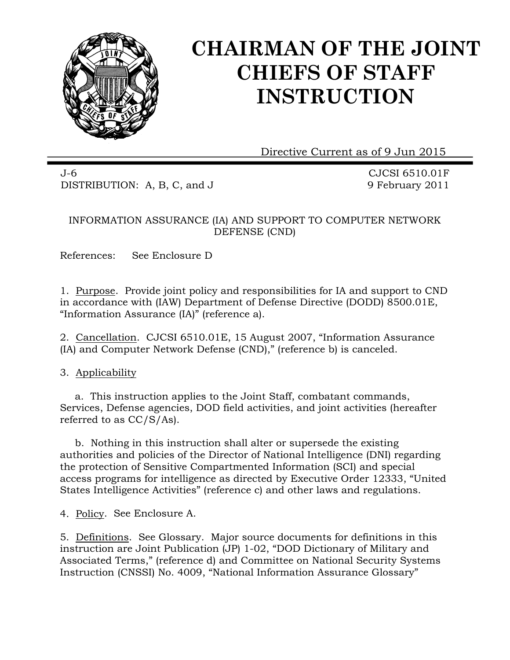

# **CHAIRMAN OF THE JOINT CHIEFS OF STAFF INSTRUCTION**

Directive Current as of 9 Jun 2015

J-6 CJCSI 6510.01F DISTRIBUTION: A, B, C, and J 9 February 2011

# INFORMATION ASSURANCE (IA) AND SUPPORT TO COMPUTER NETWORK DEFENSE (CND)

References: See Enclosure D

1. Purpose. Provide joint policy and responsibilities for IA and support to CND in accordance with (IAW) Department of Defense Directive (DODD) 8500.01E, "Information Assurance (IA)" (reference a).

2. Cancellation. CJCSI 6510.01E, 15 August 2007, "Information Assurance (IA) and Computer Network Defense (CND)," (reference b) is canceled.

3. Applicability

 a. This instruction applies to the Joint Staff, combatant commands, Services, Defense agencies, DOD field activities, and joint activities (hereafter referred to as CC/S/As).

 b. Nothing in this instruction shall alter or supersede the existing authorities and policies of the Director of National Intelligence (DNI) regarding the protection of Sensitive Compartmented Information (SCI) and special access programs for intelligence as directed by Executive Order 12333, "United States Intelligence Activities" (reference c) and other laws and regulations.

4. Policy. See Enclosure A.

5. Definitions. See Glossary. Major source documents for definitions in this instruction are Joint Publication (JP) 1-02, "DOD Dictionary of Military and Associated Terms," (reference d) and Committee on National Security Systems Instruction (CNSSI) No. 4009, "National Information Assurance Glossary"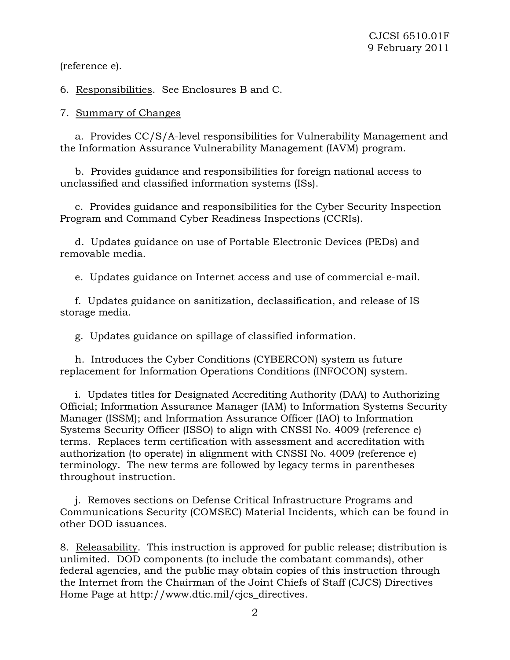(reference e).

6. Responsibilities. See Enclosures B and C.

## 7. Summary of Changes

 a. Provides CC/S/A-level responsibilities for Vulnerability Management and the Information Assurance Vulnerability Management (IAVM) program.

 b. Provides guidance and responsibilities for foreign national access to unclassified and classified information systems (ISs).

 c. Provides guidance and responsibilities for the Cyber Security Inspection Program and Command Cyber Readiness Inspections (CCRIs).

 d. Updates guidance on use of Portable Electronic Devices (PEDs) and removable media.

e. Updates guidance on Internet access and use of commercial e-mail.

 f. Updates guidance on sanitization, declassification, and release of IS storage media.

g. Updates guidance on spillage of classified information.

 h. Introduces the Cyber Conditions (CYBERCON) system as future replacement for Information Operations Conditions (INFOCON) system.

 i. Updates titles for Designated Accrediting Authority (DAA) to Authorizing Official; Information Assurance Manager (IAM) to Information Systems Security Manager (ISSM); and Information Assurance Officer (IAO) to Information Systems Security Officer (ISSO) to align with CNSSI No. 4009 (reference e) terms. Replaces term certification with assessment and accreditation with authorization (to operate) in alignment with CNSSI No. 4009 (reference e) terminology. The new terms are followed by legacy terms in parentheses throughout instruction.

 j. Removes sections on Defense Critical Infrastructure Programs and Communications Security (COMSEC) Material Incidents, which can be found in other DOD issuances.

8. Releasability. This instruction is approved for public release; distribution is unlimited. DOD components (to include the combatant commands), other federal agencies, and the public may obtain copies of this instruction through the Internet from the Chairman of the Joint Chiefs of Staff (CJCS) Directives Home Page at http://www.dtic.mil/cjcs\_directives.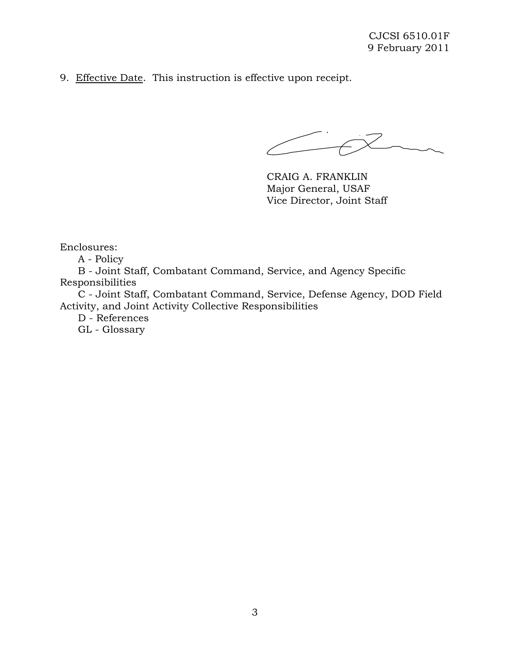9. Effective Date. This instruction is effective upon receipt.

 $\overline{\phantom{a}}$ 

CRAIG A. FRANKLIN Major General, USAF Vice Director, Joint Staff

Enclosures:

A - Policy

 B - Joint Staff, Combatant Command, Service, and Agency Specific Responsibilities

 C - Joint Staff, Combatant Command, Service, Defense Agency, DOD Field Activity, and Joint Activity Collective Responsibilities

D - References

GL - Glossary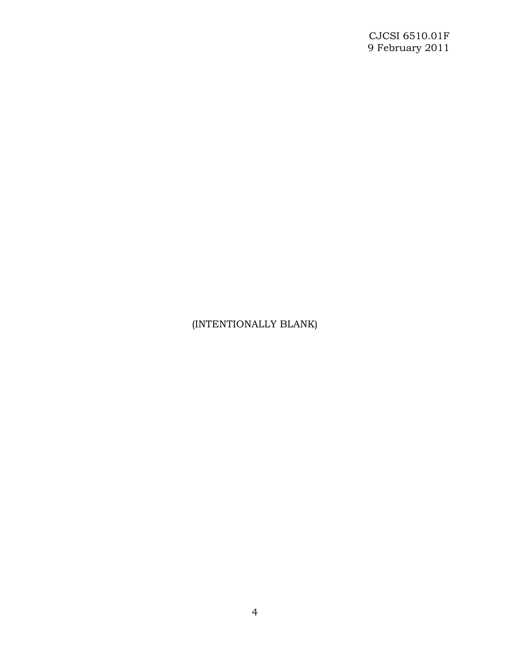# (INTENTIONALLY BLANK)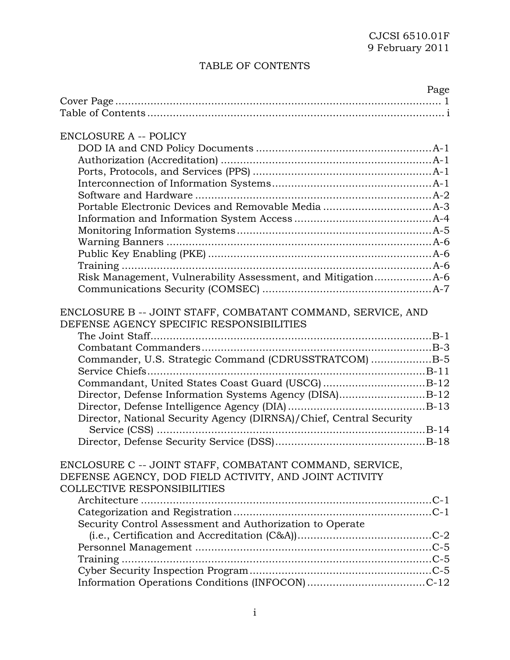# TABLE OF CONTENTS

| Page                                                                |
|---------------------------------------------------------------------|
|                                                                     |
|                                                                     |
| ENCLOSURE A -- POLICY                                               |
|                                                                     |
|                                                                     |
|                                                                     |
|                                                                     |
|                                                                     |
|                                                                     |
|                                                                     |
|                                                                     |
|                                                                     |
|                                                                     |
|                                                                     |
|                                                                     |
| Risk Management, Vulnerability Assessment, and Mitigation A-6       |
|                                                                     |
| ENCLOSURE B -- JOINT STAFF, COMBATANT COMMAND, SERVICE, AND         |
| DEFENSE AGENCY SPECIFIC RESPONSIBILITIES                            |
|                                                                     |
|                                                                     |
| Commander, U.S. Strategic Command (CDRUSSTRATCOM) B-5               |
|                                                                     |
| Commandant, United States Coast Guard (USCG)B-12                    |
| Director, Defense Information Systems Agency (DISA)B-12             |
|                                                                     |
| Director, National Security Agency (DIRNSA)/Chief, Central Security |
|                                                                     |
|                                                                     |
|                                                                     |
| ENCLOSURE C -- JOINT STAFF, COMBATANT COMMAND, SERVICE,             |
| DEFENSE AGENCY, DOD FIELD ACTIVITY, AND JOINT ACTIVITY              |
| <b>COLLECTIVE RESPONSIBILITIES</b>                                  |
|                                                                     |
|                                                                     |
| Security Control Assessment and Authorization to Operate            |
|                                                                     |
|                                                                     |
|                                                                     |
|                                                                     |
|                                                                     |
|                                                                     |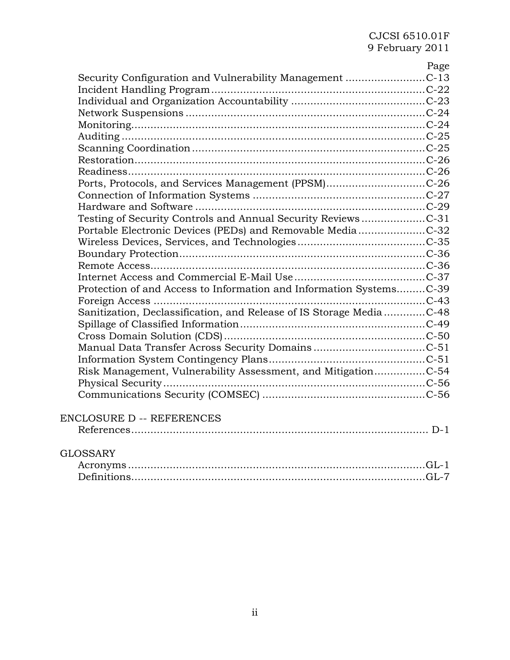# CJCSI 6510.01F 9 February 2011

|                                                                     | Page |
|---------------------------------------------------------------------|------|
| Security Configuration and Vulnerability Management C-13            |      |
|                                                                     |      |
|                                                                     |      |
|                                                                     |      |
|                                                                     |      |
|                                                                     |      |
|                                                                     |      |
|                                                                     |      |
|                                                                     |      |
| Ports, Protocols, and Services Management (PPSM)C-26                |      |
|                                                                     |      |
|                                                                     |      |
| Testing of Security Controls and Annual Security ReviewsC-31        |      |
| Portable Electronic Devices (PEDs) and Removable MediaC-32          |      |
|                                                                     |      |
|                                                                     |      |
|                                                                     |      |
|                                                                     |      |
| Protection of and Access to Information and Information SystemsC-39 |      |
|                                                                     |      |
| Sanitization, Declassification, and Release of IS Storage MediaC-48 |      |
|                                                                     |      |
|                                                                     |      |
|                                                                     |      |
|                                                                     |      |
| Risk Management, Vulnerability Assessment, and MitigationC-54       |      |
|                                                                     |      |
|                                                                     |      |
|                                                                     |      |
| <b>ENCLOSURE D -- REFERENCES</b>                                    |      |
|                                                                     |      |
| <b>GLOSSARY</b>                                                     |      |
|                                                                     |      |
|                                                                     |      |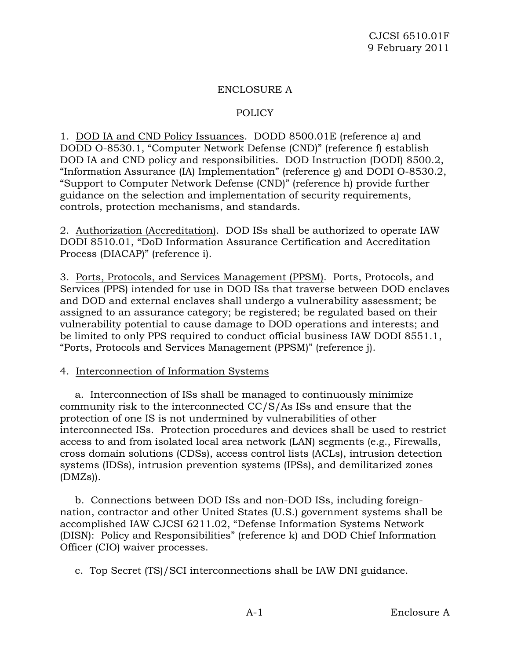# ENCLOSURE A

#### POLICY

1. DOD IA and CND Policy Issuances. DODD 8500.01E (reference a) and DODD O-8530.1, "Computer Network Defense (CND)" (reference f) establish DOD IA and CND policy and responsibilities. DOD Instruction (DODI) 8500.2, "Information Assurance (IA) Implementation" (reference g) and DODI O-8530.2, "Support to Computer Network Defense (CND)" (reference h) provide further guidance on the selection and implementation of security requirements, controls, protection mechanisms, and standards.

2. Authorization (Accreditation). DOD ISs shall be authorized to operate IAW DODI 8510.01, "DoD Information Assurance Certification and Accreditation Process (DIACAP)" (reference i).

3. Ports, Protocols, and Services Management (PPSM). Ports, Protocols, and Services (PPS) intended for use in DOD ISs that traverse between DOD enclaves and DOD and external enclaves shall undergo a vulnerability assessment; be assigned to an assurance category; be registered; be regulated based on their vulnerability potential to cause damage to DOD operations and interests; and be limited to only PPS required to conduct official business IAW DODI 8551.1, "Ports, Protocols and Services Management (PPSM)" (reference j).

#### 4. Interconnection of Information Systems

a. Interconnection of ISs shall be managed to continuously minimize community risk to the interconnected CC/S/As ISs and ensure that the protection of one IS is not undermined by vulnerabilities of other interconnected ISs. Protection procedures and devices shall be used to restrict access to and from isolated local area network (LAN) segments (e.g., Firewalls, cross domain solutions (CDSs), access control lists (ACLs), intrusion detection systems (IDSs), intrusion prevention systems (IPSs), and demilitarized zones  $(DMZs)$ .

b. Connections between DOD ISs and non-DOD ISs, including foreignnation, contractor and other United States (U.S.) government systems shall be accomplished IAW CJCSI 6211.02, "Defense Information Systems Network (DISN): Policy and Responsibilities" (reference k) and DOD Chief Information Officer (CIO) waiver processes.

c. Top Secret (TS)/SCI interconnections shall be IAW DNI guidance.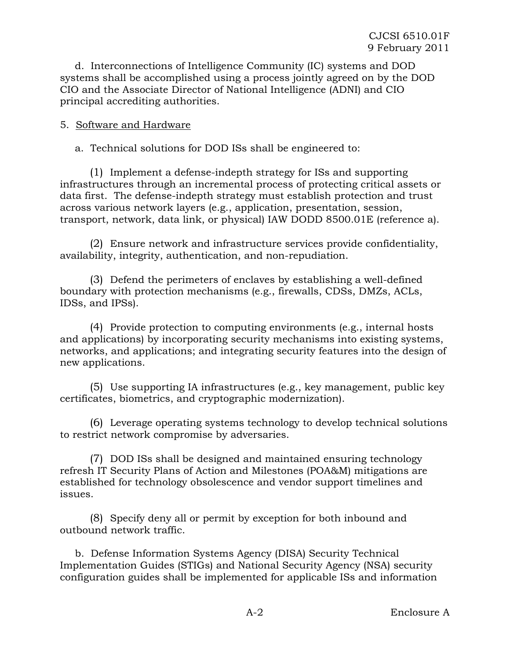d. Interconnections of Intelligence Community (IC) systems and DOD systems shall be accomplished using a process jointly agreed on by the DOD CIO and the Associate Director of National Intelligence (ADNI) and CIO principal accrediting authorities.

## 5. Software and Hardware

a. Technical solutions for DOD ISs shall be engineered to:

(1) Implement a defense-indepth strategy for ISs and supporting infrastructures through an incremental process of protecting critical assets or data first. The defense-indepth strategy must establish protection and trust across various network layers (e.g., application, presentation, session, transport, network, data link, or physical) IAW DODD 8500.01E (reference a).

(2) Ensure network and infrastructure services provide confidentiality, availability, integrity, authentication, and non-repudiation.

(3) Defend the perimeters of enclaves by establishing a well-defined boundary with protection mechanisms (e.g., firewalls, CDSs, DMZs, ACLs, IDSs, and IPSs).

(4) Provide protection to computing environments (e.g., internal hosts and applications) by incorporating security mechanisms into existing systems, networks, and applications; and integrating security features into the design of new applications.

(5) Use supporting IA infrastructures (e.g., key management, public key certificates, biometrics, and cryptographic modernization).

(6) Leverage operating systems technology to develop technical solutions to restrict network compromise by adversaries.

(7) DOD ISs shall be designed and maintained ensuring technology refresh IT Security Plans of Action and Milestones (POA&M) mitigations are established for technology obsolescence and vendor support timelines and issues.

(8) Specify deny all or permit by exception for both inbound and outbound network traffic.

b. Defense Information Systems Agency (DISA) Security Technical Implementation Guides (STIGs) and National Security Agency (NSA) security configuration guides shall be implemented for applicable ISs and information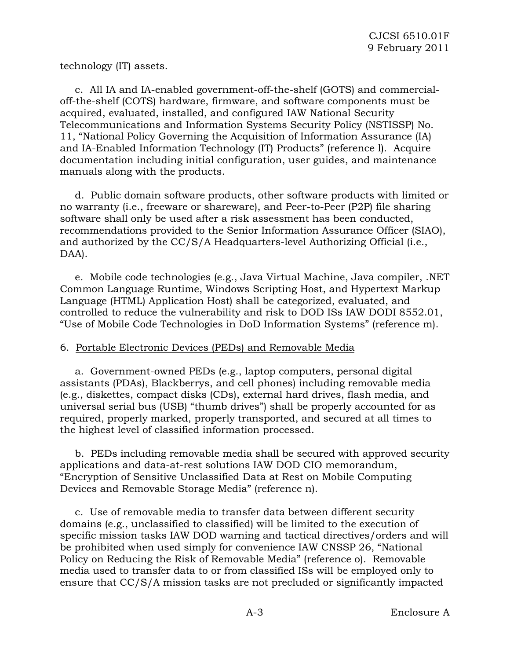technology (IT) assets.

c. All IA and IA-enabled government-off-the-shelf (GOTS) and commercialoff-the-shelf (COTS) hardware, firmware, and software components must be acquired, evaluated, installed, and configured IAW National Security Telecommunications and Information Systems Security Policy (NSTISSP) No. 11, "National Policy Governing the Acquisition of Information Assurance (IA) and IA-Enabled Information Technology (IT) Products" (reference l). Acquire documentation including initial configuration, user guides, and maintenance manuals along with the products.

d. Public domain software products, other software products with limited or no warranty (i.e., freeware or shareware), and Peer-to-Peer (P2P) file sharing software shall only be used after a risk assessment has been conducted, recommendations provided to the Senior Information Assurance Officer (SIAO), and authorized by the CC/S/A Headquarters-level Authorizing Official (i.e., DAA).

e. Mobile code technologies (e.g., Java Virtual Machine, Java compiler, .NET Common Language Runtime, Windows Scripting Host, and Hypertext Markup Language (HTML) Application Host) shall be categorized, evaluated, and controlled to reduce the vulnerability and risk to DOD ISs IAW DODI 8552.01, "Use of Mobile Code Technologies in DoD Information Systems" (reference m).

#### 6. Portable Electronic Devices (PEDs) and Removable Media

a. Government-owned PEDs (e.g., laptop computers, personal digital assistants (PDAs), Blackberrys, and cell phones) including removable media (e.g., diskettes, compact disks (CDs), external hard drives, flash media, and universal serial bus (USB) "thumb drives") shall be properly accounted for as required, properly marked, properly transported, and secured at all times to the highest level of classified information processed.

b. PEDs including removable media shall be secured with approved security applications and data-at-rest solutions IAW DOD CIO memorandum, "Encryption of Sensitive Unclassified Data at Rest on Mobile Computing Devices and Removable Storage Media" (reference n).

c. Use of removable media to transfer data between different security domains (e.g., unclassified to classified) will be limited to the execution of specific mission tasks IAW DOD warning and tactical directives/orders and will be prohibited when used simply for convenience IAW CNSSP 26, "National Policy on Reducing the Risk of Removable Media" (reference o). Removable media used to transfer data to or from classified ISs will be employed only to ensure that CC/S/A mission tasks are not precluded or significantly impacted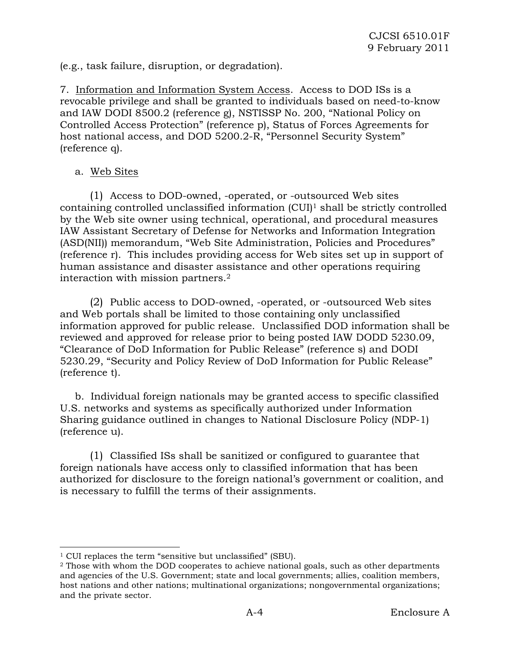(e.g., task failure, disruption, or degradation).

7. Information and Information System Access. Access to DOD ISs is a revocable privilege and shall be granted to individuals based on need-to-know and IAW DODI 8500.2 (reference g), NSTISSP No. 200, "National Policy on Controlled Access Protection" (reference p), Status of Forces Agreements for host national access, and DOD 5200.2-R, "Personnel Security System" (reference q).

# a. Web Sites

(1) Access to DOD-owned, -operated, or -outsourced Web sites containing controlled unclassified information (CUI)1 shall be strictly controlled by the Web site owner using technical, operational, and procedural measures IAW Assistant Secretary of Defense for Networks and Information Integration (ASD(NII)) memorandum, "Web Site Administration, Policies and Procedures" (reference r). This includes providing access for Web sites set up in support of human assistance and disaster assistance and other operations requiring interaction with mission partners.2

(2) Public access to DOD-owned, -operated, or -outsourced Web sites and Web portals shall be limited to those containing only unclassified information approved for public release. Unclassified DOD information shall be reviewed and approved for release prior to being posted IAW DODD 5230.09, "Clearance of DoD Information for Public Release" (reference s) and DODI 5230.29, "Security and Policy Review of DoD Information for Public Release" (reference t).

b. Individual foreign nationals may be granted access to specific classified U.S. networks and systems as specifically authorized under Information Sharing guidance outlined in changes to National Disclosure Policy (NDP-1) (reference u).

(1) Classified ISs shall be sanitized or configured to guarantee that foreign nationals have access only to classified information that has been authorized for disclosure to the foreign national's government or coalition, and is necessary to fulfill the terms of their assignments.

 $\overline{\phantom{a}}$ 1 CUI replaces the term "sensitive but unclassified" (SBU).

<sup>2</sup> Those with whom the DOD cooperates to achieve national goals, such as other departments and agencies of the U.S. Government; state and local governments; allies, coalition members, host nations and other nations; multinational organizations; nongovernmental organizations; and the private sector.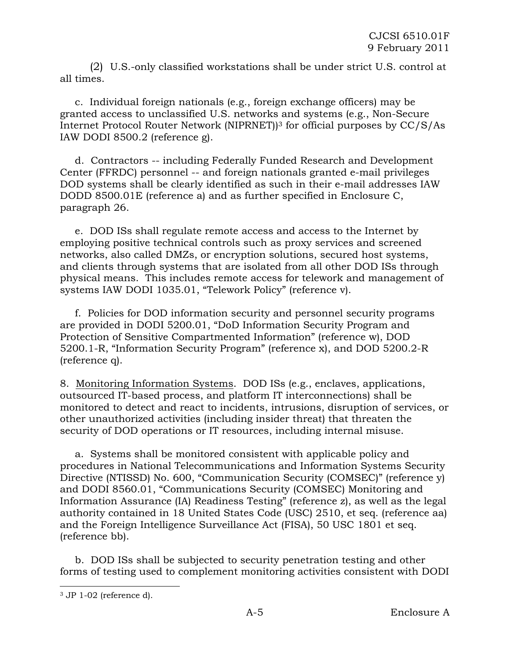(2) U.S.-only classified workstations shall be under strict U.S. control at all times.

c. Individual foreign nationals (e.g., foreign exchange officers) may be granted access to unclassified U.S. networks and systems (e.g., Non-Secure Internet Protocol Router Network (NIPRNET))3 for official purposes by CC/S/As IAW DODI 8500.2 (reference g).

d. Contractors -- including Federally Funded Research and Development Center (FFRDC) personnel -- and foreign nationals granted e-mail privileges DOD systems shall be clearly identified as such in their e-mail addresses IAW DODD 8500.01E (reference a) and as further specified in Enclosure C, paragraph 26.

e. DOD ISs shall regulate remote access and access to the Internet by employing positive technical controls such as proxy services and screened networks, also called DMZs, or encryption solutions, secured host systems, and clients through systems that are isolated from all other DOD ISs through physical means. This includes remote access for telework and management of systems IAW DODI 1035.01, "Telework Policy" (reference v).

f. Policies for DOD information security and personnel security programs are provided in DODI 5200.01, "DoD Information Security Program and Protection of Sensitive Compartmented Information" (reference w), DOD 5200.1-R, "Information Security Program" (reference x), and DOD 5200.2-R (reference q).

8. Monitoring Information Systems. DOD ISs (e.g., enclaves, applications, outsourced IT-based process, and platform IT interconnections) shall be monitored to detect and react to incidents, intrusions, disruption of services, or other unauthorized activities (including insider threat) that threaten the security of DOD operations or IT resources, including internal misuse.

a. Systems shall be monitored consistent with applicable policy and procedures in National Telecommunications and Information Systems Security Directive (NTISSD) No. 600, "Communication Security (COMSEC)" (reference y) and DODI 8560.01, "Communications Security (COMSEC) Monitoring and Information Assurance (IA) Readiness Testing" (reference z), as well as the legal authority contained in 18 United States Code (USC) 2510, et seq. (reference aa) and the Foreign Intelligence Surveillance Act (FISA), 50 USC 1801 et seq. (reference bb).

b. DOD ISs shall be subjected to security penetration testing and other forms of testing used to complement monitoring activities consistent with DODI

 $\overline{a}$ 

<sup>3</sup> JP 1-02 (reference d).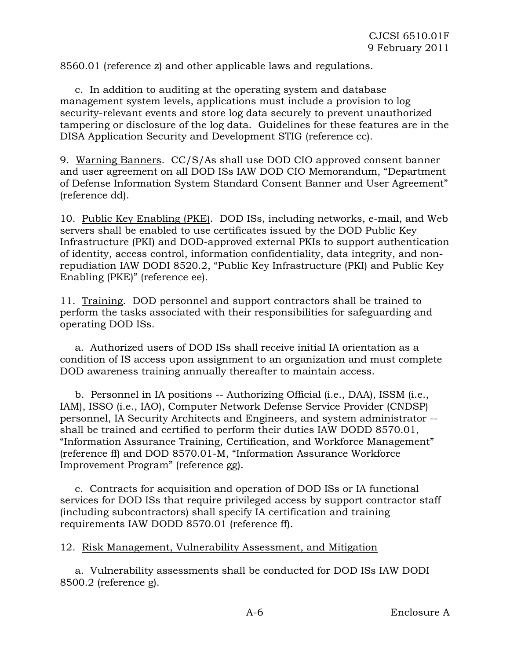8560.01 (reference z) and other applicable laws and regulations.

c. In addition to auditing at the operating system and database management system levels, applications must include a provision to log security-relevant events and store log data securely to prevent unauthorized tampering or disclosure of the log data. Guidelines for these features are in the DISA Application Security and Development STIG (reference cc).

9. Warning Banners. CC/S/As shall use DOD CIO approved consent banner and user agreement on all DOD ISs IAW DOD CIO Memorandum, "Department of Defense Information System Standard Consent Banner and User Agreement" (reference dd).

10. Public Key Enabling (PKE). DOD ISs, including networks, e-mail, and Web servers shall be enabled to use certificates issued by the DOD Public Key Infrastructure (PKI) and DOD-approved external PKIs to support authentication of identity, access control, information confidentiality, data integrity, and nonrepudiation IAW DODI 8520.2, "Public Key Infrastructure (PKI) and Public Key Enabling (PKE)" (reference ee).

11. Training. DOD personnel and support contractors shall be trained to perform the tasks associated with their responsibilities for safeguarding and operating DOD ISs.

a. Authorized users of DOD ISs shall receive initial IA orientation as a condition of IS access upon assignment to an organization and must complete DOD awareness training annually thereafter to maintain access.

b. Personnel in IA positions -- Authorizing Official (i.e., DAA), ISSM (i.e., IAM), ISSO (i.e., IAO), Computer Network Defense Service Provider (CNDSP) personnel, IA Security Architects and Engineers, and system administrator - shall be trained and certified to perform their duties IAW DODD 8570.01, "Information Assurance Training, Certification, and Workforce Management" (reference ff) and DOD 8570.01-M, "Information Assurance Workforce Improvement Program" (reference gg).

c. Contracts for acquisition and operation of DOD ISs or IA functional services for DOD ISs that require privileged access by support contractor staff (including subcontractors) shall specify IA certification and training requirements IAW DODD 8570.01 (reference ff).

# 12. Risk Management, Vulnerability Assessment, and Mitigation

a. Vulnerability assessments shall be conducted for DOD ISs IAW DODI 8500.2 (reference g).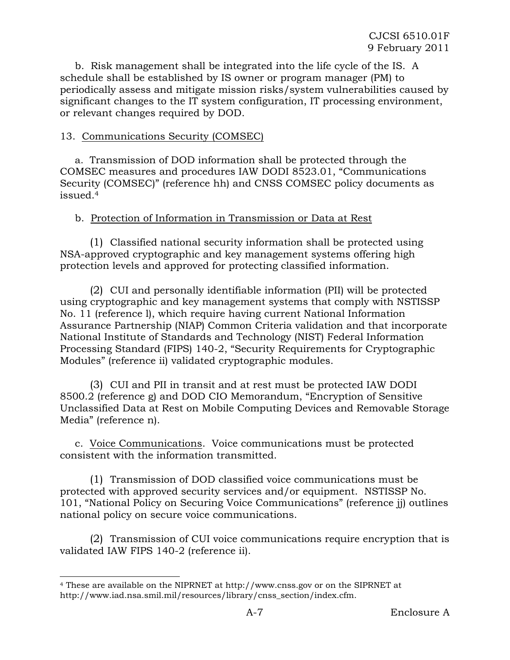b. Risk management shall be integrated into the life cycle of the IS. A schedule shall be established by IS owner or program manager (PM) to periodically assess and mitigate mission risks/system vulnerabilities caused by significant changes to the IT system configuration, IT processing environment, or relevant changes required by DOD.

## 13. Communications Security (COMSEC)

a. Transmission of DOD information shall be protected through the COMSEC measures and procedures IAW DODI 8523.01, "Communications Security (COMSEC)" (reference hh) and CNSS COMSEC policy documents as issued.4

# b. Protection of Information in Transmission or Data at Rest

(1) Classified national security information shall be protected using NSA-approved cryptographic and key management systems offering high protection levels and approved for protecting classified information.

(2) CUI and personally identifiable information (PII) will be protected using cryptographic and key management systems that comply with NSTISSP No. 11 (reference l), which require having current National Information Assurance Partnership (NIAP) Common Criteria validation and that incorporate National Institute of Standards and Technology (NIST) Federal Information Processing Standard (FIPS) 140-2, "Security Requirements for Cryptographic Modules" (reference ii) validated cryptographic modules.

(3) CUI and PII in transit and at rest must be protected IAW DODI 8500.2 (reference g) and DOD CIO Memorandum, "Encryption of Sensitive Unclassified Data at Rest on Mobile Computing Devices and Removable Storage Media" (reference n).

c. Voice Communications. Voice communications must be protected consistent with the information transmitted.

(1) Transmission of DOD classified voice communications must be protected with approved security services and/or equipment. NSTISSP No. 101, "National Policy on Securing Voice Communications" (reference jj) outlines national policy on secure voice communications.

(2) Transmission of CUI voice communications require encryption that is validated IAW FIPS 140-2 (reference ii).

 $\overline{\phantom{a}}$ 4 These are available on the NIPRNET at http://www.cnss.gov or on the SIPRNET at http://www.iad.nsa.smil.mil/resources/library/cnss\_section/index.cfm.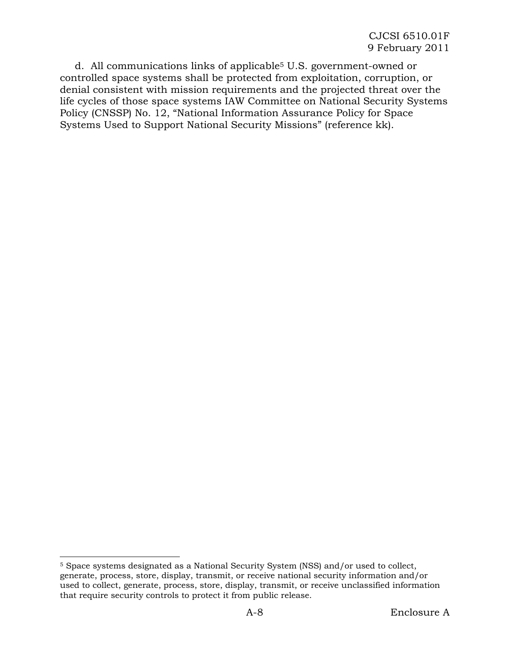d. All communications links of applicable<sup>5</sup> U.S. government-owned or controlled space systems shall be protected from exploitation, corruption, or denial consistent with mission requirements and the projected threat over the life cycles of those space systems IAW Committee on National Security Systems Policy (CNSSP) No. 12, "National Information Assurance Policy for Space Systems Used to Support National Security Missions" (reference kk).

 $\overline{a}$ 

 $5$  Space systems designated as a National Security System (NSS) and/or used to collect, generate, process, store, display, transmit, or receive national security information and/or used to collect, generate, process, store, display, transmit, or receive unclassified information that require security controls to protect it from public release.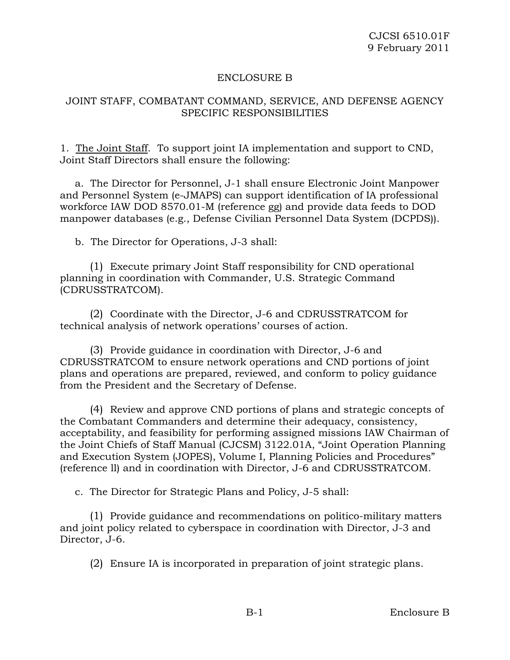## ENCLOSURE B

#### JOINT STAFF, COMBATANT COMMAND, SERVICE, AND DEFENSE AGENCY SPECIFIC RESPONSIBILITIES

1. The Joint Staff. To support joint IA implementation and support to CND, Joint Staff Directors shall ensure the following:

a. The Director for Personnel, J-1 shall ensure Electronic Joint Manpower and Personnel System (e-JMAPS) can support identification of IA professional workforce IAW DOD 8570.01-M (reference gg) and provide data feeds to DOD manpower databases (e.g., Defense Civilian Personnel Data System (DCPDS)).

b. The Director for Operations, J-3 shall:

(1) Execute primary Joint Staff responsibility for CND operational planning in coordination with Commander, U.S. Strategic Command (CDRUSSTRATCOM).

(2) Coordinate with the Director, J-6 and CDRUSSTRATCOM for technical analysis of network operations' courses of action.

(3) Provide guidance in coordination with Director, J-6 and CDRUSSTRATCOM to ensure network operations and CND portions of joint plans and operations are prepared, reviewed, and conform to policy guidance from the President and the Secretary of Defense.

(4) Review and approve CND portions of plans and strategic concepts of the Combatant Commanders and determine their adequacy, consistency, acceptability, and feasibility for performing assigned missions IAW Chairman of the Joint Chiefs of Staff Manual (CJCSM) 3122.01A, "Joint Operation Planning and Execution System (JOPES), Volume I, Planning Policies and Procedures" (reference ll) and in coordination with Director, J-6 and CDRUSSTRATCOM.

c. The Director for Strategic Plans and Policy, J-5 shall:

(1) Provide guidance and recommendations on politico-military matters and joint policy related to cyberspace in coordination with Director, J-3 and Director, J-6.

(2) Ensure IA is incorporated in preparation of joint strategic plans.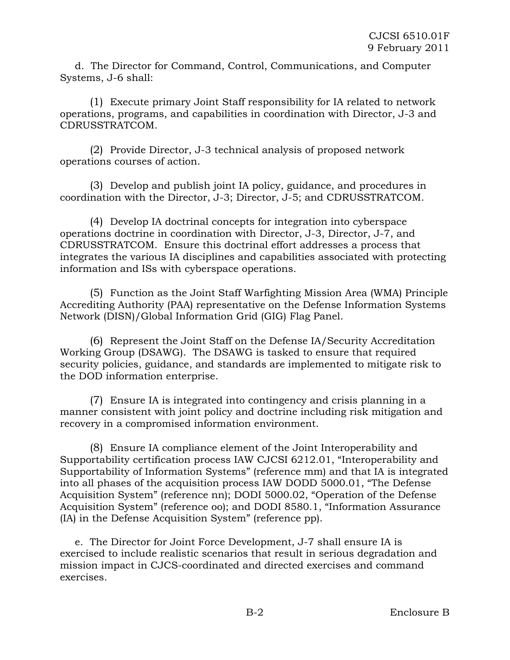d. The Director for Command, Control, Communications, and Computer Systems, J-6 shall:

(1) Execute primary Joint Staff responsibility for IA related to network operations, programs, and capabilities in coordination with Director, J-3 and CDRUSSTRATCOM.

(2) Provide Director, J-3 technical analysis of proposed network operations courses of action.

(3) Develop and publish joint IA policy, guidance, and procedures in coordination with the Director, J-3; Director, J-5; and CDRUSSTRATCOM.

(4) Develop IA doctrinal concepts for integration into cyberspace operations doctrine in coordination with Director, J-3, Director, J-7, and CDRUSSTRATCOM. Ensure this doctrinal effort addresses a process that integrates the various IA disciplines and capabilities associated with protecting information and ISs with cyberspace operations.

(5) Function as the Joint Staff Warfighting Mission Area (WMA) Principle Accrediting Authority (PAA) representative on the Defense Information Systems Network (DISN)/Global Information Grid (GIG) Flag Panel.

(6) Represent the Joint Staff on the Defense IA/Security Accreditation Working Group (DSAWG). The DSAWG is tasked to ensure that required security policies, guidance, and standards are implemented to mitigate risk to the DOD information enterprise.

(7) Ensure IA is integrated into contingency and crisis planning in a manner consistent with joint policy and doctrine including risk mitigation and recovery in a compromised information environment.

(8) Ensure IA compliance element of the Joint Interoperability and Supportability certification process IAW CJCSI 6212.01, "Interoperability and Supportability of Information Systems" (reference mm) and that IA is integrated into all phases of the acquisition process IAW DODD 5000.01, "The Defense Acquisition System" (reference nn); DODI 5000.02, "Operation of the Defense Acquisition System" (reference oo); and DODI 8580.1, "Information Assurance (IA) in the Defense Acquisition System" (reference pp).

e. The Director for Joint Force Development, J-7 shall ensure IA is exercised to include realistic scenarios that result in serious degradation and mission impact in CJCS-coordinated and directed exercises and command exercises.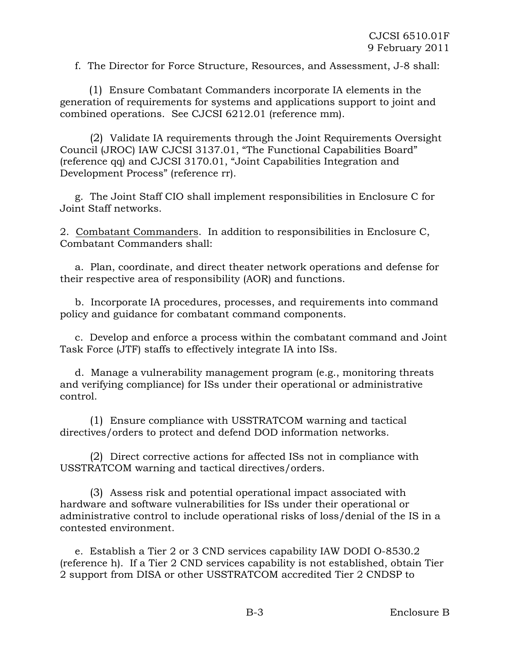f. The Director for Force Structure, Resources, and Assessment, J-8 shall:

(1) Ensure Combatant Commanders incorporate IA elements in the generation of requirements for systems and applications support to joint and combined operations. See CJCSI 6212.01 (reference mm).

(2) Validate IA requirements through the Joint Requirements Oversight Council (JROC) IAW CJCSI 3137.01, "The Functional Capabilities Board" (reference qq) and CJCSI 3170.01, "Joint Capabilities Integration and Development Process" (reference rr).

g. The Joint Staff CIO shall implement responsibilities in Enclosure C for Joint Staff networks.

2. Combatant Commanders. In addition to responsibilities in Enclosure C, Combatant Commanders shall:

a. Plan, coordinate, and direct theater network operations and defense for their respective area of responsibility (AOR) and functions.

b. Incorporate IA procedures, processes, and requirements into command policy and guidance for combatant command components.

c. Develop and enforce a process within the combatant command and Joint Task Force (JTF) staffs to effectively integrate IA into ISs.

d. Manage a vulnerability management program (e.g., monitoring threats and verifying compliance) for ISs under their operational or administrative control.

(1) Ensure compliance with USSTRATCOM warning and tactical directives/orders to protect and defend DOD information networks.

(2) Direct corrective actions for affected ISs not in compliance with USSTRATCOM warning and tactical directives/orders.

(3) Assess risk and potential operational impact associated with hardware and software vulnerabilities for ISs under their operational or administrative control to include operational risks of loss/denial of the IS in a contested environment.

e. Establish a Tier 2 or 3 CND services capability IAW DODI O-8530.2 (reference h). If a Tier 2 CND services capability is not established, obtain Tier 2 support from DISA or other USSTRATCOM accredited Tier 2 CNDSP to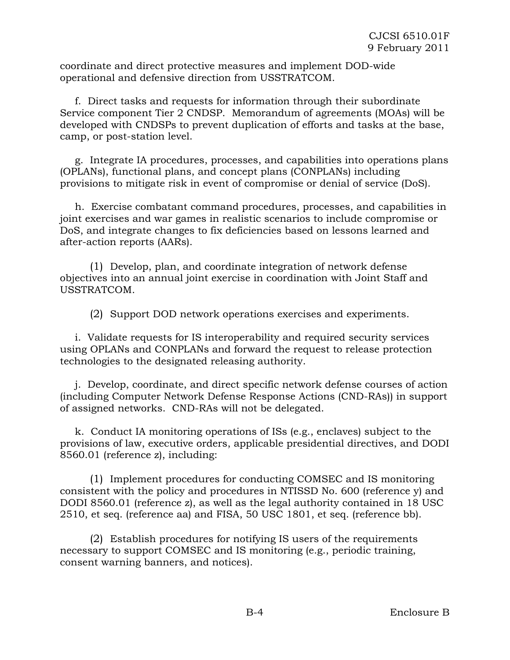coordinate and direct protective measures and implement DOD-wide operational and defensive direction from USSTRATCOM.

f. Direct tasks and requests for information through their subordinate Service component Tier 2 CNDSP. Memorandum of agreements (MOAs) will be developed with CNDSPs to prevent duplication of efforts and tasks at the base, camp, or post-station level.

g. Integrate IA procedures, processes, and capabilities into operations plans (OPLANs), functional plans, and concept plans (CONPLANs) including provisions to mitigate risk in event of compromise or denial of service (DoS).

h. Exercise combatant command procedures, processes, and capabilities in joint exercises and war games in realistic scenarios to include compromise or DoS, and integrate changes to fix deficiencies based on lessons learned and after-action reports (AARs).

(1) Develop, plan, and coordinate integration of network defense objectives into an annual joint exercise in coordination with Joint Staff and USSTRATCOM.

(2) Support DOD network operations exercises and experiments.

i. Validate requests for IS interoperability and required security services using OPLANs and CONPLANs and forward the request to release protection technologies to the designated releasing authority.

j. Develop, coordinate, and direct specific network defense courses of action (including Computer Network Defense Response Actions (CND-RAs)) in support of assigned networks. CND-RAs will not be delegated.

k. Conduct IA monitoring operations of ISs (e.g., enclaves) subject to the provisions of law, executive orders, applicable presidential directives, and DODI 8560.01 (reference z), including:

(1) Implement procedures for conducting COMSEC and IS monitoring consistent with the policy and procedures in NTISSD No. 600 (reference y) and DODI 8560.01 (reference z), as well as the legal authority contained in 18 USC 2510, et seq. (reference aa) and FISA, 50 USC 1801, et seq. (reference bb).

(2) Establish procedures for notifying IS users of the requirements necessary to support COMSEC and IS monitoring (e.g., periodic training, consent warning banners, and notices).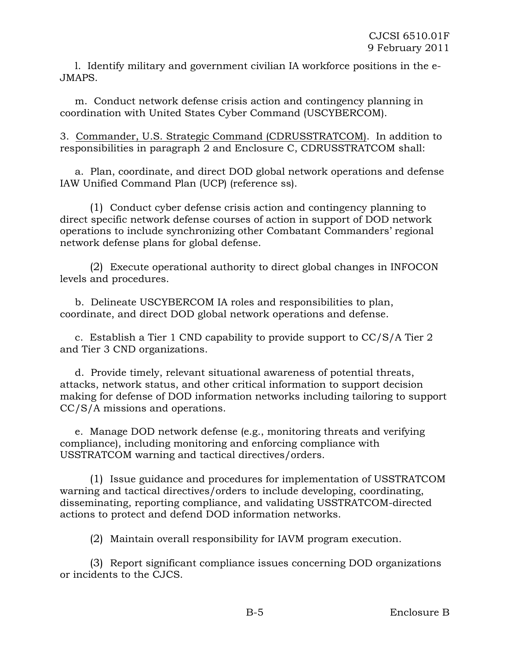l. Identify military and government civilian IA workforce positions in the e-JMAPS.

m. Conduct network defense crisis action and contingency planning in coordination with United States Cyber Command (USCYBERCOM).

3. Commander, U.S. Strategic Command (CDRUSSTRATCOM). In addition to responsibilities in paragraph 2 and Enclosure C, CDRUSSTRATCOM shall:

a. Plan, coordinate, and direct DOD global network operations and defense IAW Unified Command Plan (UCP) (reference ss).

(1) Conduct cyber defense crisis action and contingency planning to direct specific network defense courses of action in support of DOD network operations to include synchronizing other Combatant Commanders' regional network defense plans for global defense.

(2) Execute operational authority to direct global changes in INFOCON levels and procedures.

b. Delineate USCYBERCOM IA roles and responsibilities to plan, coordinate, and direct DOD global network operations and defense.

c. Establish a Tier 1 CND capability to provide support to CC/S/A Tier 2 and Tier 3 CND organizations.

d. Provide timely, relevant situational awareness of potential threats, attacks, network status, and other critical information to support decision making for defense of DOD information networks including tailoring to support CC/S/A missions and operations.

e. Manage DOD network defense (e.g., monitoring threats and verifying compliance), including monitoring and enforcing compliance with USSTRATCOM warning and tactical directives/orders.

(1) Issue guidance and procedures for implementation of USSTRATCOM warning and tactical directives/orders to include developing, coordinating, disseminating, reporting compliance, and validating USSTRATCOM-directed actions to protect and defend DOD information networks.

(2) Maintain overall responsibility for IAVM program execution.

(3) Report significant compliance issues concerning DOD organizations or incidents to the CJCS.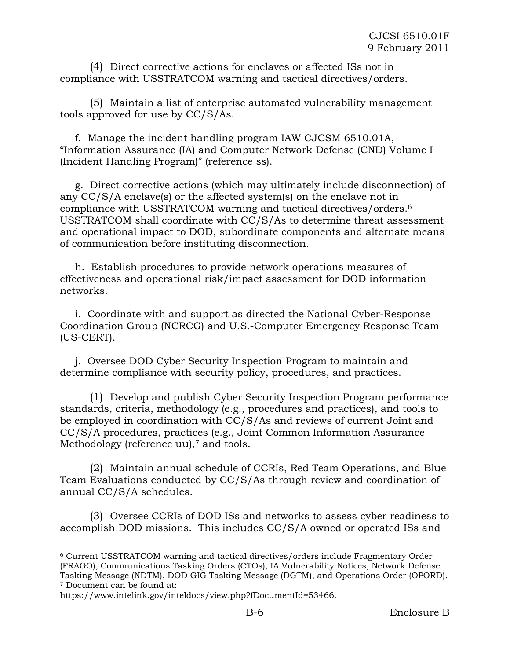(4) Direct corrective actions for enclaves or affected ISs not in compliance with USSTRATCOM warning and tactical directives/orders.

(5) Maintain a list of enterprise automated vulnerability management tools approved for use by CC/S/As.

f. Manage the incident handling program IAW CJCSM 6510.01A, "Information Assurance (IA) and Computer Network Defense (CND) Volume I (Incident Handling Program)" (reference ss).

g. Direct corrective actions (which may ultimately include disconnection) of any CC/S/A enclave(s) or the affected system(s) on the enclave not in compliance with USSTRATCOM warning and tactical directives/orders.6 USSTRATCOM shall coordinate with  $C\bar{C}/S/As$  to determine threat assessment and operational impact to DOD, subordinate components and alternate means of communication before instituting disconnection.

h. Establish procedures to provide network operations measures of effectiveness and operational risk/impact assessment for DOD information networks.

i. Coordinate with and support as directed the National Cyber-Response Coordination Group (NCRCG) and U.S.-Computer Emergency Response Team (US-CERT).

j. Oversee DOD Cyber Security Inspection Program to maintain and determine compliance with security policy, procedures, and practices.

(1) Develop and publish Cyber Security Inspection Program performance standards, criteria, methodology (e.g., procedures and practices), and tools to be employed in coordination with CC/S/As and reviews of current Joint and CC/S/A procedures, practices (e.g., Joint Common Information Assurance Methodology (reference uu),<sup>7</sup> and tools.

(2) Maintain annual schedule of CCRIs, Red Team Operations, and Blue Team Evaluations conducted by CC/S/As through review and coordination of annual CC/S/A schedules.

(3) Oversee CCRIs of DOD ISs and networks to assess cyber readiness to accomplish DOD missions. This includes CC/S/A owned or operated ISs and

 $\overline{\phantom{a}}$ 

<sup>6</sup> Current USSTRATCOM warning and tactical directives/orders include Fragmentary Order (FRAGO), Communications Tasking Orders (CTOs), IA Vulnerability Notices, Network Defense Tasking Message (NDTM), DOD GIG Tasking Message (DGTM), and Operations Order (OPORD). 7 Document can be found at:

https://www.intelink.gov/inteldocs/view.php?fDocumentId=53466.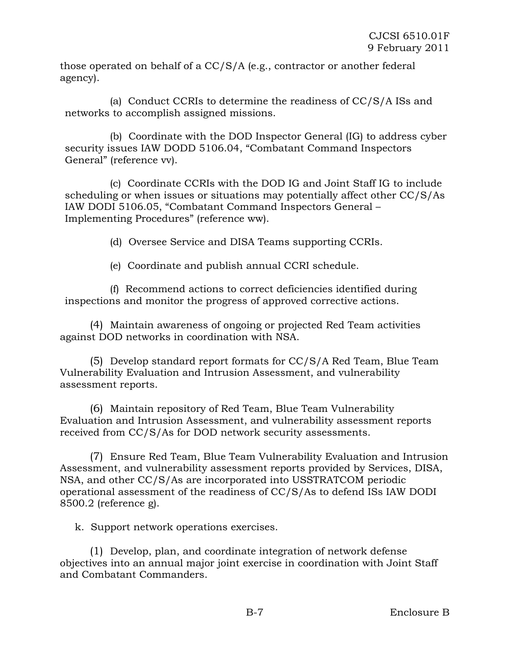those operated on behalf of a CC/S/A (e.g., contractor or another federal agency).

(a) Conduct CCRIs to determine the readiness of CC/S/A ISs and networks to accomplish assigned missions.

(b) Coordinate with the DOD Inspector General (IG) to address cyber security issues IAW DODD 5106.04, "Combatant Command Inspectors General" (reference vv).

(c) Coordinate CCRIs with the DOD IG and Joint Staff IG to include scheduling or when issues or situations may potentially affect other CC/S/As IAW DODI 5106.05, "Combatant Command Inspectors General – Implementing Procedures" (reference ww).

(d) Oversee Service and DISA Teams supporting CCRIs.

(e) Coordinate and publish annual CCRI schedule.

(f) Recommend actions to correct deficiencies identified during inspections and monitor the progress of approved corrective actions.

(4) Maintain awareness of ongoing or projected Red Team activities against DOD networks in coordination with NSA.

(5) Develop standard report formats for CC/S/A Red Team, Blue Team Vulnerability Evaluation and Intrusion Assessment, and vulnerability assessment reports.

(6) Maintain repository of Red Team, Blue Team Vulnerability Evaluation and Intrusion Assessment, and vulnerability assessment reports received from CC/S/As for DOD network security assessments.

(7) Ensure Red Team, Blue Team Vulnerability Evaluation and Intrusion Assessment, and vulnerability assessment reports provided by Services, DISA, NSA, and other CC/S/As are incorporated into USSTRATCOM periodic operational assessment of the readiness of CC/S/As to defend ISs IAW DODI 8500.2 (reference g).

k. Support network operations exercises.

(1) Develop, plan, and coordinate integration of network defense objectives into an annual major joint exercise in coordination with Joint Staff and Combatant Commanders.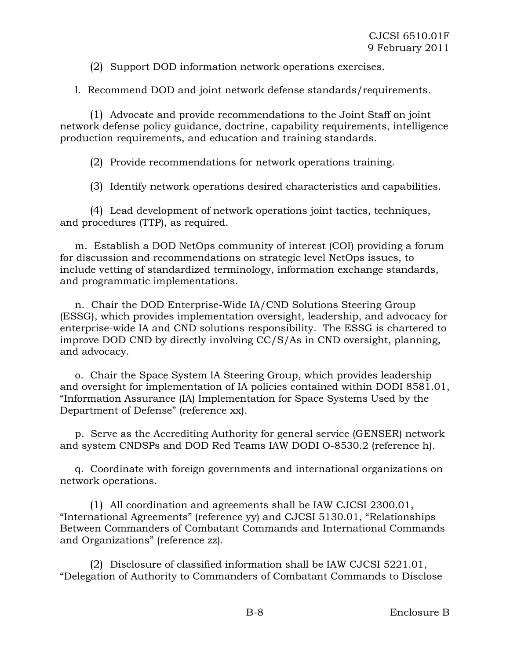(2) Support DOD information network operations exercises.

l. Recommend DOD and joint network defense standards/requirements.

(1) Advocate and provide recommendations to the Joint Staff on joint network defense policy guidance, doctrine, capability requirements, intelligence production requirements, and education and training standards.

(2) Provide recommendations for network operations training.

(3) Identify network operations desired characteristics and capabilities.

(4) Lead development of network operations joint tactics, techniques, and procedures (TTP), as required.

m. Establish a DOD NetOps community of interest (COI) providing a forum for discussion and recommendations on strategic level NetOps issues, to include vetting of standardized terminology, information exchange standards, and programmatic implementations.

n. Chair the DOD Enterprise-Wide IA/CND Solutions Steering Group (ESSG), which provides implementation oversight, leadership, and advocacy for enterprise-wide IA and CND solutions responsibility. The ESSG is chartered to improve DOD CND by directly involving CC/S/As in CND oversight, planning, and advocacy.

o. Chair the Space System IA Steering Group, which provides leadership and oversight for implementation of IA policies contained within DODI 8581.01, "Information Assurance (IA) Implementation for Space Systems Used by the Department of Defense" (reference xx).

p. Serve as the Accrediting Authority for general service (GENSER) network and system CNDSPs and DOD Red Teams IAW DODI O-8530.2 (reference h).

q. Coordinate with foreign governments and international organizations on network operations.

(1) All coordination and agreements shall be IAW CJCSI 2300.01, "International Agreements" (reference yy) and CJCSI 5130.01, "Relationships Between Commanders of Combatant Commands and International Commands and Organizations" (reference zz).

(2) Disclosure of classified information shall be IAW CJCSI 5221.01, "Delegation of Authority to Commanders of Combatant Commands to Disclose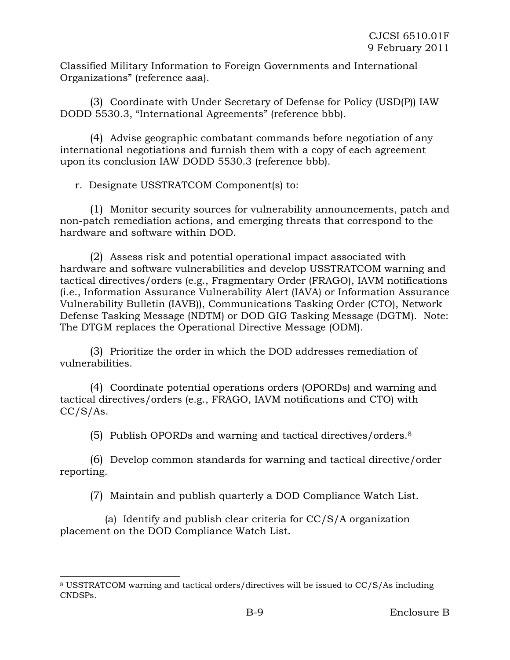Classified Military Information to Foreign Governments and International Organizations" (reference aaa).

(3) Coordinate with Under Secretary of Defense for Policy (USD(P)) IAW DODD 5530.3, "International Agreements" (reference bbb).

(4) Advise geographic combatant commands before negotiation of any international negotiations and furnish them with a copy of each agreement upon its conclusion IAW DODD 5530.3 (reference bbb).

r. Designate USSTRATCOM Component(s) to:

(1) Monitor security sources for vulnerability announcements, patch and non-patch remediation actions, and emerging threats that correspond to the hardware and software within DOD.

(2) Assess risk and potential operational impact associated with hardware and software vulnerabilities and develop USSTRATCOM warning and tactical directives/orders (e.g., Fragmentary Order (FRAGO), IAVM notifications (i.e., Information Assurance Vulnerability Alert (IAVA) or Information Assurance Vulnerability Bulletin (IAVB)), Communications Tasking Order (CTO), Network Defense Tasking Message (NDTM) or DOD GIG Tasking Message (DGTM). Note: The DTGM replaces the Operational Directive Message (ODM).

(3) Prioritize the order in which the DOD addresses remediation of vulnerabilities.

(4) Coordinate potential operations orders (OPORDs) and warning and tactical directives/orders (e.g., FRAGO, IAVM notifications and CTO) with  $CC/S/As.$ 

(5) Publish OPORDs and warning and tactical directives/orders.8

(6) Develop common standards for warning and tactical directive/order reporting.

(7) Maintain and publish quarterly a DOD Compliance Watch List.

(a) Identify and publish clear criteria for CC/S/A organization placement on the DOD Compliance Watch List.

 $\overline{\phantom{a}}$ 8 USSTRATCOM warning and tactical orders/directives will be issued to CC/S/As including CNDSPs.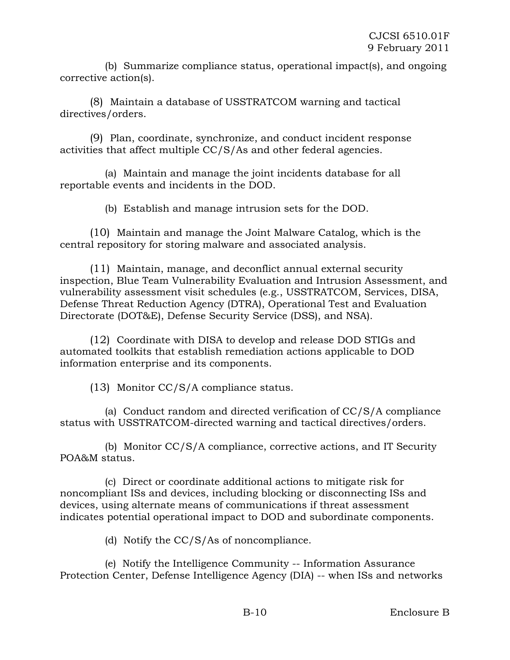(b) Summarize compliance status, operational impact(s), and ongoing corrective action(s).

(8) Maintain a database of USSTRATCOM warning and tactical directives/orders.

(9) Plan, coordinate, synchronize, and conduct incident response activities that affect multiple CC/S/As and other federal agencies.

(a) Maintain and manage the joint incidents database for all reportable events and incidents in the DOD.

(b) Establish and manage intrusion sets for the DOD.

(10) Maintain and manage the Joint Malware Catalog, which is the central repository for storing malware and associated analysis.

(11) Maintain, manage, and deconflict annual external security inspection, Blue Team Vulnerability Evaluation and Intrusion Assessment, and vulnerability assessment visit schedules (e.g., USSTRATCOM, Services, DISA, Defense Threat Reduction Agency (DTRA), Operational Test and Evaluation Directorate (DOT&E), Defense Security Service (DSS), and NSA).

(12) Coordinate with DISA to develop and release DOD STIGs and automated toolkits that establish remediation actions applicable to DOD information enterprise and its components.

(13) Monitor CC/S/A compliance status.

(a) Conduct random and directed verification of CC/S/A compliance status with USSTRATCOM-directed warning and tactical directives/orders.

(b) Monitor CC/S/A compliance, corrective actions, and IT Security POA&M status.

(c) Direct or coordinate additional actions to mitigate risk for noncompliant ISs and devices, including blocking or disconnecting ISs and devices, using alternate means of communications if threat assessment indicates potential operational impact to DOD and subordinate components.

(d) Notify the CC/S/As of noncompliance.

(e) Notify the Intelligence Community -- Information Assurance Protection Center, Defense Intelligence Agency (DIA) -- when ISs and networks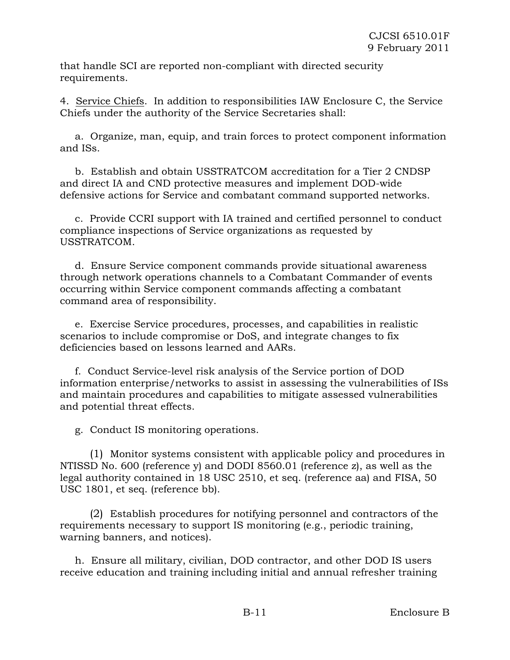that handle SCI are reported non-compliant with directed security requirements.

4. Service Chiefs. In addition to responsibilities IAW Enclosure C, the Service Chiefs under the authority of the Service Secretaries shall:

a. Organize, man, equip, and train forces to protect component information and ISs.

b. Establish and obtain USSTRATCOM accreditation for a Tier 2 CNDSP and direct IA and CND protective measures and implement DOD-wide defensive actions for Service and combatant command supported networks.

c. Provide CCRI support with IA trained and certified personnel to conduct compliance inspections of Service organizations as requested by USSTRATCOM.

d. Ensure Service component commands provide situational awareness through network operations channels to a Combatant Commander of events occurring within Service component commands affecting a combatant command area of responsibility.

e. Exercise Service procedures, processes, and capabilities in realistic scenarios to include compromise or DoS, and integrate changes to fix deficiencies based on lessons learned and AARs.

f. Conduct Service-level risk analysis of the Service portion of DOD information enterprise/networks to assist in assessing the vulnerabilities of ISs and maintain procedures and capabilities to mitigate assessed vulnerabilities and potential threat effects.

g. Conduct IS monitoring operations.

(1) Monitor systems consistent with applicable policy and procedures in NTISSD No. 600 (reference y) and DODI 8560.01 (reference z), as well as the legal authority contained in 18 USC 2510, et seq. (reference aa) and FISA, 50 USC 1801, et seq. (reference bb).

(2) Establish procedures for notifying personnel and contractors of the requirements necessary to support IS monitoring (e.g., periodic training, warning banners, and notices).

h. Ensure all military, civilian, DOD contractor, and other DOD IS users receive education and training including initial and annual refresher training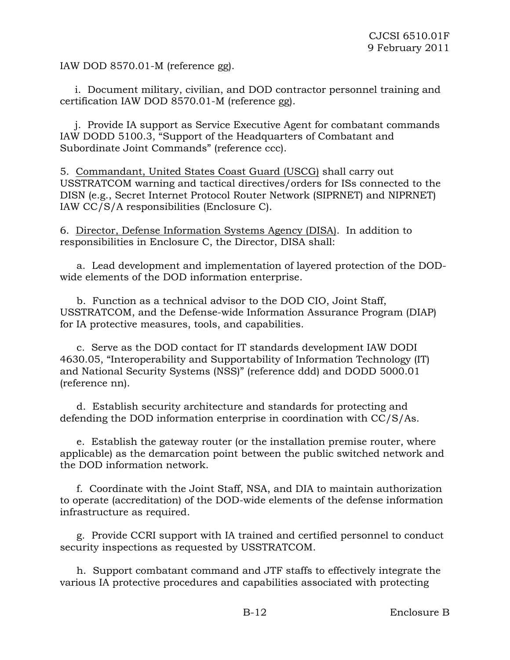IAW DOD 8570.01-M (reference gg).

i. Document military, civilian, and DOD contractor personnel training and certification IAW DOD 8570.01-M (reference gg).

j. Provide IA support as Service Executive Agent for combatant commands IAW DODD 5100.3, "Support of the Headquarters of Combatant and Subordinate Joint Commands" (reference ccc).

5. Commandant, United States Coast Guard (USCG) shall carry out USSTRATCOM warning and tactical directives/orders for ISs connected to the DISN (e.g., Secret Internet Protocol Router Network (SIPRNET) and NIPRNET) IAW CC/S/A responsibilities (Enclosure C).

6. Director, Defense Information Systems Agency (DISA). In addition to responsibilities in Enclosure C, the Director, DISA shall:

a. Lead development and implementation of layered protection of the DODwide elements of the DOD information enterprise.

b. Function as a technical advisor to the DOD CIO, Joint Staff, USSTRATCOM, and the Defense-wide Information Assurance Program (DIAP) for IA protective measures, tools, and capabilities.

c. Serve as the DOD contact for IT standards development IAW DODI 4630.05, "Interoperability and Supportability of Information Technology (IT) and National Security Systems (NSS)" (reference ddd) and DODD 5000.01 (reference nn).

d. Establish security architecture and standards for protecting and defending the DOD information enterprise in coordination with CC/S/As.

e. Establish the gateway router (or the installation premise router, where applicable) as the demarcation point between the public switched network and the DOD information network.

f. Coordinate with the Joint Staff, NSA, and DIA to maintain authorization to operate (accreditation) of the DOD-wide elements of the defense information infrastructure as required.

g. Provide CCRI support with IA trained and certified personnel to conduct security inspections as requested by USSTRATCOM.

h. Support combatant command and JTF staffs to effectively integrate the various IA protective procedures and capabilities associated with protecting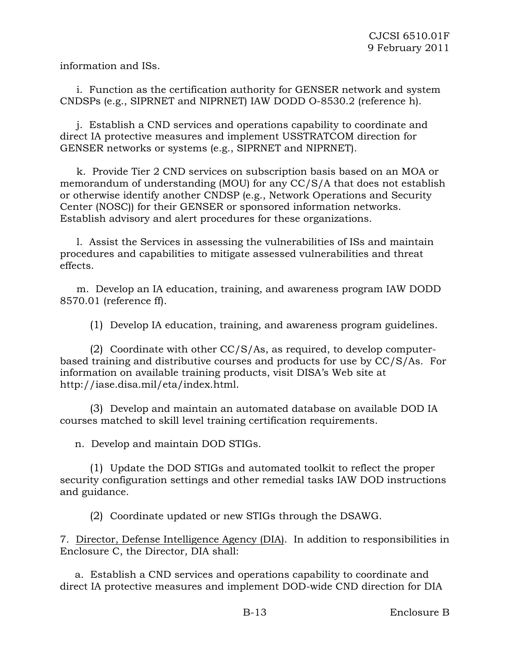information and ISs.

i. Function as the certification authority for GENSER network and system CNDSPs (e.g., SIPRNET and NIPRNET) IAW DODD O-8530.2 (reference h).

j. Establish a CND services and operations capability to coordinate and direct IA protective measures and implement USSTRATCOM direction for GENSER networks or systems (e.g., SIPRNET and NIPRNET).

k. Provide Tier 2 CND services on subscription basis based on an MOA or memorandum of understanding (MOU) for any CC/S/A that does not establish or otherwise identify another CNDSP (e.g., Network Operations and Security Center (NOSC)) for their GENSER or sponsored information networks. Establish advisory and alert procedures for these organizations.

l. Assist the Services in assessing the vulnerabilities of ISs and maintain procedures and capabilities to mitigate assessed vulnerabilities and threat effects.

m. Develop an IA education, training, and awareness program IAW DODD 8570.01 (reference ff).

(1) Develop IA education, training, and awareness program guidelines.

(2) Coordinate with other CC/S/As, as required, to develop computerbased training and distributive courses and products for use by CC/S/As. For information on available training products, visit DISA's Web site at http://iase.disa.mil/eta/index.html.

(3) Develop and maintain an automated database on available DOD IA courses matched to skill level training certification requirements.

n. Develop and maintain DOD STIGs.

(1) Update the DOD STIGs and automated toolkit to reflect the proper security configuration settings and other remedial tasks IAW DOD instructions and guidance.

(2) Coordinate updated or new STIGs through the DSAWG.

7. Director, Defense Intelligence Agency (DIA). In addition to responsibilities in Enclosure C, the Director, DIA shall:

a. Establish a CND services and operations capability to coordinate and direct IA protective measures and implement DOD-wide CND direction for DIA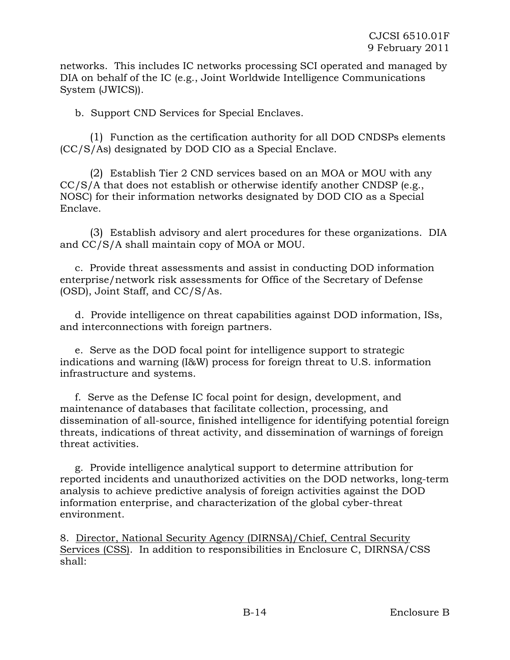networks. This includes IC networks processing SCI operated and managed by DIA on behalf of the IC (e.g., Joint Worldwide Intelligence Communications System (JWICS)).

b. Support CND Services for Special Enclaves.

(1) Function as the certification authority for all DOD CNDSPs elements (CC/S/As) designated by DOD CIO as a Special Enclave.

(2) Establish Tier 2 CND services based on an MOA or MOU with any CC/S/A that does not establish or otherwise identify another CNDSP (e.g., NOSC) for their information networks designated by DOD CIO as a Special Enclave.

(3) Establish advisory and alert procedures for these organizations. DIA and CC/S/A shall maintain copy of MOA or MOU.

c. Provide threat assessments and assist in conducting DOD information enterprise/network risk assessments for Office of the Secretary of Defense (OSD), Joint Staff, and CC/S/As.

d. Provide intelligence on threat capabilities against DOD information, ISs, and interconnections with foreign partners.

e. Serve as the DOD focal point for intelligence support to strategic indications and warning (I&W) process for foreign threat to U.S. information infrastructure and systems.

f. Serve as the Defense IC focal point for design, development, and maintenance of databases that facilitate collection, processing, and dissemination of all-source, finished intelligence for identifying potential foreign threats, indications of threat activity, and dissemination of warnings of foreign threat activities.

g. Provide intelligence analytical support to determine attribution for reported incidents and unauthorized activities on the DOD networks, long-term analysis to achieve predictive analysis of foreign activities against the DOD information enterprise, and characterization of the global cyber-threat environment.

8. Director, National Security Agency (DIRNSA)/Chief, Central Security Services (CSS). In addition to responsibilities in Enclosure C, DIRNSA/CSS shall: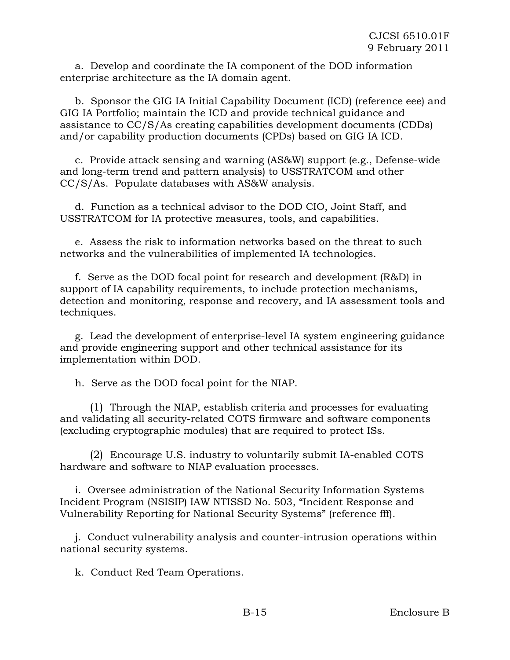a. Develop and coordinate the IA component of the DOD information enterprise architecture as the IA domain agent.

b. Sponsor the GIG IA Initial Capability Document (ICD) (reference eee) and GIG IA Portfolio; maintain the ICD and provide technical guidance and assistance to CC/S/As creating capabilities development documents (CDDs) and/or capability production documents (CPDs) based on GIG IA ICD.

c. Provide attack sensing and warning (AS&W) support (e.g., Defense-wide and long-term trend and pattern analysis) to USSTRATCOM and other CC/S/As. Populate databases with AS&W analysis.

d. Function as a technical advisor to the DOD CIO, Joint Staff, and USSTRATCOM for IA protective measures, tools, and capabilities.

e. Assess the risk to information networks based on the threat to such networks and the vulnerabilities of implemented IA technologies.

f. Serve as the DOD focal point for research and development (R&D) in support of IA capability requirements, to include protection mechanisms, detection and monitoring, response and recovery, and IA assessment tools and techniques.

g. Lead the development of enterprise-level IA system engineering guidance and provide engineering support and other technical assistance for its implementation within DOD.

h. Serve as the DOD focal point for the NIAP.

(1) Through the NIAP, establish criteria and processes for evaluating and validating all security-related COTS firmware and software components (excluding cryptographic modules) that are required to protect ISs.

(2) Encourage U.S. industry to voluntarily submit IA-enabled COTS hardware and software to NIAP evaluation processes.

i. Oversee administration of the National Security Information Systems Incident Program (NSISIP) IAW NTISSD No. 503, "Incident Response and Vulnerability Reporting for National Security Systems" (reference fff).

j. Conduct vulnerability analysis and counter-intrusion operations within national security systems.

k. Conduct Red Team Operations.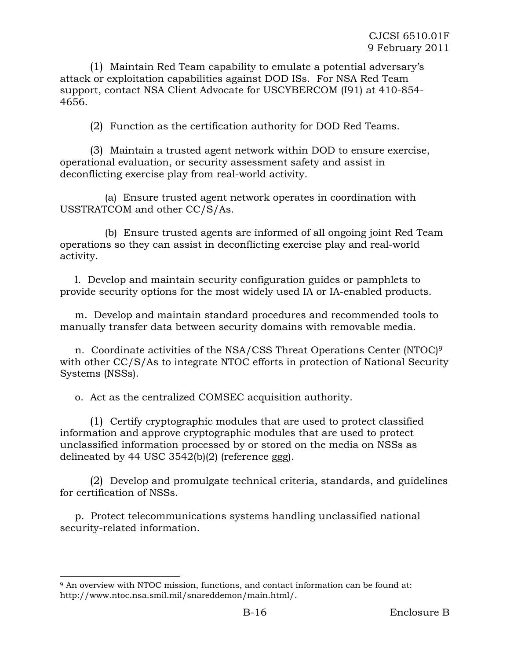(1) Maintain Red Team capability to emulate a potential adversary's attack or exploitation capabilities against DOD ISs. For NSA Red Team support, contact NSA Client Advocate for USCYBERCOM (I91) at 410-854- 4656.

(2) Function as the certification authority for DOD Red Teams.

(3) Maintain a trusted agent network within DOD to ensure exercise, operational evaluation, or security assessment safety and assist in deconflicting exercise play from real-world activity.

(a) Ensure trusted agent network operates in coordination with USSTRATCOM and other CC/S/As.

(b) Ensure trusted agents are informed of all ongoing joint Red Team operations so they can assist in deconflicting exercise play and real-world activity.

l. Develop and maintain security configuration guides or pamphlets to provide security options for the most widely used IA or IA-enabled products.

m. Develop and maintain standard procedures and recommended tools to manually transfer data between security domains with removable media.

n. Coordinate activities of the NSA/CSS Threat Operations Center (NTOC)9 with other  $CC/S/As$  to integrate NTOC efforts in protection of National Security Systems (NSSs).

o. Act as the centralized COMSEC acquisition authority.

(1) Certify cryptographic modules that are used to protect classified information and approve cryptographic modules that are used to protect unclassified information processed by or stored on the media on NSSs as delineated by 44 USC 3542(b)(2) (reference ggg).

(2) Develop and promulgate technical criteria, standards, and guidelines for certification of NSSs.

p. Protect telecommunications systems handling unclassified national security-related information.

 $\overline{\phantom{a}}$ 9 An overview with NTOC mission, functions, and contact information can be found at: http://www.ntoc.nsa.smil.mil/snareddemon/main.html/.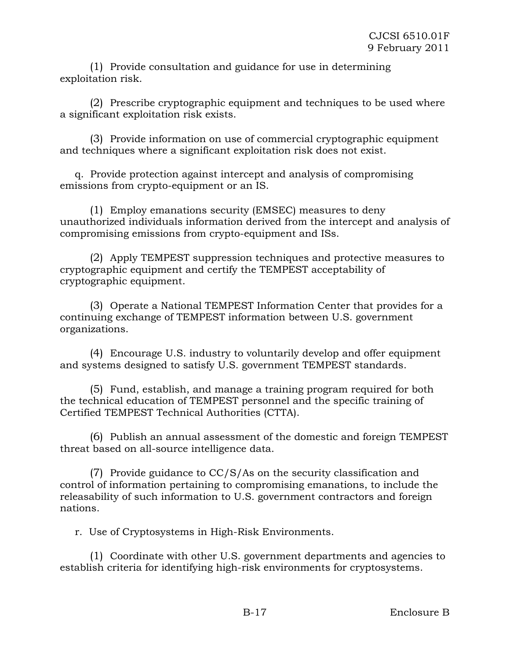(1) Provide consultation and guidance for use in determining exploitation risk.

(2) Prescribe cryptographic equipment and techniques to be used where a significant exploitation risk exists.

(3) Provide information on use of commercial cryptographic equipment and techniques where a significant exploitation risk does not exist.

q. Provide protection against intercept and analysis of compromising emissions from crypto-equipment or an IS.

(1) Employ emanations security (EMSEC) measures to deny unauthorized individuals information derived from the intercept and analysis of compromising emissions from crypto-equipment and ISs.

(2) Apply TEMPEST suppression techniques and protective measures to cryptographic equipment and certify the TEMPEST acceptability of cryptographic equipment.

(3) Operate a National TEMPEST Information Center that provides for a continuing exchange of TEMPEST information between U.S. government organizations.

(4) Encourage U.S. industry to voluntarily develop and offer equipment and systems designed to satisfy U.S. government TEMPEST standards.

(5) Fund, establish, and manage a training program required for both the technical education of TEMPEST personnel and the specific training of Certified TEMPEST Technical Authorities (CTTA).

(6) Publish an annual assessment of the domestic and foreign TEMPEST threat based on all-source intelligence data.

(7) Provide guidance to CC/S/As on the security classification and control of information pertaining to compromising emanations, to include the releasability of such information to U.S. government contractors and foreign nations.

r. Use of Cryptosystems in High-Risk Environments.

(1) Coordinate with other U.S. government departments and agencies to establish criteria for identifying high-risk environments for cryptosystems.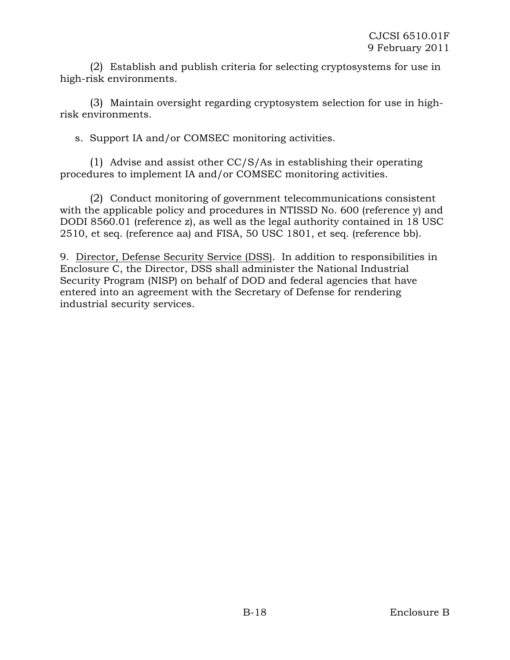(2) Establish and publish criteria for selecting cryptosystems for use in high-risk environments.

(3) Maintain oversight regarding cryptosystem selection for use in highrisk environments.

s. Support IA and/or COMSEC monitoring activities.

(1) Advise and assist other CC/S/As in establishing their operating procedures to implement IA and/or COMSEC monitoring activities.

(2) Conduct monitoring of government telecommunications consistent with the applicable policy and procedures in NTISSD No. 600 (reference y) and DODI 8560.01 (reference z), as well as the legal authority contained in 18 USC 2510, et seq. (reference aa) and FISA, 50 USC 1801, et seq. (reference bb).

9. Director, Defense Security Service (DSS). In addition to responsibilities in Enclosure C, the Director, DSS shall administer the National Industrial Security Program (NISP) on behalf of DOD and federal agencies that have entered into an agreement with the Secretary of Defense for rendering industrial security services.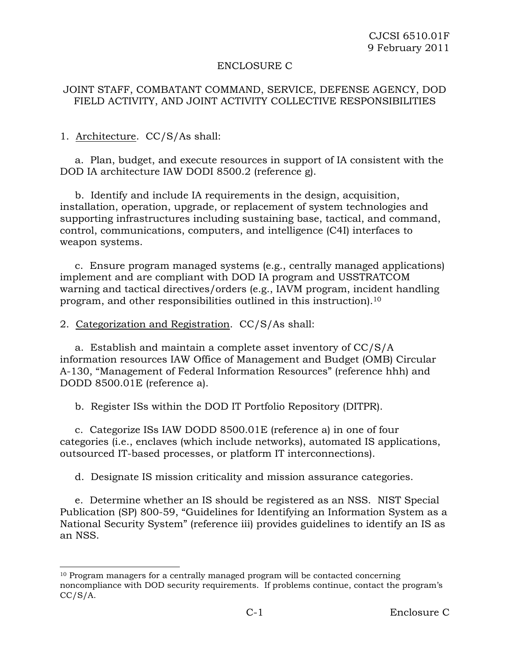#### ENCLOSURE C

#### JOINT STAFF, COMBATANT COMMAND, SERVICE, DEFENSE AGENCY, DOD FIELD ACTIVITY, AND JOINT ACTIVITY COLLECTIVE RESPONSIBILITIES

## 1. Architecture. CC/S/As shall:

 $\overline{\phantom{a}}$ 

a. Plan, budget, and execute resources in support of IA consistent with the DOD IA architecture IAW DODI 8500.2 (reference g).

b. Identify and include IA requirements in the design, acquisition, installation, operation, upgrade, or replacement of system technologies and supporting infrastructures including sustaining base, tactical, and command, control, communications, computers, and intelligence (C4I) interfaces to weapon systems.

c. Ensure program managed systems (e.g., centrally managed applications) implement and are compliant with DOD IA program and USSTRATCOM warning and tactical directives/orders (e.g., IAVM program, incident handling program, and other responsibilities outlined in this instruction).10

2. Categorization and Registration. CC/S/As shall:

a. Establish and maintain a complete asset inventory of CC/S/A information resources IAW Office of Management and Budget (OMB) Circular A-130, "Management of Federal Information Resources" (reference hhh) and DODD 8500.01E (reference a).

b. Register ISs within the DOD IT Portfolio Repository (DITPR).

c. Categorize ISs IAW DODD 8500.01E (reference a) in one of four categories (i.e., enclaves (which include networks), automated IS applications, outsourced IT-based processes, or platform IT interconnections).

d. Designate IS mission criticality and mission assurance categories.

e. Determine whether an IS should be registered as an NSS. NIST Special Publication (SP) 800-59, "Guidelines for Identifying an Information System as a National Security System" (reference iii) provides guidelines to identify an IS as an NSS.

<sup>10</sup> Program managers for a centrally managed program will be contacted concerning noncompliance with DOD security requirements. If problems continue, contact the program's  $CC/S/A.$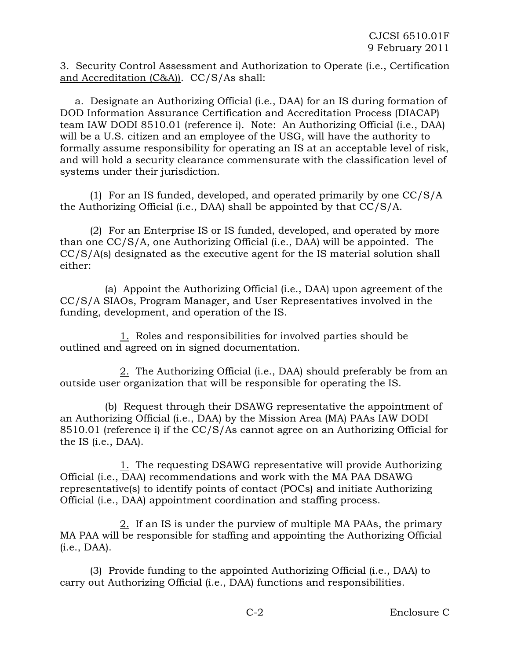3. Security Control Assessment and Authorization to Operate (i.e., Certification and Accreditation (C&A)). CC/S/As shall:

a. Designate an Authorizing Official (i.e., DAA) for an IS during formation of DOD Information Assurance Certification and Accreditation Process (DIACAP) team IAW DODI 8510.01 (reference i). Note: An Authorizing Official (i.e., DAA) will be a U.S. citizen and an employee of the USG, will have the authority to formally assume responsibility for operating an IS at an acceptable level of risk, and will hold a security clearance commensurate with the classification level of systems under their jurisdiction.

(1) For an IS funded, developed, and operated primarily by one CC/S/A the Authorizing Official (i.e., DAA) shall be appointed by that CC/S/A.

(2) For an Enterprise IS or IS funded, developed, and operated by more than one CC/S/A, one Authorizing Official (i.e., DAA) will be appointed. The CC/S/A(s) designated as the executive agent for the IS material solution shall either:

(a) Appoint the Authorizing Official (i.e., DAA) upon agreement of the CC/S/A SIAOs, Program Manager, and User Representatives involved in the funding, development, and operation of the IS.

1. Roles and responsibilities for involved parties should be outlined and agreed on in signed documentation.

2. The Authorizing Official (i.e., DAA) should preferably be from an outside user organization that will be responsible for operating the IS.

(b) Request through their DSAWG representative the appointment of an Authorizing Official (i.e., DAA) by the Mission Area (MA) PAAs IAW DODI 8510.01 (reference i) if the CC/S/As cannot agree on an Authorizing Official for the IS (i.e., DAA).

1. The requesting DSAWG representative will provide Authorizing Official (i.e., DAA) recommendations and work with the MA PAA DSAWG representative(s) to identify points of contact (POCs) and initiate Authorizing Official (i.e., DAA) appointment coordination and staffing process.

2. If an IS is under the purview of multiple MA PAAs, the primary MA PAA will be responsible for staffing and appointing the Authorizing Official (i.e., DAA).

(3) Provide funding to the appointed Authorizing Official (i.e., DAA) to carry out Authorizing Official (i.e., DAA) functions and responsibilities.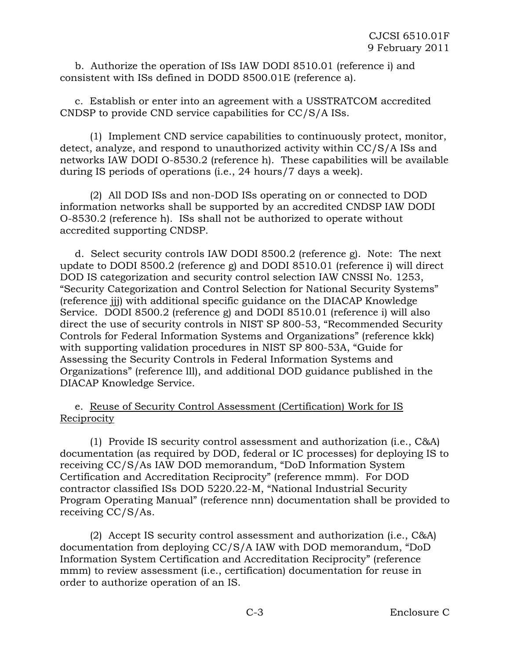b. Authorize the operation of ISs IAW DODI 8510.01 (reference i) and consistent with ISs defined in DODD 8500.01E (reference a).

c. Establish or enter into an agreement with a USSTRATCOM accredited CNDSP to provide CND service capabilities for CC/S/A ISs.

(1) Implement CND service capabilities to continuously protect, monitor, detect, analyze, and respond to unauthorized activity within CC/S/A ISs and networks IAW DODI O-8530.2 (reference h). These capabilities will be available during IS periods of operations (i.e., 24 hours/7 days a week).

(2) All DOD ISs and non-DOD ISs operating on or connected to DOD information networks shall be supported by an accredited CNDSP IAW DODI O-8530.2 (reference h). ISs shall not be authorized to operate without accredited supporting CNDSP.

d. Select security controls IAW DODI 8500.2 (reference g). Note: The next update to DODI 8500.2 (reference g) and DODI 8510.01 (reference i) will direct DOD IS categorization and security control selection IAW CNSSI No. 1253, "Security Categorization and Control Selection for National Security Systems" (reference jjj) with additional specific guidance on the DIACAP Knowledge Service. DODI 8500.2 (reference g) and DODI 8510.01 (reference i) will also direct the use of security controls in NIST SP 800-53, "Recommended Security Controls for Federal Information Systems and Organizations" (reference kkk) with supporting validation procedures in NIST SP 800-53A, "Guide for Assessing the Security Controls in Federal Information Systems and Organizations" (reference lll), and additional DOD guidance published in the DIACAP Knowledge Service.

#### e. Reuse of Security Control Assessment (Certification) Work for IS Reciprocity

(1) Provide IS security control assessment and authorization (i.e., C&A) documentation (as required by DOD, federal or IC processes) for deploying IS to receiving CC/S/As IAW DOD memorandum, "DoD Information System Certification and Accreditation Reciprocity" (reference mmm). For DOD contractor classified ISs DOD 5220.22-M, "National Industrial Security Program Operating Manual" (reference nnn) documentation shall be provided to receiving CC/S/As.

(2) Accept IS security control assessment and authorization (i.e., C&A) documentation from deploying CC/S/A IAW with DOD memorandum, "DoD Information System Certification and Accreditation Reciprocity" (reference mmm) to review assessment (i.e., certification) documentation for reuse in order to authorize operation of an IS.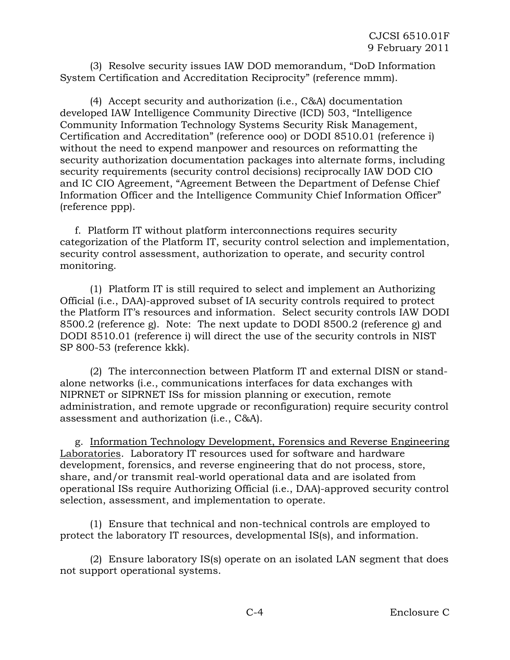(3) Resolve security issues IAW DOD memorandum, "DoD Information System Certification and Accreditation Reciprocity" (reference mmm).

(4) Accept security and authorization (i.e., C&A) documentation developed IAW Intelligence Community Directive (ICD) 503, "Intelligence Community Information Technology Systems Security Risk Management, Certification and Accreditation" (reference ooo) or DODI 8510.01 (reference i) without the need to expend manpower and resources on reformatting the security authorization documentation packages into alternate forms, including security requirements (security control decisions) reciprocally IAW DOD CIO and IC CIO Agreement, "Agreement Between the Department of Defense Chief Information Officer and the Intelligence Community Chief Information Officer" (reference ppp).

f. Platform IT without platform interconnections requires security categorization of the Platform IT, security control selection and implementation, security control assessment, authorization to operate, and security control monitoring.

(1) Platform IT is still required to select and implement an Authorizing Official (i.e., DAA)-approved subset of IA security controls required to protect the Platform IT's resources and information. Select security controls IAW DODI 8500.2 (reference g). Note: The next update to DODI 8500.2 (reference g) and DODI 8510.01 (reference i) will direct the use of the security controls in NIST SP 800-53 (reference kkk).

(2) The interconnection between Platform IT and external DISN or standalone networks (i.e., communications interfaces for data exchanges with NIPRNET or SIPRNET ISs for mission planning or execution, remote administration, and remote upgrade or reconfiguration) require security control assessment and authorization (i.e., C&A).

g. Information Technology Development, Forensics and Reverse Engineering Laboratories. Laboratory IT resources used for software and hardware development, forensics, and reverse engineering that do not process, store, share, and/or transmit real-world operational data and are isolated from operational ISs require Authorizing Official (i.e., DAA)-approved security control selection, assessment, and implementation to operate.

(1) Ensure that technical and non-technical controls are employed to protect the laboratory IT resources, developmental IS(s), and information.

(2) Ensure laboratory IS(s) operate on an isolated LAN segment that does not support operational systems.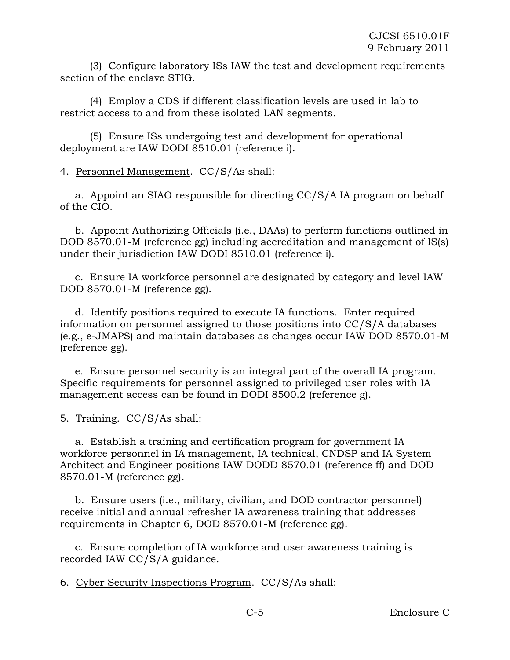(3) Configure laboratory ISs IAW the test and development requirements section of the enclave STIG.

(4) Employ a CDS if different classification levels are used in lab to restrict access to and from these isolated LAN segments.

(5) Ensure ISs undergoing test and development for operational deployment are IAW DODI 8510.01 (reference i).

4. Personnel Management. CC/S/As shall:

a. Appoint an SIAO responsible for directing CC/S/A IA program on behalf of the CIO.

b. Appoint Authorizing Officials (i.e., DAAs) to perform functions outlined in DOD 8570.01-M (reference gg) including accreditation and management of IS(s) under their jurisdiction IAW DODI 8510.01 (reference i).

c. Ensure IA workforce personnel are designated by category and level IAW DOD 8570.01-M (reference gg).

d. Identify positions required to execute IA functions. Enter required information on personnel assigned to those positions into CC/S/A databases (e.g., e-JMAPS) and maintain databases as changes occur IAW DOD 8570.01-M (reference gg).

e. Ensure personnel security is an integral part of the overall IA program. Specific requirements for personnel assigned to privileged user roles with IA management access can be found in DODI 8500.2 (reference g).

5. Training. CC/S/As shall:

a. Establish a training and certification program for government IA workforce personnel in IA management, IA technical, CNDSP and IA System Architect and Engineer positions IAW DODD 8570.01 (reference ff) and DOD 8570.01-M (reference gg).

b. Ensure users (i.e., military, civilian, and DOD contractor personnel) receive initial and annual refresher IA awareness training that addresses requirements in Chapter 6, DOD 8570.01-M (reference gg).

c. Ensure completion of IA workforce and user awareness training is recorded IAW CC/S/A guidance.

6. Cyber Security Inspections Program. CC/S/As shall: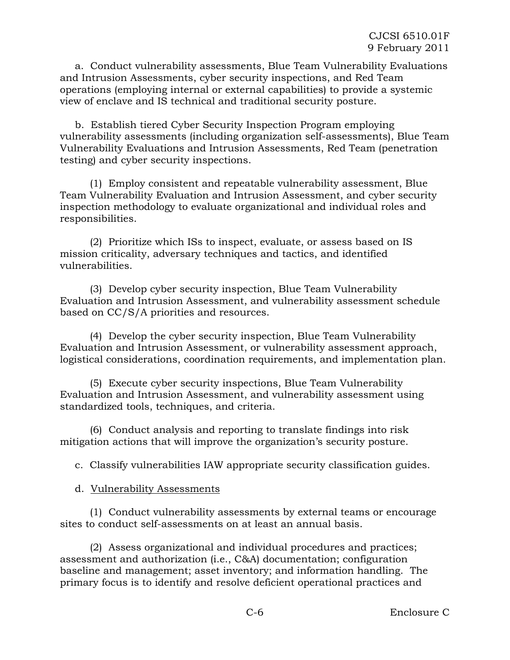a. Conduct vulnerability assessments, Blue Team Vulnerability Evaluations and Intrusion Assessments, cyber security inspections, and Red Team operations (employing internal or external capabilities) to provide a systemic view of enclave and IS technical and traditional security posture.

b. Establish tiered Cyber Security Inspection Program employing vulnerability assessments (including organization self-assessments), Blue Team Vulnerability Evaluations and Intrusion Assessments, Red Team (penetration testing) and cyber security inspections.

(1) Employ consistent and repeatable vulnerability assessment, Blue Team Vulnerability Evaluation and Intrusion Assessment, and cyber security inspection methodology to evaluate organizational and individual roles and responsibilities.

(2) Prioritize which ISs to inspect, evaluate, or assess based on IS mission criticality, adversary techniques and tactics, and identified vulnerabilities.

(3) Develop cyber security inspection, Blue Team Vulnerability Evaluation and Intrusion Assessment, and vulnerability assessment schedule based on CC/S/A priorities and resources.

(4) Develop the cyber security inspection, Blue Team Vulnerability Evaluation and Intrusion Assessment, or vulnerability assessment approach, logistical considerations, coordination requirements, and implementation plan.

(5) Execute cyber security inspections, Blue Team Vulnerability Evaluation and Intrusion Assessment, and vulnerability assessment using standardized tools, techniques, and criteria.

(6) Conduct analysis and reporting to translate findings into risk mitigation actions that will improve the organization's security posture.

c. Classify vulnerabilities IAW appropriate security classification guides.

d. Vulnerability Assessments

(1) Conduct vulnerability assessments by external teams or encourage sites to conduct self-assessments on at least an annual basis.

(2) Assess organizational and individual procedures and practices; assessment and authorization (i.e., C&A) documentation; configuration baseline and management; asset inventory; and information handling. The primary focus is to identify and resolve deficient operational practices and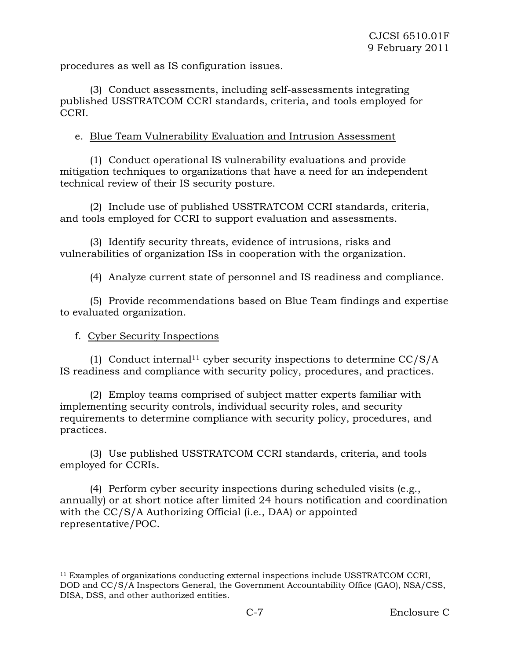procedures as well as IS configuration issues.

(3) Conduct assessments, including self-assessments integrating published USSTRATCOM CCRI standards, criteria, and tools employed for CCRI.

e. Blue Team Vulnerability Evaluation and Intrusion Assessment

(1) Conduct operational IS vulnerability evaluations and provide mitigation techniques to organizations that have a need for an independent technical review of their IS security posture.

(2) Include use of published USSTRATCOM CCRI standards, criteria, and tools employed for CCRI to support evaluation and assessments.

(3) Identify security threats, evidence of intrusions, risks and vulnerabilities of organization ISs in cooperation with the organization.

(4) Analyze current state of personnel and IS readiness and compliance.

(5) Provide recommendations based on Blue Team findings and expertise to evaluated organization.

### f. Cyber Security Inspections

 $\overline{a}$ 

(1) Conduct internal<sup>11</sup> cyber security inspections to determine  $CC/S/A$ IS readiness and compliance with security policy, procedures, and practices.

(2) Employ teams comprised of subject matter experts familiar with implementing security controls, individual security roles, and security requirements to determine compliance with security policy, procedures, and practices.

(3) Use published USSTRATCOM CCRI standards, criteria, and tools employed for CCRIs.

(4) Perform cyber security inspections during scheduled visits (e.g., annually) or at short notice after limited 24 hours notification and coordination with the CC/S/A Authorizing Official (i.e., DAA) or appointed representative/POC.

<sup>11</sup> Examples of organizations conducting external inspections include USSTRATCOM CCRI, DOD and CC/S/A Inspectors General, the Government Accountability Office (GAO), NSA/CSS, DISA, DSS, and other authorized entities.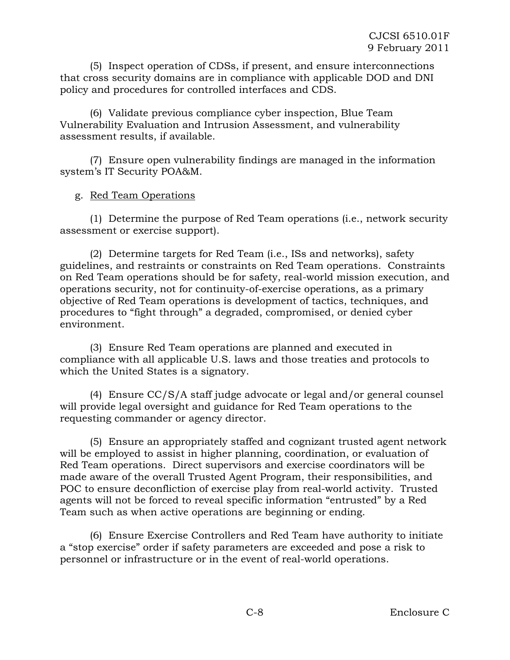(5) Inspect operation of CDSs, if present, and ensure interconnections that cross security domains are in compliance with applicable DOD and DNI policy and procedures for controlled interfaces and CDS.

(6) Validate previous compliance cyber inspection, Blue Team Vulnerability Evaluation and Intrusion Assessment, and vulnerability assessment results, if available.

(7) Ensure open vulnerability findings are managed in the information system's IT Security POA&M.

g. Red Team Operations

(1) Determine the purpose of Red Team operations (i.e., network security assessment or exercise support).

(2) Determine targets for Red Team (i.e., ISs and networks), safety guidelines, and restraints or constraints on Red Team operations. Constraints on Red Team operations should be for safety, real-world mission execution, and operations security, not for continuity-of-exercise operations, as a primary objective of Red Team operations is development of tactics, techniques, and procedures to "fight through" a degraded, compromised, or denied cyber environment.

(3) Ensure Red Team operations are planned and executed in compliance with all applicable U.S. laws and those treaties and protocols to which the United States is a signatory.

(4) Ensure CC/S/A staff judge advocate or legal and/or general counsel will provide legal oversight and guidance for Red Team operations to the requesting commander or agency director.

(5) Ensure an appropriately staffed and cognizant trusted agent network will be employed to assist in higher planning, coordination, or evaluation of Red Team operations. Direct supervisors and exercise coordinators will be made aware of the overall Trusted Agent Program, their responsibilities, and POC to ensure deconfliction of exercise play from real-world activity. Trusted agents will not be forced to reveal specific information "entrusted" by a Red Team such as when active operations are beginning or ending.

(6) Ensure Exercise Controllers and Red Team have authority to initiate a "stop exercise" order if safety parameters are exceeded and pose a risk to personnel or infrastructure or in the event of real-world operations.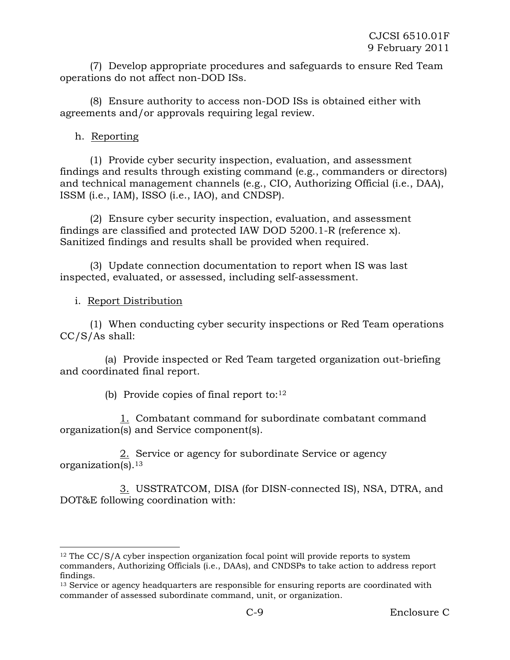(7) Develop appropriate procedures and safeguards to ensure Red Team operations do not affect non-DOD ISs.

(8) Ensure authority to access non-DOD ISs is obtained either with agreements and/or approvals requiring legal review.

## h. Reporting

(1) Provide cyber security inspection, evaluation, and assessment findings and results through existing command (e.g., commanders or directors) and technical management channels (e.g., CIO, Authorizing Official (i.e., DAA), ISSM (i.e., IAM), ISSO (i.e., IAO), and CNDSP).

(2) Ensure cyber security inspection, evaluation, and assessment findings are classified and protected IAW DOD 5200.1-R (reference x). Sanitized findings and results shall be provided when required.

(3) Update connection documentation to report when IS was last inspected, evaluated, or assessed, including self-assessment.

i. Report Distribution

(1) When conducting cyber security inspections or Red Team operations CC/S/As shall:

(a) Provide inspected or Red Team targeted organization out-briefing and coordinated final report.

(b) Provide copies of final report to: $12$ 

1. Combatant command for subordinate combatant command organization(s) and Service component(s).

2. Service or agency for subordinate Service or agency organization(s).13

3. USSTRATCOM, DISA (for DISN-connected IS), NSA, DTRA, and DOT&E following coordination with:

 $\overline{a}$  $12$  The CC/S/A cyber inspection organization focal point will provide reports to system commanders, Authorizing Officials (i.e., DAAs), and CNDSPs to take action to address report findings.

<sup>&</sup>lt;sup>13</sup> Service or agency headquarters are responsible for ensuring reports are coordinated with commander of assessed subordinate command, unit, or organization.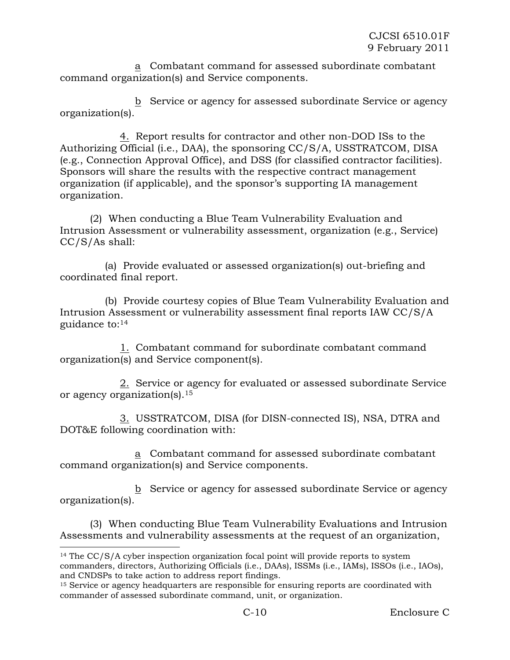a Combatant command for assessed subordinate combatant command organization(s) and Service components.

b Service or agency for assessed subordinate Service or agency organization(s).

4. Report results for contractor and other non-DOD ISs to the Authorizing Official (i.e., DAA), the sponsoring CC/S/A, USSTRATCOM, DISA (e.g., Connection Approval Office), and DSS (for classified contractor facilities). Sponsors will share the results with the respective contract management organization (if applicable), and the sponsor's supporting IA management organization.

(2) When conducting a Blue Team Vulnerability Evaluation and Intrusion Assessment or vulnerability assessment, organization (e.g., Service) CC/S/As shall:

(a) Provide evaluated or assessed organization(s) out-briefing and coordinated final report.

(b) Provide courtesy copies of Blue Team Vulnerability Evaluation and Intrusion Assessment or vulnerability assessment final reports IAW CC/S/A guidance to:14

1. Combatant command for subordinate combatant command organization(s) and Service component(s).

2. Service or agency for evaluated or assessed subordinate Service or agency organization(s).15

3. USSTRATCOM, DISA (for DISN-connected IS), NSA, DTRA and DOT&E following coordination with:

a Combatant command for assessed subordinate combatant command organization(s) and Service components.

b Service or agency for assessed subordinate Service or agency organization(s).

(3) When conducting Blue Team Vulnerability Evaluations and Intrusion Assessments and vulnerability assessments at the request of an organization,

 $\overline{a}$ 

<sup>&</sup>lt;sup>14</sup> The CC/S/A cyber inspection organization focal point will provide reports to system commanders, directors, Authorizing Officials (i.e., DAAs), ISSMs (i.e., IAMs), ISSOs (i.e., IAOs), and CNDSPs to take action to address report findings.

<sup>15</sup> Service or agency headquarters are responsible for ensuring reports are coordinated with commander of assessed subordinate command, unit, or organization.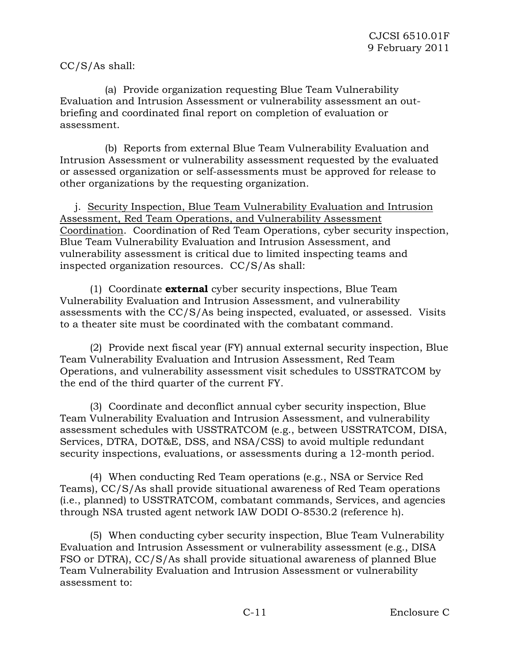#### CC/S/As shall:

(a) Provide organization requesting Blue Team Vulnerability Evaluation and Intrusion Assessment or vulnerability assessment an outbriefing and coordinated final report on completion of evaluation or assessment.

(b) Reports from external Blue Team Vulnerability Evaluation and Intrusion Assessment or vulnerability assessment requested by the evaluated or assessed organization or self-assessments must be approved for release to other organizations by the requesting organization.

j. Security Inspection, Blue Team Vulnerability Evaluation and Intrusion Assessment, Red Team Operations, and Vulnerability Assessment Coordination. Coordination of Red Team Operations, cyber security inspection, Blue Team Vulnerability Evaluation and Intrusion Assessment, and vulnerability assessment is critical due to limited inspecting teams and inspected organization resources. CC/S/As shall:

(1) Coordinate **external** cyber security inspections, Blue Team Vulnerability Evaluation and Intrusion Assessment, and vulnerability assessments with the CC/S/As being inspected, evaluated, or assessed. Visits to a theater site must be coordinated with the combatant command.

(2) Provide next fiscal year (FY) annual external security inspection, Blue Team Vulnerability Evaluation and Intrusion Assessment, Red Team Operations, and vulnerability assessment visit schedules to USSTRATCOM by the end of the third quarter of the current FY.

(3) Coordinate and deconflict annual cyber security inspection, Blue Team Vulnerability Evaluation and Intrusion Assessment, and vulnerability assessment schedules with USSTRATCOM (e.g., between USSTRATCOM, DISA, Services, DTRA, DOT&E, DSS, and NSA/CSS) to avoid multiple redundant security inspections, evaluations, or assessments during a 12-month period.

(4) When conducting Red Team operations (e.g., NSA or Service Red Teams), CC/S/As shall provide situational awareness of Red Team operations (i.e., planned) to USSTRATCOM, combatant commands, Services, and agencies through NSA trusted agent network IAW DODI O-8530.2 (reference h).

(5) When conducting cyber security inspection, Blue Team Vulnerability Evaluation and Intrusion Assessment or vulnerability assessment (e.g., DISA FSO or DTRA), CC/S/As shall provide situational awareness of planned Blue Team Vulnerability Evaluation and Intrusion Assessment or vulnerability assessment to: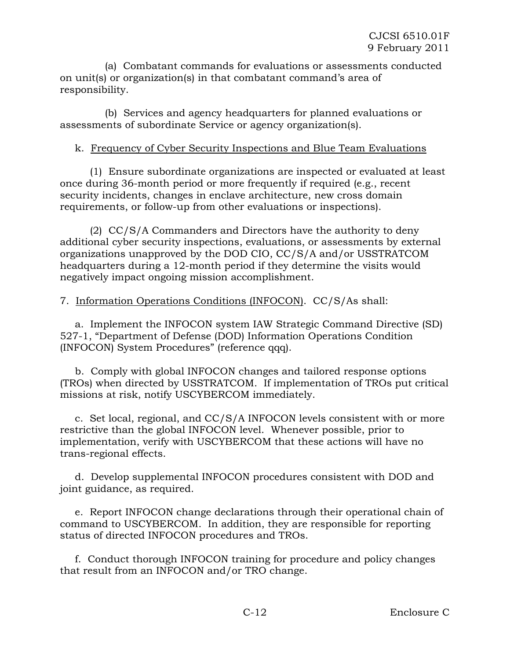(a) Combatant commands for evaluations or assessments conducted on unit(s) or organization(s) in that combatant command's area of responsibility.

(b) Services and agency headquarters for planned evaluations or assessments of subordinate Service or agency organization(s).

### k. Frequency of Cyber Security Inspections and Blue Team Evaluations

(1) Ensure subordinate organizations are inspected or evaluated at least once during 36-month period or more frequently if required (e.g., recent security incidents, changes in enclave architecture, new cross domain requirements, or follow-up from other evaluations or inspections).

(2) CC/S/A Commanders and Directors have the authority to deny additional cyber security inspections, evaluations, or assessments by external organizations unapproved by the DOD CIO, CC/S/A and/or USSTRATCOM headquarters during a 12-month period if they determine the visits would negatively impact ongoing mission accomplishment.

# 7. Information Operations Conditions (INFOCON). CC/S/As shall:

a. Implement the INFOCON system IAW Strategic Command Directive (SD) 527-1, "Department of Defense (DOD) Information Operations Condition (INFOCON) System Procedures" (reference qqq).

b. Comply with global INFOCON changes and tailored response options (TROs) when directed by USSTRATCOM. If implementation of TROs put critical missions at risk, notify USCYBERCOM immediately.

c. Set local, regional, and CC/S/A INFOCON levels consistent with or more restrictive than the global INFOCON level. Whenever possible, prior to implementation, verify with USCYBERCOM that these actions will have no trans-regional effects.

d. Develop supplemental INFOCON procedures consistent with DOD and joint guidance, as required.

e. Report INFOCON change declarations through their operational chain of command to USCYBERCOM. In addition, they are responsible for reporting status of directed INFOCON procedures and TROs.

f. Conduct thorough INFOCON training for procedure and policy changes that result from an INFOCON and/or TRO change.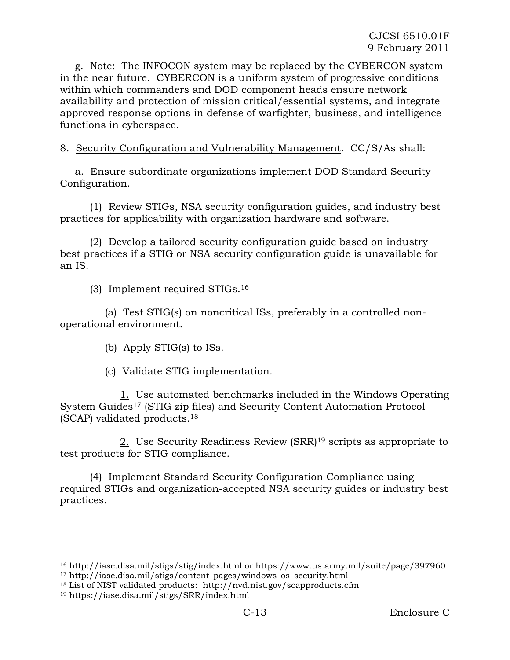g. Note: The INFOCON system may be replaced by the CYBERCON system in the near future. CYBERCON is a uniform system of progressive conditions within which commanders and DOD component heads ensure network availability and protection of mission critical/essential systems, and integrate approved response options in defense of warfighter, business, and intelligence functions in cyberspace.

8. Security Configuration and Vulnerability Management. CC/S/As shall:

a. Ensure subordinate organizations implement DOD Standard Security Configuration.

(1) Review STIGs, NSA security configuration guides, and industry best practices for applicability with organization hardware and software.

(2) Develop a tailored security configuration guide based on industry best practices if a STIG or NSA security configuration guide is unavailable for an IS.

(3) Implement required STIGs.16

(a) Test STIG(s) on noncritical ISs, preferably in a controlled nonoperational environment.

- (b) Apply STIG(s) to ISs.
- (c) Validate STIG implementation.

1. Use automated benchmarks included in the Windows Operating System Guides17 (STIG zip files) and Security Content Automation Protocol (SCAP) validated products.18

2. Use Security Readiness Review (SRR)<sup>19</sup> scripts as appropriate to test products for STIG compliance.

(4) Implement Standard Security Configuration Compliance using required STIGs and organization-accepted NSA security guides or industry best practices.

 $\overline{a}$ 

<sup>16</sup> http://iase.disa.mil/stigs/stig/index.html or https://www.us.army.mil/suite/page/397960

<sup>17</sup> http://iase.disa.mil/stigs/content\_pages/windows\_os\_security.html

<sup>18</sup> List of NIST validated products: http://nvd.nist.gov/scapproducts.cfm

<sup>19</sup> https://iase.disa.mil/stigs/SRR/index.html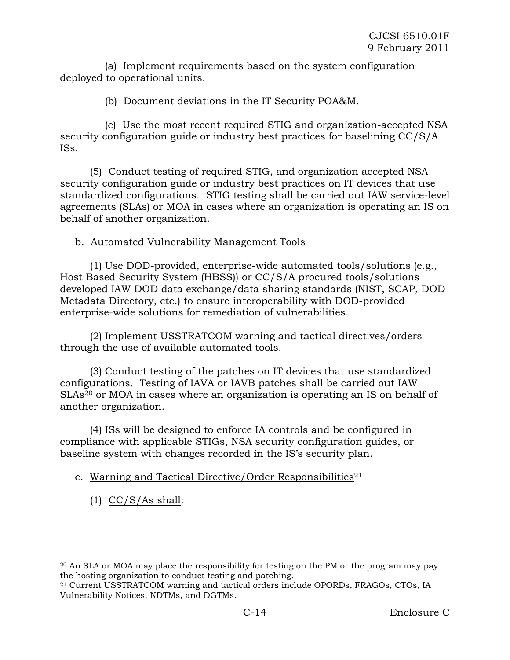(a) Implement requirements based on the system configuration deployed to operational units.

(b) Document deviations in the IT Security POA&M.

(c) Use the most recent required STIG and organization-accepted NSA security configuration guide or industry best practices for baselining CC/S/A ISs.

(5) Conduct testing of required STIG, and organization accepted NSA security configuration guide or industry best practices on IT devices that use standardized configurations. STIG testing shall be carried out IAW service-level agreements (SLAs) or MOA in cases where an organization is operating an IS on behalf of another organization.

## b. Automated Vulnerability Management Tools

(1) Use DOD-provided, enterprise-wide automated tools/solutions (e.g., Host Based Security System (HBSS)) or CC/S/A procured tools/solutions developed IAW DOD data exchange/data sharing standards (NIST, SCAP, DOD Metadata Directory, etc.) to ensure interoperability with DOD-provided enterprise-wide solutions for remediation of vulnerabilities.

(2) Implement USSTRATCOM warning and tactical directives/orders through the use of available automated tools.

(3) Conduct testing of the patches on IT devices that use standardized configurations. Testing of IAVA or IAVB patches shall be carried out IAW SLAs<sup>20</sup> or MOA in cases where an organization is operating an IS on behalf of another organization.

(4) ISs will be designed to enforce IA controls and be configured in compliance with applicable STIGs, NSA security configuration guides, or baseline system with changes recorded in the IS's security plan.

# c. Warning and Tactical Directive/Order Responsibilities<sup>21</sup>

(1) CC/S/As shall:

 $\overline{a}$ 

<sup>&</sup>lt;sup>20</sup> An SLA or MOA may place the responsibility for testing on the PM or the program may pay the hosting organization to conduct testing and patching.

<sup>21</sup> Current USSTRATCOM warning and tactical orders include OPORDs, FRAGOs, CTOs, IA Vulnerability Notices, NDTMs, and DGTMs.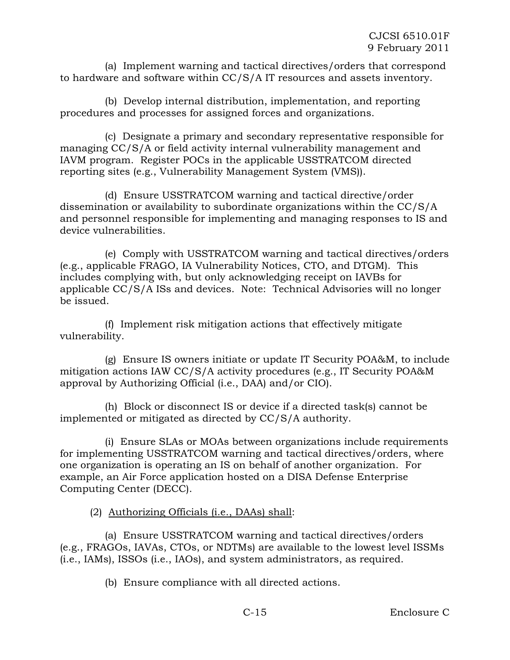(a) Implement warning and tactical directives/orders that correspond to hardware and software within CC/S/A IT resources and assets inventory.

(b) Develop internal distribution, implementation, and reporting procedures and processes for assigned forces and organizations.

(c) Designate a primary and secondary representative responsible for managing CC/S/A or field activity internal vulnerability management and IAVM program. Register POCs in the applicable USSTRATCOM directed reporting sites (e.g., Vulnerability Management System (VMS)).

(d) Ensure USSTRATCOM warning and tactical directive/order dissemination or availability to subordinate organizations within the CC/S/A and personnel responsible for implementing and managing responses to IS and device vulnerabilities.

(e) Comply with USSTRATCOM warning and tactical directives/orders (e.g., applicable FRAGO, IA Vulnerability Notices, CTO, and DTGM). This includes complying with, but only acknowledging receipt on IAVBs for applicable CC/S/A ISs and devices. Note: Technical Advisories will no longer be issued.

(f) Implement risk mitigation actions that effectively mitigate vulnerability.

(g) Ensure IS owners initiate or update IT Security POA&M, to include mitigation actions IAW CC/S/A activity procedures (e.g., IT Security POA&M approval by Authorizing Official (i.e., DAA) and/or CIO).

(h) Block or disconnect IS or device if a directed task(s) cannot be implemented or mitigated as directed by CC/S/A authority.

(i) Ensure SLAs or MOAs between organizations include requirements for implementing USSTRATCOM warning and tactical directives/orders, where one organization is operating an IS on behalf of another organization. For example, an Air Force application hosted on a DISA Defense Enterprise Computing Center (DECC).

(2) Authorizing Officials (i.e., DAAs) shall:

(a) Ensure USSTRATCOM warning and tactical directives/orders (e.g., FRAGOs, IAVAs, CTOs, or NDTMs) are available to the lowest level ISSMs (i.e., IAMs), ISSOs (i.e., IAOs), and system administrators, as required.

(b) Ensure compliance with all directed actions.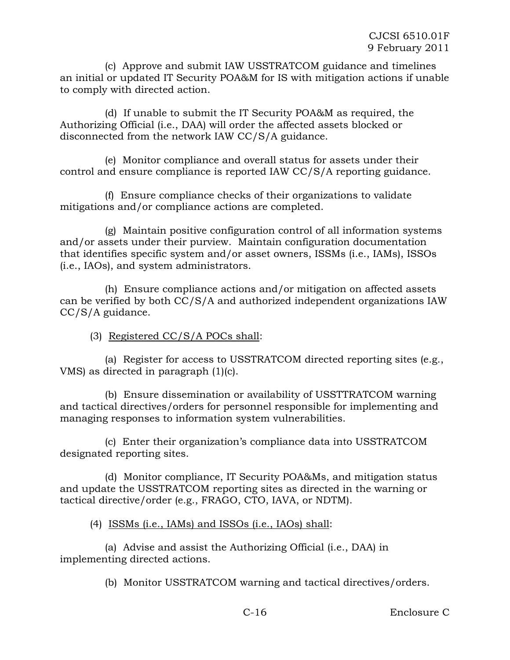(c) Approve and submit IAW USSTRATCOM guidance and timelines an initial or updated IT Security POA&M for IS with mitigation actions if unable to comply with directed action.

(d) If unable to submit the IT Security POA&M as required, the Authorizing Official (i.e., DAA) will order the affected assets blocked or disconnected from the network IAW CC/S/A guidance.

(e) Monitor compliance and overall status for assets under their control and ensure compliance is reported IAW CC/S/A reporting guidance.

(f) Ensure compliance checks of their organizations to validate mitigations and/or compliance actions are completed.

(g) Maintain positive configuration control of all information systems and/or assets under their purview. Maintain configuration documentation that identifies specific system and/or asset owners, ISSMs (i.e., IAMs), ISSOs (i.e., IAOs), and system administrators.

(h) Ensure compliance actions and/or mitigation on affected assets can be verified by both CC/S/A and authorized independent organizations IAW CC/S/A guidance.

(3) Registered CC/S/A POCs shall:

(a) Register for access to USSTRATCOM directed reporting sites (e.g., VMS) as directed in paragraph (1)(c).

(b) Ensure dissemination or availability of USSTTRATCOM warning and tactical directives/orders for personnel responsible for implementing and managing responses to information system vulnerabilities.

(c) Enter their organization's compliance data into USSTRATCOM designated reporting sites.

(d) Monitor compliance, IT Security POA&Ms, and mitigation status and update the USSTRATCOM reporting sites as directed in the warning or tactical directive/order (e.g., FRAGO, CTO, IAVA, or NDTM).

(4) ISSMs (i.e., IAMs) and ISSOs (i.e., IAOs) shall:

(a) Advise and assist the Authorizing Official (i.e., DAA) in implementing directed actions.

(b) Monitor USSTRATCOM warning and tactical directives/orders.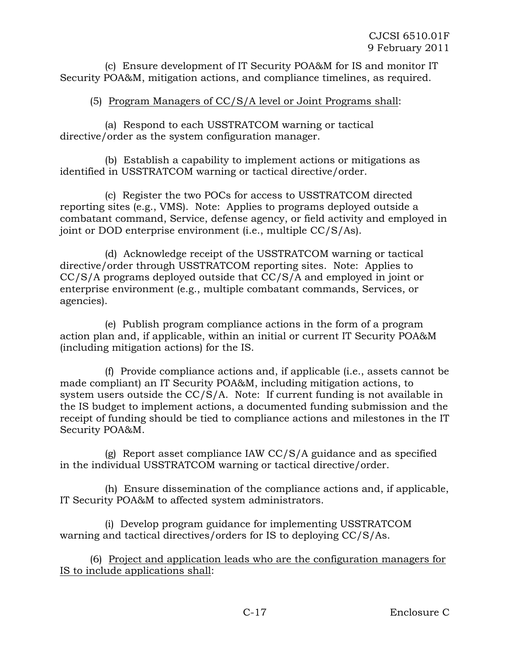(c) Ensure development of IT Security POA&M for IS and monitor IT Security POA&M, mitigation actions, and compliance timelines, as required.

(5) Program Managers of CC/S/A level or Joint Programs shall:

(a) Respond to each USSTRATCOM warning or tactical directive/order as the system configuration manager.

(b) Establish a capability to implement actions or mitigations as identified in USSTRATCOM warning or tactical directive/order.

(c) Register the two POCs for access to USSTRATCOM directed reporting sites (e.g., VMS). Note: Applies to programs deployed outside a combatant command, Service, defense agency, or field activity and employed in joint or DOD enterprise environment (i.e., multiple CC/S/As).

(d) Acknowledge receipt of the USSTRATCOM warning or tactical directive/order through USSTRATCOM reporting sites. Note: Applies to CC/S/A programs deployed outside that CC/S/A and employed in joint or enterprise environment (e.g., multiple combatant commands, Services, or agencies).

(e) Publish program compliance actions in the form of a program action plan and, if applicable, within an initial or current IT Security POA&M (including mitigation actions) for the IS.

(f) Provide compliance actions and, if applicable (i.e., assets cannot be made compliant) an IT Security POA&M, including mitigation actions, to system users outside the CC/S/A. Note: If current funding is not available in the IS budget to implement actions, a documented funding submission and the receipt of funding should be tied to compliance actions and milestones in the IT Security POA&M.

(g) Report asset compliance IAW CC/S/A guidance and as specified in the individual USSTRATCOM warning or tactical directive/order.

(h) Ensure dissemination of the compliance actions and, if applicable, IT Security POA&M to affected system administrators.

(i) Develop program guidance for implementing USSTRATCOM warning and tactical directives/orders for IS to deploying CC/S/As.

(6) Project and application leads who are the configuration managers for IS to include applications shall: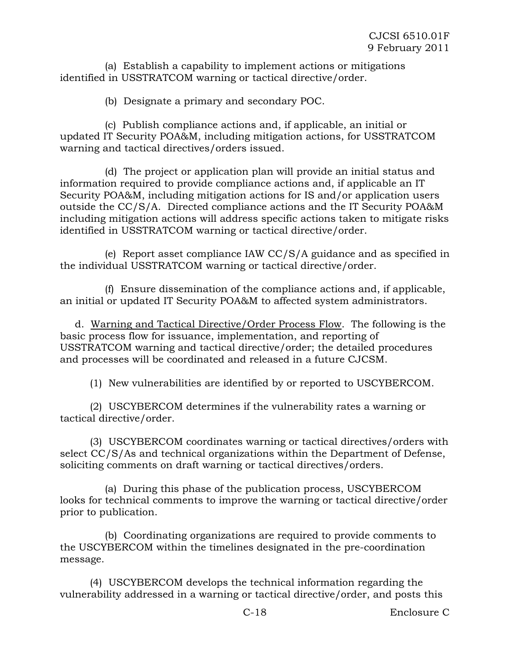(a) Establish a capability to implement actions or mitigations identified in USSTRATCOM warning or tactical directive/order.

(b) Designate a primary and secondary POC.

(c) Publish compliance actions and, if applicable, an initial or updated IT Security POA&M, including mitigation actions, for USSTRATCOM warning and tactical directives/orders issued.

(d) The project or application plan will provide an initial status and information required to provide compliance actions and, if applicable an IT Security POA&M, including mitigation actions for IS and/or application users outside the CC/S/A. Directed compliance actions and the IT Security POA&M including mitigation actions will address specific actions taken to mitigate risks identified in USSTRATCOM warning or tactical directive/order.

(e) Report asset compliance IAW CC/S/A guidance and as specified in the individual USSTRATCOM warning or tactical directive/order.

(f) Ensure dissemination of the compliance actions and, if applicable, an initial or updated IT Security POA&M to affected system administrators.

d. Warning and Tactical Directive/Order Process Flow. The following is the basic process flow for issuance, implementation, and reporting of USSTRATCOM warning and tactical directive/order; the detailed procedures and processes will be coordinated and released in a future CJCSM.

(1) New vulnerabilities are identified by or reported to USCYBERCOM.

(2) USCYBERCOM determines if the vulnerability rates a warning or tactical directive/order.

(3) USCYBERCOM coordinates warning or tactical directives/orders with select CC/S/As and technical organizations within the Department of Defense, soliciting comments on draft warning or tactical directives/orders.

(a) During this phase of the publication process, USCYBERCOM looks for technical comments to improve the warning or tactical directive/order prior to publication.

(b) Coordinating organizations are required to provide comments to the USCYBERCOM within the timelines designated in the pre-coordination message.

(4) USCYBERCOM develops the technical information regarding the vulnerability addressed in a warning or tactical directive/order, and posts this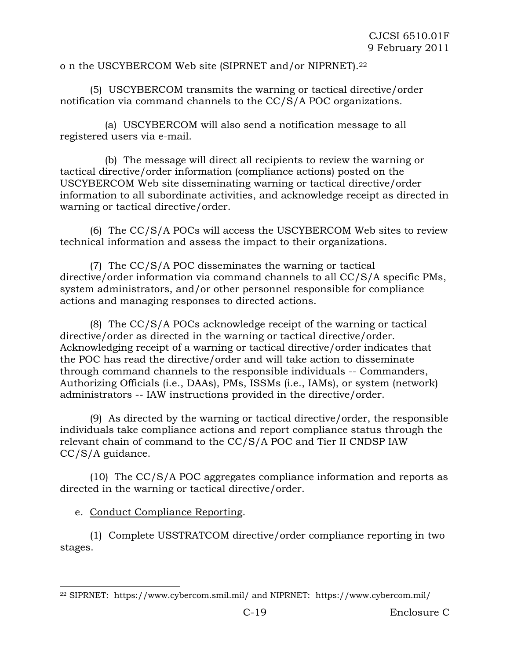o n the USCYBERCOM Web site (SIPRNET and/or NIPRNET).22

(5) USCYBERCOM transmits the warning or tactical directive/order notification via command channels to the CC/S/A POC organizations.

(a) USCYBERCOM will also send a notification message to all registered users via e-mail.

(b) The message will direct all recipients to review the warning or tactical directive/order information (compliance actions) posted on the USCYBERCOM Web site disseminating warning or tactical directive/order information to all subordinate activities, and acknowledge receipt as directed in warning or tactical directive/order.

(6) The CC/S/A POCs will access the USCYBERCOM Web sites to review technical information and assess the impact to their organizations.

(7) The CC/S/A POC disseminates the warning or tactical directive/order information via command channels to all CC/S/A specific PMs, system administrators, and/or other personnel responsible for compliance actions and managing responses to directed actions.

(8) The CC/S/A POCs acknowledge receipt of the warning or tactical directive/order as directed in the warning or tactical directive/order. Acknowledging receipt of a warning or tactical directive/order indicates that the POC has read the directive/order and will take action to disseminate through command channels to the responsible individuals -- Commanders, Authorizing Officials (i.e., DAAs), PMs, ISSMs (i.e., IAMs), or system (network) administrators -- IAW instructions provided in the directive/order.

(9) As directed by the warning or tactical directive/order, the responsible individuals take compliance actions and report compliance status through the relevant chain of command to the CC/S/A POC and Tier II CNDSP IAW CC/S/A guidance.

(10) The CC/S/A POC aggregates compliance information and reports as directed in the warning or tactical directive/order.

e. Conduct Compliance Reporting.

 $\overline{a}$ 

(1) Complete USSTRATCOM directive/order compliance reporting in two stages.

<sup>22</sup> SIPRNET: https://www.cybercom.smil.mil/ and NIPRNET: https://www.cybercom.mil/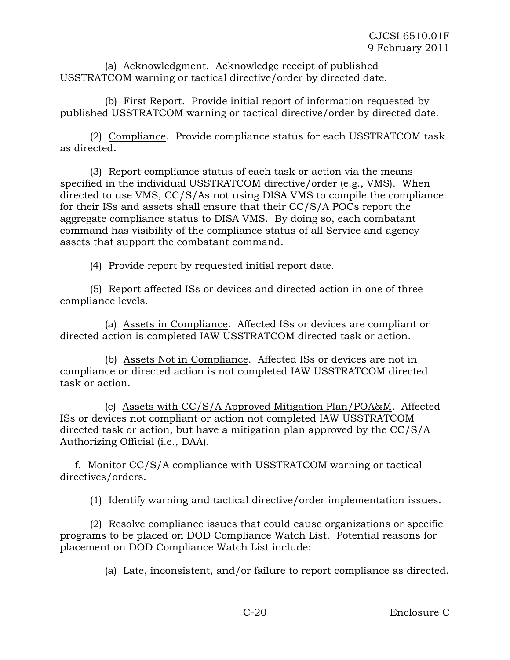(a) Acknowledgment. Acknowledge receipt of published USSTRATCOM warning or tactical directive/order by directed date.

(b) First Report. Provide initial report of information requested by published USSTRATCOM warning or tactical directive/order by directed date.

(2) Compliance. Provide compliance status for each USSTRATCOM task as directed.

(3) Report compliance status of each task or action via the means specified in the individual USSTRATCOM directive/order (e.g., VMS). When directed to use VMS, CC/S/As not using DISA VMS to compile the compliance for their ISs and assets shall ensure that their CC/S/A POCs report the aggregate compliance status to DISA VMS. By doing so, each combatant command has visibility of the compliance status of all Service and agency assets that support the combatant command.

(4) Provide report by requested initial report date.

(5) Report affected ISs or devices and directed action in one of three compliance levels.

(a) Assets in Compliance. Affected ISs or devices are compliant or directed action is completed IAW USSTRATCOM directed task or action.

(b) Assets Not in Compliance. Affected ISs or devices are not in compliance or directed action is not completed IAW USSTRATCOM directed task or action.

(c) Assets with CC/S/A Approved Mitigation Plan/POA&M. Affected ISs or devices not compliant or action not completed IAW USSTRATCOM directed task or action, but have a mitigation plan approved by the CC/S/A Authorizing Official (i.e., DAA).

f. Monitor CC/S/A compliance with USSTRATCOM warning or tactical directives/orders.

(1) Identify warning and tactical directive/order implementation issues.

(2) Resolve compliance issues that could cause organizations or specific programs to be placed on DOD Compliance Watch List. Potential reasons for placement on DOD Compliance Watch List include:

(a) Late, inconsistent, and/or failure to report compliance as directed.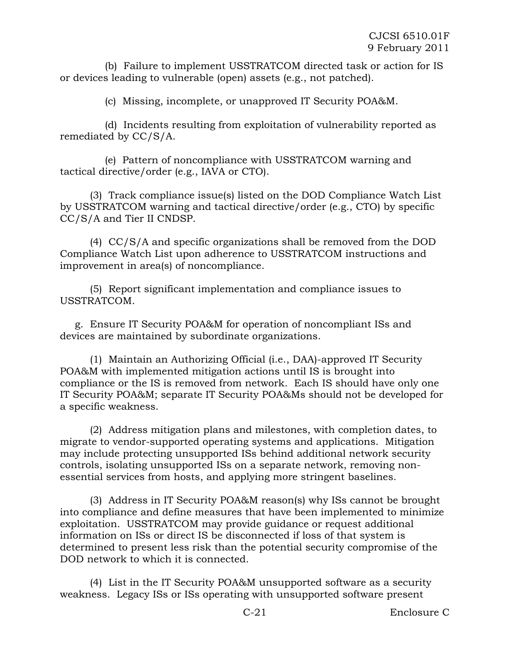(b) Failure to implement USSTRATCOM directed task or action for IS or devices leading to vulnerable (open) assets (e.g., not patched).

(c) Missing, incomplete, or unapproved IT Security POA&M.

(d) Incidents resulting from exploitation of vulnerability reported as remediated by CC/S/A.

(e) Pattern of noncompliance with USSTRATCOM warning and tactical directive/order (e.g., IAVA or CTO).

(3) Track compliance issue(s) listed on the DOD Compliance Watch List by USSTRATCOM warning and tactical directive/order (e.g., CTO) by specific CC/S/A and Tier II CNDSP.

(4) CC/S/A and specific organizations shall be removed from the DOD Compliance Watch List upon adherence to USSTRATCOM instructions and improvement in area(s) of noncompliance.

(5) Report significant implementation and compliance issues to USSTRATCOM.

g. Ensure IT Security POA&M for operation of noncompliant ISs and devices are maintained by subordinate organizations.

(1) Maintain an Authorizing Official (i.e., DAA)-approved IT Security POA&M with implemented mitigation actions until IS is brought into compliance or the IS is removed from network. Each IS should have only one IT Security POA&M; separate IT Security POA&Ms should not be developed for a specific weakness.

(2) Address mitigation plans and milestones, with completion dates, to migrate to vendor-supported operating systems and applications. Mitigation may include protecting unsupported ISs behind additional network security controls, isolating unsupported ISs on a separate network, removing nonessential services from hosts, and applying more stringent baselines.

(3) Address in IT Security POA&M reason(s) why ISs cannot be brought into compliance and define measures that have been implemented to minimize exploitation. USSTRATCOM may provide guidance or request additional information on ISs or direct IS be disconnected if loss of that system is determined to present less risk than the potential security compromise of the DOD network to which it is connected.

(4) List in the IT Security POA&M unsupported software as a security weakness. Legacy ISs or ISs operating with unsupported software present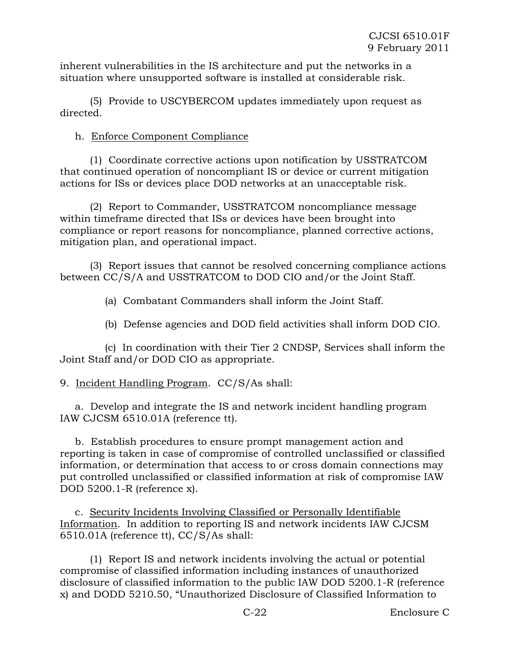inherent vulnerabilities in the IS architecture and put the networks in a situation where unsupported software is installed at considerable risk.

(5) Provide to USCYBERCOM updates immediately upon request as directed.

## h. Enforce Component Compliance

(1) Coordinate corrective actions upon notification by USSTRATCOM that continued operation of noncompliant IS or device or current mitigation actions for ISs or devices place DOD networks at an unacceptable risk.

(2) Report to Commander, USSTRATCOM noncompliance message within timeframe directed that ISs or devices have been brought into compliance or report reasons for noncompliance, planned corrective actions, mitigation plan, and operational impact.

(3) Report issues that cannot be resolved concerning compliance actions between CC/S/A and USSTRATCOM to DOD CIO and/or the Joint Staff.

(a) Combatant Commanders shall inform the Joint Staff.

(b) Defense agencies and DOD field activities shall inform DOD CIO.

(c) In coordination with their Tier 2 CNDSP, Services shall inform the Joint Staff and/or DOD CIO as appropriate.

9. Incident Handling Program. CC/S/As shall:

a. Develop and integrate the IS and network incident handling program IAW CJCSM 6510.01A (reference tt).

b. Establish procedures to ensure prompt management action and reporting is taken in case of compromise of controlled unclassified or classified information, or determination that access to or cross domain connections may put controlled unclassified or classified information at risk of compromise IAW DOD 5200.1-R (reference x).

c. Security Incidents Involving Classified or Personally Identifiable Information. In addition to reporting IS and network incidents IAW CJCSM 6510.01A (reference tt), CC/S/As shall:

(1) Report IS and network incidents involving the actual or potential compromise of classified information including instances of unauthorized disclosure of classified information to the public IAW DOD 5200.1-R (reference x) and DODD 5210.50, "Unauthorized Disclosure of Classified Information to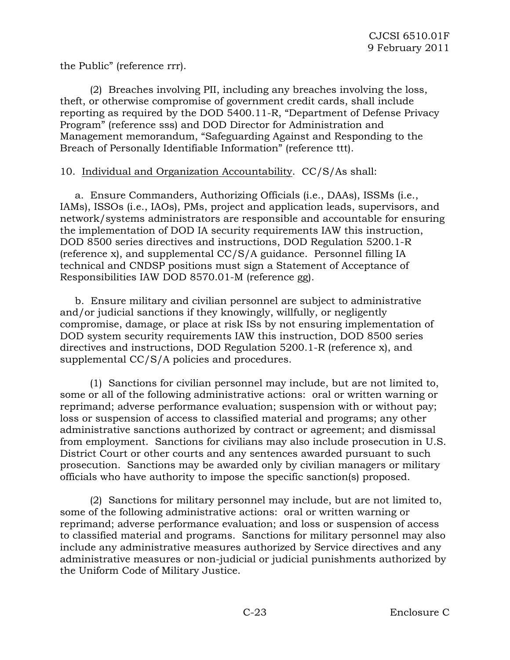the Public" (reference rrr).

(2) Breaches involving PII, including any breaches involving the loss, theft, or otherwise compromise of government credit cards, shall include reporting as required by the DOD 5400.11-R, "Department of Defense Privacy Program" (reference sss) and DOD Director for Administration and Management memorandum, "Safeguarding Against and Responding to the Breach of Personally Identifiable Information" (reference ttt).

### 10. Individual and Organization Accountability. CC/S/As shall:

a. Ensure Commanders, Authorizing Officials (i.e., DAAs), ISSMs (i.e., IAMs), ISSOs (i.e., IAOs), PMs, project and application leads, supervisors, and network/systems administrators are responsible and accountable for ensuring the implementation of DOD IA security requirements IAW this instruction, DOD 8500 series directives and instructions, DOD Regulation 5200.1-R (reference x), and supplemental CC/S/A guidance. Personnel filling IA technical and CNDSP positions must sign a Statement of Acceptance of Responsibilities IAW DOD 8570.01-M (reference gg).

b. Ensure military and civilian personnel are subject to administrative and/or judicial sanctions if they knowingly, willfully, or negligently compromise, damage, or place at risk ISs by not ensuring implementation of DOD system security requirements IAW this instruction, DOD 8500 series directives and instructions, DOD Regulation 5200.1-R (reference x), and supplemental CC/S/A policies and procedures.

(1) Sanctions for civilian personnel may include, but are not limited to, some or all of the following administrative actions: oral or written warning or reprimand; adverse performance evaluation; suspension with or without pay; loss or suspension of access to classified material and programs; any other administrative sanctions authorized by contract or agreement; and dismissal from employment. Sanctions for civilians may also include prosecution in U.S. District Court or other courts and any sentences awarded pursuant to such prosecution. Sanctions may be awarded only by civilian managers or military officials who have authority to impose the specific sanction(s) proposed.

(2) Sanctions for military personnel may include, but are not limited to, some of the following administrative actions: oral or written warning or reprimand; adverse performance evaluation; and loss or suspension of access to classified material and programs. Sanctions for military personnel may also include any administrative measures authorized by Service directives and any administrative measures or non-judicial or judicial punishments authorized by the Uniform Code of Military Justice.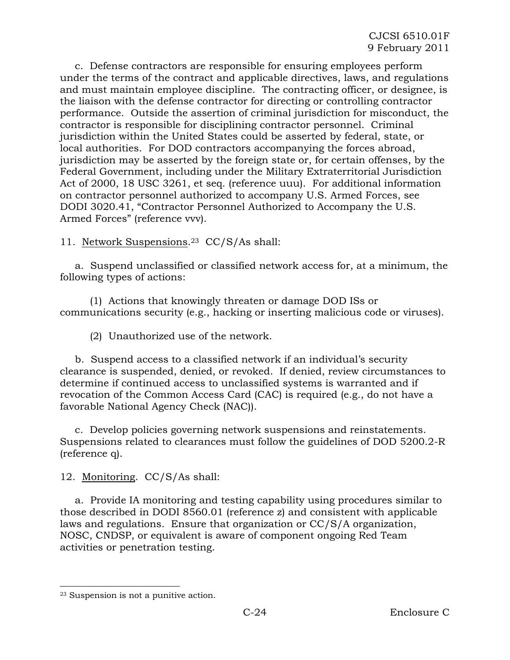c. Defense contractors are responsible for ensuring employees perform under the terms of the contract and applicable directives, laws, and regulations and must maintain employee discipline. The contracting officer, or designee, is the liaison with the defense contractor for directing or controlling contractor performance. Outside the assertion of criminal jurisdiction for misconduct, the contractor is responsible for disciplining contractor personnel. Criminal jurisdiction within the United States could be asserted by federal, state, or local authorities. For DOD contractors accompanying the forces abroad, jurisdiction may be asserted by the foreign state or, for certain offenses, by the Federal Government, including under the Military Extraterritorial Jurisdiction Act of 2000, 18 USC 3261, et seq. (reference uuu). For additional information on contractor personnel authorized to accompany U.S. Armed Forces, see DODI 3020.41, "Contractor Personnel Authorized to Accompany the U.S. Armed Forces" (reference vvv).

11. Network Suspensions.23 CC/S/As shall:

a. Suspend unclassified or classified network access for, at a minimum, the following types of actions:

(1) Actions that knowingly threaten or damage DOD ISs or communications security (e.g., hacking or inserting malicious code or viruses).

(2) Unauthorized use of the network.

b. Suspend access to a classified network if an individual's security clearance is suspended, denied, or revoked. If denied, review circumstances to determine if continued access to unclassified systems is warranted and if revocation of the Common Access Card (CAC) is required (e.g., do not have a favorable National Agency Check (NAC)).

c. Develop policies governing network suspensions and reinstatements. Suspensions related to clearances must follow the guidelines of DOD 5200.2-R (reference q).

12. Monitoring. CC/S/As shall:

a. Provide IA monitoring and testing capability using procedures similar to those described in DODI 8560.01 (reference z) and consistent with applicable laws and regulations. Ensure that organization or CC/S/A organization, NOSC, CNDSP, or equivalent is aware of component ongoing Red Team activities or penetration testing.

 $\overline{a}$ 

<sup>23</sup> Suspension is not a punitive action.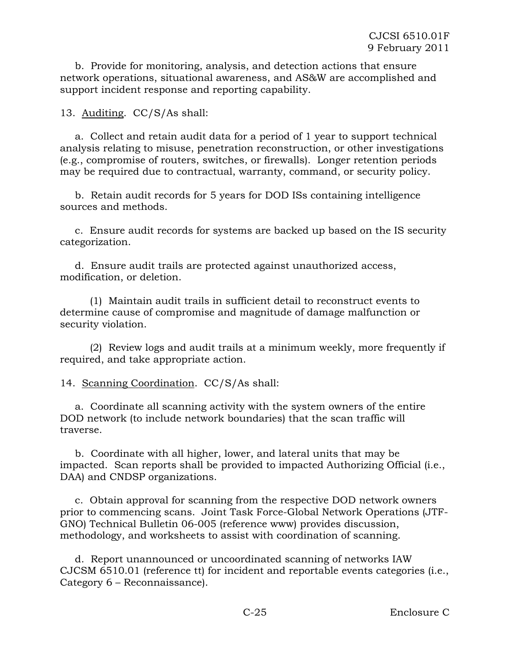b. Provide for monitoring, analysis, and detection actions that ensure network operations, situational awareness, and AS&W are accomplished and support incident response and reporting capability.

13. Auditing. CC/S/As shall:

a. Collect and retain audit data for a period of 1 year to support technical analysis relating to misuse, penetration reconstruction, or other investigations (e.g., compromise of routers, switches, or firewalls). Longer retention periods may be required due to contractual, warranty, command, or security policy.

b. Retain audit records for 5 years for DOD ISs containing intelligence sources and methods.

c. Ensure audit records for systems are backed up based on the IS security categorization.

d. Ensure audit trails are protected against unauthorized access, modification, or deletion.

(1) Maintain audit trails in sufficient detail to reconstruct events to determine cause of compromise and magnitude of damage malfunction or security violation.

(2) Review logs and audit trails at a minimum weekly, more frequently if required, and take appropriate action.

14. Scanning Coordination. CC/S/As shall:

a. Coordinate all scanning activity with the system owners of the entire DOD network (to include network boundaries) that the scan traffic will traverse.

b. Coordinate with all higher, lower, and lateral units that may be impacted. Scan reports shall be provided to impacted Authorizing Official (i.e., DAA) and CNDSP organizations.

c. Obtain approval for scanning from the respective DOD network owners prior to commencing scans. Joint Task Force-Global Network Operations (JTF-GNO) Technical Bulletin 06-005 (reference www) provides discussion, methodology, and worksheets to assist with coordination of scanning.

d. Report unannounced or uncoordinated scanning of networks IAW CJCSM 6510.01 (reference tt) for incident and reportable events categories (i.e., Category 6 – Reconnaissance).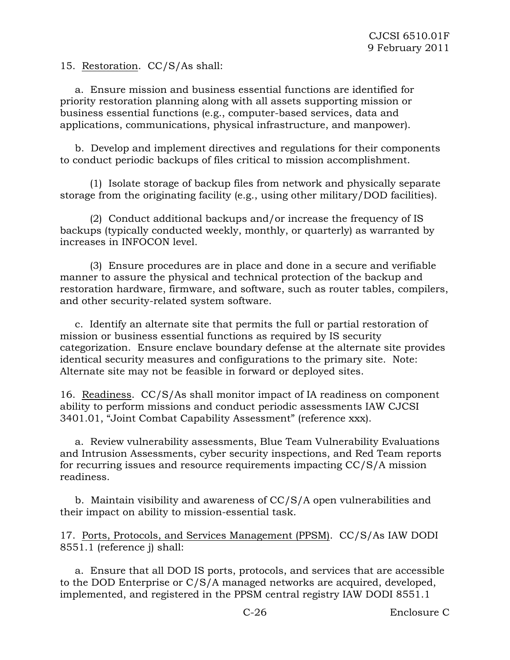15. Restoration. CC/S/As shall:

a. Ensure mission and business essential functions are identified for priority restoration planning along with all assets supporting mission or business essential functions (e.g., computer-based services, data and applications, communications, physical infrastructure, and manpower).

b. Develop and implement directives and regulations for their components to conduct periodic backups of files critical to mission accomplishment.

(1) Isolate storage of backup files from network and physically separate storage from the originating facility (e.g., using other military/DOD facilities).

(2) Conduct additional backups and/or increase the frequency of IS backups (typically conducted weekly, monthly, or quarterly) as warranted by increases in INFOCON level.

(3) Ensure procedures are in place and done in a secure and verifiable manner to assure the physical and technical protection of the backup and restoration hardware, firmware, and software, such as router tables, compilers, and other security-related system software.

c. Identify an alternate site that permits the full or partial restoration of mission or business essential functions as required by IS security categorization. Ensure enclave boundary defense at the alternate site provides identical security measures and configurations to the primary site. Note: Alternate site may not be feasible in forward or deployed sites.

16. Readiness. CC/S/As shall monitor impact of IA readiness on component ability to perform missions and conduct periodic assessments IAW CJCSI 3401.01, "Joint Combat Capability Assessment" (reference xxx).

a. Review vulnerability assessments, Blue Team Vulnerability Evaluations and Intrusion Assessments, cyber security inspections, and Red Team reports for recurring issues and resource requirements impacting CC/S/A mission readiness.

b. Maintain visibility and awareness of CC/S/A open vulnerabilities and their impact on ability to mission-essential task.

17. Ports, Protocols, and Services Management (PPSM). CC/S/As IAW DODI 8551.1 (reference j) shall:

a. Ensure that all DOD IS ports, protocols, and services that are accessible to the DOD Enterprise or C/S/A managed networks are acquired, developed, implemented, and registered in the PPSM central registry IAW DODI 8551.1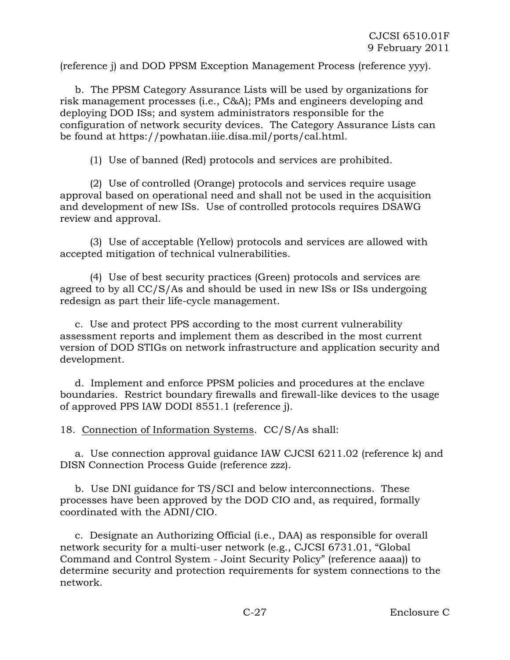(reference j) and DOD PPSM Exception Management Process (reference yyy).

b. The PPSM Category Assurance Lists will be used by organizations for risk management processes (i.e., C&A); PMs and engineers developing and deploying DOD ISs; and system administrators responsible for the configuration of network security devices. The Category Assurance Lists can be found at https://powhatan.iiie.disa.mil/ports/cal.html.

(1) Use of banned (Red) protocols and services are prohibited.

(2) Use of controlled (Orange) protocols and services require usage approval based on operational need and shall not be used in the acquisition and development of new ISs. Use of controlled protocols requires DSAWG review and approval.

(3) Use of acceptable (Yellow) protocols and services are allowed with accepted mitigation of technical vulnerabilities.

(4) Use of best security practices (Green) protocols and services are agreed to by all CC/S/As and should be used in new ISs or ISs undergoing redesign as part their life-cycle management.

c. Use and protect PPS according to the most current vulnerability assessment reports and implement them as described in the most current version of DOD STIGs on network infrastructure and application security and development.

d. Implement and enforce PPSM policies and procedures at the enclave boundaries. Restrict boundary firewalls and firewall-like devices to the usage of approved PPS IAW DODI 8551.1 (reference j).

18. Connection of Information Systems. CC/S/As shall:

a. Use connection approval guidance IAW CJCSI 6211.02 (reference k) and DISN Connection Process Guide (reference zzz).

b. Use DNI guidance for TS/SCI and below interconnections. These processes have been approved by the DOD CIO and, as required, formally coordinated with the ADNI/CIO.

c. Designate an Authorizing Official (i.e., DAA) as responsible for overall network security for a multi-user network (e.g., CJCSI 6731.01, "Global Command and Control System - Joint Security Policy" (reference aaaa)) to determine security and protection requirements for system connections to the network.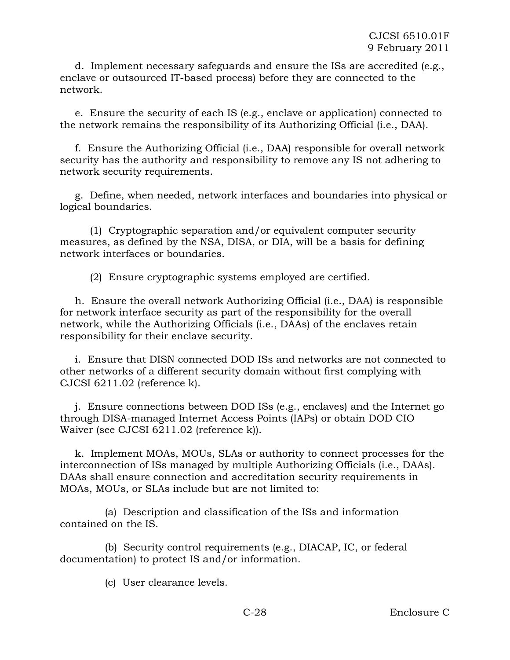d. Implement necessary safeguards and ensure the ISs are accredited (e.g., enclave or outsourced IT-based process) before they are connected to the network.

e. Ensure the security of each IS (e.g., enclave or application) connected to the network remains the responsibility of its Authorizing Official (i.e., DAA).

f. Ensure the Authorizing Official (i.e., DAA) responsible for overall network security has the authority and responsibility to remove any IS not adhering to network security requirements.

g. Define, when needed, network interfaces and boundaries into physical or logical boundaries.

(1) Cryptographic separation and/or equivalent computer security measures, as defined by the NSA, DISA, or DIA, will be a basis for defining network interfaces or boundaries.

(2) Ensure cryptographic systems employed are certified.

h. Ensure the overall network Authorizing Official (i.e., DAA) is responsible for network interface security as part of the responsibility for the overall network, while the Authorizing Officials (i.e., DAAs) of the enclaves retain responsibility for their enclave security.

i. Ensure that DISN connected DOD ISs and networks are not connected to other networks of a different security domain without first complying with CJCSI 6211.02 (reference k).

j. Ensure connections between DOD ISs (e.g., enclaves) and the Internet go through DISA-managed Internet Access Points (IAPs) or obtain DOD CIO Waiver (see CJCSI 6211.02 (reference k)).

k. Implement MOAs, MOUs, SLAs or authority to connect processes for the interconnection of ISs managed by multiple Authorizing Officials (i.e., DAAs). DAAs shall ensure connection and accreditation security requirements in MOAs, MOUs, or SLAs include but are not limited to:

(a) Description and classification of the ISs and information contained on the IS.

(b) Security control requirements (e.g., DIACAP, IC, or federal documentation) to protect IS and/or information.

(c) User clearance levels.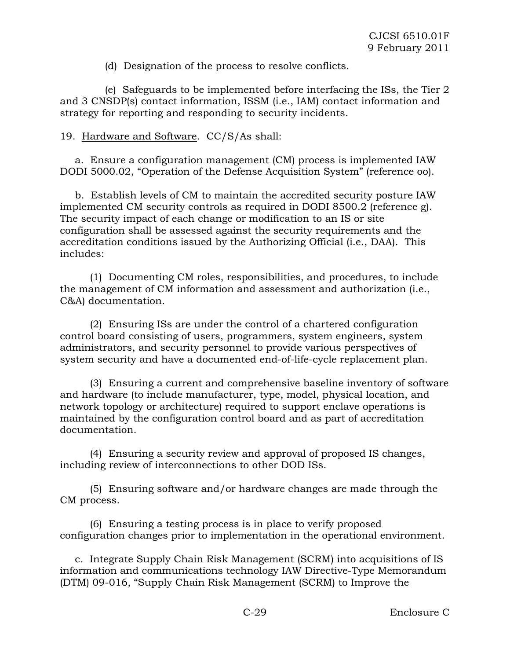(d) Designation of the process to resolve conflicts.

(e) Safeguards to be implemented before interfacing the ISs, the Tier 2 and 3 CNSDP(s) contact information, ISSM (i.e., IAM) contact information and strategy for reporting and responding to security incidents.

#### 19. Hardware and Software. CC/S/As shall:

a. Ensure a configuration management (CM) process is implemented IAW DODI 5000.02, "Operation of the Defense Acquisition System" (reference oo).

b. Establish levels of CM to maintain the accredited security posture IAW implemented CM security controls as required in DODI 8500.2 (reference g). The security impact of each change or modification to an IS or site configuration shall be assessed against the security requirements and the accreditation conditions issued by the Authorizing Official (i.e., DAA). This includes:

(1) Documenting CM roles, responsibilities, and procedures, to include the management of CM information and assessment and authorization (i.e., C&A) documentation.

(2) Ensuring ISs are under the control of a chartered configuration control board consisting of users, programmers, system engineers, system administrators, and security personnel to provide various perspectives of system security and have a documented end-of-life-cycle replacement plan.

(3) Ensuring a current and comprehensive baseline inventory of software and hardware (to include manufacturer, type, model, physical location, and network topology or architecture) required to support enclave operations is maintained by the configuration control board and as part of accreditation documentation.

(4) Ensuring a security review and approval of proposed IS changes, including review of interconnections to other DOD ISs.

(5) Ensuring software and/or hardware changes are made through the CM process.

(6) Ensuring a testing process is in place to verify proposed configuration changes prior to implementation in the operational environment.

c. Integrate Supply Chain Risk Management (SCRM) into acquisitions of IS information and communications technology IAW Directive-Type Memorandum (DTM) 09-016, "Supply Chain Risk Management (SCRM) to Improve the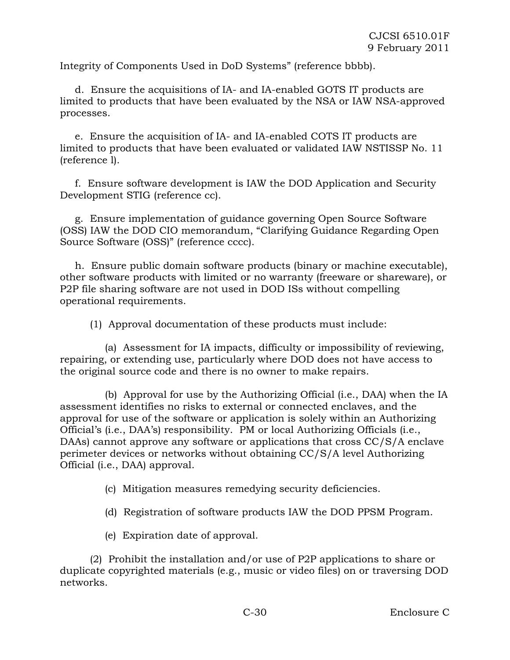Integrity of Components Used in DoD Systems" (reference bbbb).

d. Ensure the acquisitions of IA- and IA-enabled GOTS IT products are limited to products that have been evaluated by the NSA or IAW NSA-approved processes.

e. Ensure the acquisition of IA- and IA-enabled COTS IT products are limited to products that have been evaluated or validated IAW NSTISSP No. 11 (reference l).

f. Ensure software development is IAW the DOD Application and Security Development STIG (reference cc).

g. Ensure implementation of guidance governing Open Source Software (OSS) IAW the DOD CIO memorandum, "Clarifying Guidance Regarding Open Source Software (OSS)" (reference cccc).

h. Ensure public domain software products (binary or machine executable), other software products with limited or no warranty (freeware or shareware), or P2P file sharing software are not used in DOD ISs without compelling operational requirements.

(1) Approval documentation of these products must include:

(a) Assessment for IA impacts, difficulty or impossibility of reviewing, repairing, or extending use, particularly where DOD does not have access to the original source code and there is no owner to make repairs.

(b) Approval for use by the Authorizing Official (i.e., DAA) when the IA assessment identifies no risks to external or connected enclaves, and the approval for use of the software or application is solely within an Authorizing Official's (i.e., DAA's) responsibility. PM or local Authorizing Officials (i.e., DAAs) cannot approve any software or applications that cross CC/S/A enclave perimeter devices or networks without obtaining CC/S/A level Authorizing Official (i.e., DAA) approval.

(c) Mitigation measures remedying security deficiencies.

(d) Registration of software products IAW the DOD PPSM Program.

(e) Expiration date of approval.

(2) Prohibit the installation and/or use of P2P applications to share or duplicate copyrighted materials (e.g., music or video files) on or traversing DOD networks.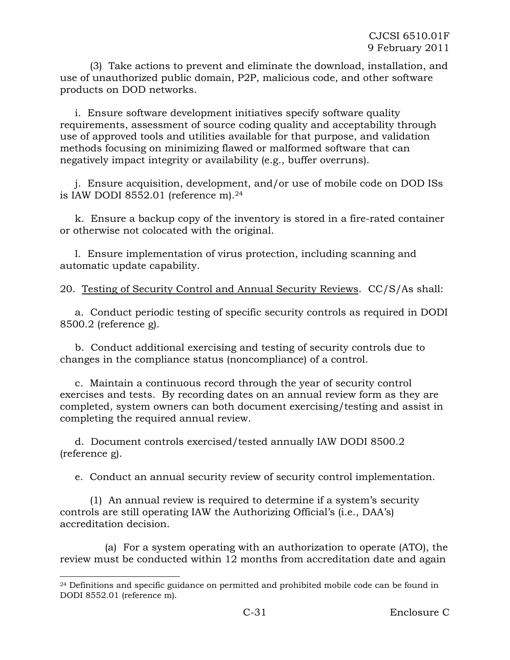(3) Take actions to prevent and eliminate the download, installation, and use of unauthorized public domain, P2P, malicious code, and other software products on DOD networks.

i. Ensure software development initiatives specify software quality requirements, assessment of source coding quality and acceptability through use of approved tools and utilities available for that purpose, and validation methods focusing on minimizing flawed or malformed software that can negatively impact integrity or availability (e.g., buffer overruns).

j. Ensure acquisition, development, and/or use of mobile code on DOD ISs is IAW DODI 8552.01 (reference m). $24$ 

k. Ensure a backup copy of the inventory is stored in a fire-rated container or otherwise not colocated with the original.

l. Ensure implementation of virus protection, including scanning and automatic update capability.

20. Testing of Security Control and Annual Security Reviews. CC/S/As shall:

a. Conduct periodic testing of specific security controls as required in DODI 8500.2 (reference g).

b. Conduct additional exercising and testing of security controls due to changes in the compliance status (noncompliance) of a control.

c. Maintain a continuous record through the year of security control exercises and tests. By recording dates on an annual review form as they are completed, system owners can both document exercising/testing and assist in completing the required annual review.

d. Document controls exercised/tested annually IAW DODI 8500.2 (reference g).

e. Conduct an annual security review of security control implementation.

(1) An annual review is required to determine if a system's security controls are still operating IAW the Authorizing Official's (i.e., DAA's) accreditation decision.

(a) For a system operating with an authorization to operate (ATO), the review must be conducted within 12 months from accreditation date and again

 $\overline{a}$ 24 Definitions and specific guidance on permitted and prohibited mobile code can be found in DODI 8552.01 (reference m).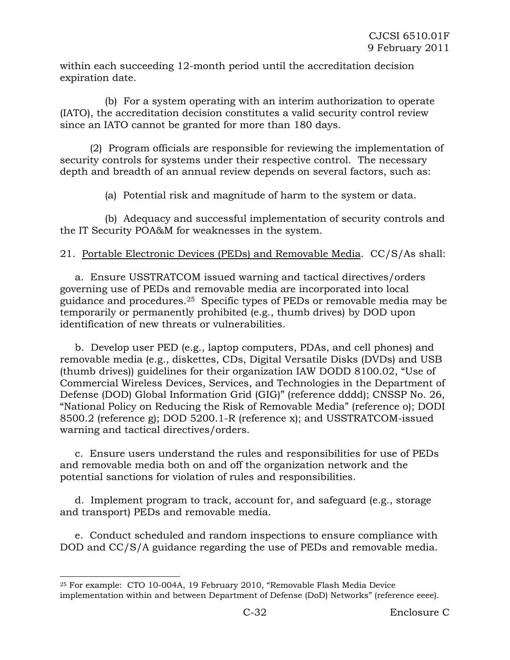within each succeeding 12-month period until the accreditation decision expiration date.

(b) For a system operating with an interim authorization to operate (IATO), the accreditation decision constitutes a valid security control review since an IATO cannot be granted for more than 180 days.

(2) Program officials are responsible for reviewing the implementation of security controls for systems under their respective control. The necessary depth and breadth of an annual review depends on several factors, such as:

(a) Potential risk and magnitude of harm to the system or data.

(b) Adequacy and successful implementation of security controls and the IT Security POA&M for weaknesses in the system.

# 21. Portable Electronic Devices (PEDs) and Removable Media. CC/S/As shall:

a. Ensure USSTRATCOM issued warning and tactical directives/orders governing use of PEDs and removable media are incorporated into local guidance and procedures.25 Specific types of PEDs or removable media may be temporarily or permanently prohibited (e.g., thumb drives) by DOD upon identification of new threats or vulnerabilities.

b. Develop user PED (e.g., laptop computers, PDAs, and cell phones) and removable media (e.g., diskettes, CDs, Digital Versatile Disks (DVDs) and USB (thumb drives)) guidelines for their organization IAW DODD 8100.02, "Use of Commercial Wireless Devices, Services, and Technologies in the Department of Defense (DOD) Global Information Grid (GIG)" (reference dddd); CNSSP No. 26, "National Policy on Reducing the Risk of Removable Media" (reference o); DODI 8500.2 (reference g); DOD 5200.1-R (reference x); and USSTRATCOM-issued warning and tactical directives/orders.

c. Ensure users understand the rules and responsibilities for use of PEDs and removable media both on and off the organization network and the potential sanctions for violation of rules and responsibilities.

d. Implement program to track, account for, and safeguard (e.g., storage and transport) PEDs and removable media.

e. Conduct scheduled and random inspections to ensure compliance with DOD and CC/S/A guidance regarding the use of PEDs and removable media.

 $\overline{a}$ 25 For example: CTO 10-004A, 19 February 2010, "Removable Flash Media Device implementation within and between Department of Defense (DoD) Networks" (reference eeee).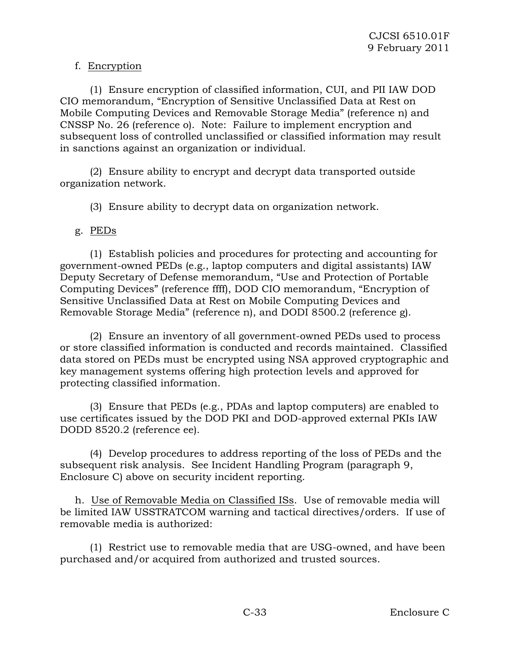### f. Encryption

(1) Ensure encryption of classified information, CUI, and PII IAW DOD CIO memorandum, "Encryption of Sensitive Unclassified Data at Rest on Mobile Computing Devices and Removable Storage Media" (reference n) and CNSSP No. 26 (reference o). Note: Failure to implement encryption and subsequent loss of controlled unclassified or classified information may result in sanctions against an organization or individual.

(2) Ensure ability to encrypt and decrypt data transported outside organization network.

(3) Ensure ability to decrypt data on organization network.

#### g. PEDs

(1) Establish policies and procedures for protecting and accounting for government-owned PEDs (e.g., laptop computers and digital assistants) IAW Deputy Secretary of Defense memorandum, "Use and Protection of Portable Computing Devices" (reference ffff), DOD CIO memorandum, "Encryption of Sensitive Unclassified Data at Rest on Mobile Computing Devices and Removable Storage Media" (reference n), and DODI 8500.2 (reference g).

(2) Ensure an inventory of all government-owned PEDs used to process or store classified information is conducted and records maintained. Classified data stored on PEDs must be encrypted using NSA approved cryptographic and key management systems offering high protection levels and approved for protecting classified information.

(3) Ensure that PEDs (e.g., PDAs and laptop computers) are enabled to use certificates issued by the DOD PKI and DOD-approved external PKIs IAW DODD 8520.2 (reference ee).

(4) Develop procedures to address reporting of the loss of PEDs and the subsequent risk analysis. See Incident Handling Program (paragraph 9, Enclosure C) above on security incident reporting.

h. Use of Removable Media on Classified ISs. Use of removable media will be limited IAW USSTRATCOM warning and tactical directives/orders. If use of removable media is authorized:

(1) Restrict use to removable media that are USG-owned, and have been purchased and/or acquired from authorized and trusted sources.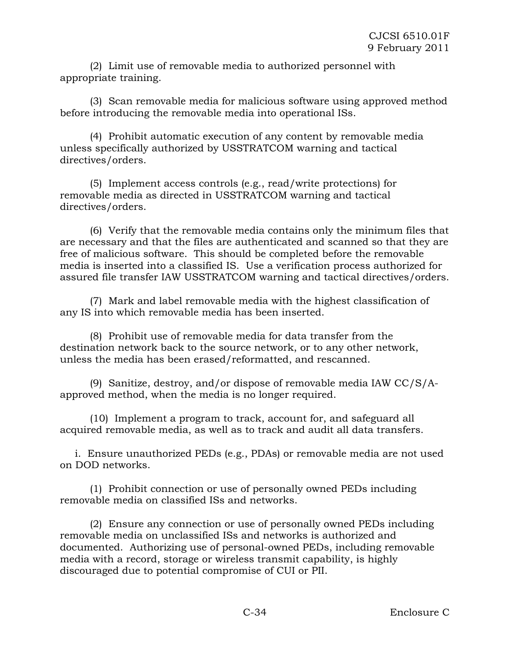(2) Limit use of removable media to authorized personnel with appropriate training.

(3) Scan removable media for malicious software using approved method before introducing the removable media into operational ISs.

(4) Prohibit automatic execution of any content by removable media unless specifically authorized by USSTRATCOM warning and tactical directives/orders.

(5) Implement access controls (e.g., read/write protections) for removable media as directed in USSTRATCOM warning and tactical directives/orders.

(6) Verify that the removable media contains only the minimum files that are necessary and that the files are authenticated and scanned so that they are free of malicious software. This should be completed before the removable media is inserted into a classified IS. Use a verification process authorized for assured file transfer IAW USSTRATCOM warning and tactical directives/orders.

(7) Mark and label removable media with the highest classification of any IS into which removable media has been inserted.

(8) Prohibit use of removable media for data transfer from the destination network back to the source network, or to any other network, unless the media has been erased/reformatted, and rescanned.

(9) Sanitize, destroy, and/or dispose of removable media IAW CC/S/Aapproved method, when the media is no longer required.

(10) Implement a program to track, account for, and safeguard all acquired removable media, as well as to track and audit all data transfers.

i. Ensure unauthorized PEDs (e.g., PDAs) or removable media are not used on DOD networks.

(1) Prohibit connection or use of personally owned PEDs including removable media on classified ISs and networks.

(2) Ensure any connection or use of personally owned PEDs including removable media on unclassified ISs and networks is authorized and documented. Authorizing use of personal-owned PEDs, including removable media with a record, storage or wireless transmit capability, is highly discouraged due to potential compromise of CUI or PII.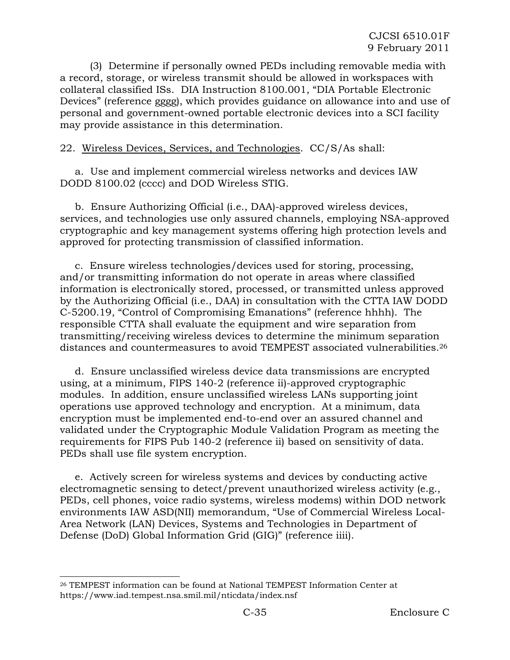(3) Determine if personally owned PEDs including removable media with a record, storage, or wireless transmit should be allowed in workspaces with collateral classified ISs. DIA Instruction 8100.001, "DIA Portable Electronic Devices" (reference gggg), which provides guidance on allowance into and use of personal and government-owned portable electronic devices into a SCI facility may provide assistance in this determination.

22. Wireless Devices, Services, and Technologies. CC/S/As shall:

a. Use and implement commercial wireless networks and devices IAW DODD 8100.02 (cccc) and DOD Wireless STIG.

b. Ensure Authorizing Official (i.e., DAA)-approved wireless devices, services, and technologies use only assured channels, employing NSA-approved cryptographic and key management systems offering high protection levels and approved for protecting transmission of classified information.

c. Ensure wireless technologies/devices used for storing, processing, and/or transmitting information do not operate in areas where classified information is electronically stored, processed, or transmitted unless approved by the Authorizing Official (i.e., DAA) in consultation with the CTTA IAW DODD C-5200.19, "Control of Compromising Emanations" (reference hhhh). The responsible CTTA shall evaluate the equipment and wire separation from transmitting/receiving wireless devices to determine the minimum separation distances and countermeasures to avoid TEMPEST associated vulnerabilities.26

d. Ensure unclassified wireless device data transmissions are encrypted using, at a minimum, FIPS 140-2 (reference ii)-approved cryptographic modules. In addition, ensure unclassified wireless LANs supporting joint operations use approved technology and encryption. At a minimum, data encryption must be implemented end-to-end over an assured channel and validated under the Cryptographic Module Validation Program as meeting the requirements for FIPS Pub 140-2 (reference ii) based on sensitivity of data. PEDs shall use file system encryption.

e. Actively screen for wireless systems and devices by conducting active electromagnetic sensing to detect/prevent unauthorized wireless activity (e.g., PEDs, cell phones, voice radio systems, wireless modems) within DOD network environments IAW ASD(NII) memorandum, "Use of Commercial Wireless Local-Area Network (LAN) Devices, Systems and Technologies in Department of Defense (DoD) Global Information Grid (GIG)" (reference iiii).

 $\overline{a}$ 26 TEMPEST information can be found at National TEMPEST Information Center at https://www.iad.tempest.nsa.smil.mil/nticdata/index.nsf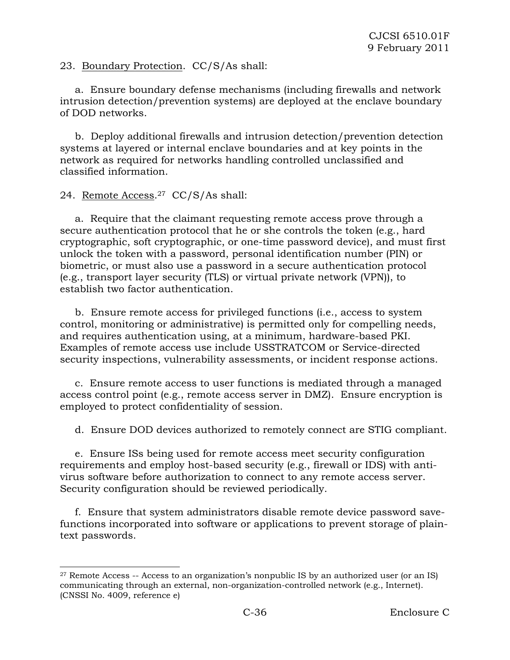#### 23. Boundary Protection. CC/S/As shall:

a. Ensure boundary defense mechanisms (including firewalls and network intrusion detection/prevention systems) are deployed at the enclave boundary of DOD networks.

b. Deploy additional firewalls and intrusion detection/prevention detection systems at layered or internal enclave boundaries and at key points in the network as required for networks handling controlled unclassified and classified information.

#### 24. Remote Access.27 CC/S/As shall:

 $\overline{a}$ 

a. Require that the claimant requesting remote access prove through a secure authentication protocol that he or she controls the token (e.g., hard cryptographic, soft cryptographic, or one-time password device), and must first unlock the token with a password, personal identification number (PIN) or biometric, or must also use a password in a secure authentication protocol (e.g., transport layer security (TLS) or virtual private network (VPN)), to establish two factor authentication.

b. Ensure remote access for privileged functions (i.e., access to system control, monitoring or administrative) is permitted only for compelling needs, and requires authentication using, at a minimum, hardware-based PKI. Examples of remote access use include USSTRATCOM or Service-directed security inspections, vulnerability assessments, or incident response actions.

c. Ensure remote access to user functions is mediated through a managed access control point (e.g., remote access server in DMZ). Ensure encryption is employed to protect confidentiality of session.

d. Ensure DOD devices authorized to remotely connect are STIG compliant.

e. Ensure ISs being used for remote access meet security configuration requirements and employ host-based security (e.g., firewall or IDS) with antivirus software before authorization to connect to any remote access server. Security configuration should be reviewed periodically.

f. Ensure that system administrators disable remote device password savefunctions incorporated into software or applications to prevent storage of plaintext passwords.

 $27$  Remote Access -- Access to an organization's nonpublic IS by an authorized user (or an IS) communicating through an external, non-organization-controlled network (e.g., Internet). (CNSSI No. 4009, reference e)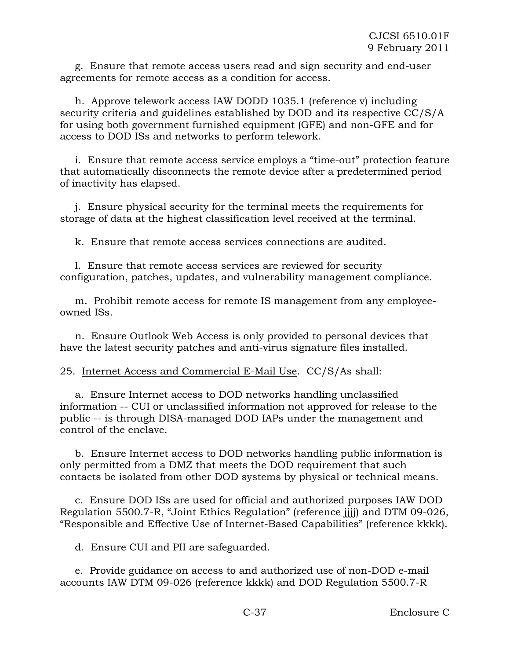g. Ensure that remote access users read and sign security and end-user agreements for remote access as a condition for access.

h. Approve telework access IAW DODD 1035.1 (reference v) including security criteria and guidelines established by DOD and its respective CC/S/A for using both government furnished equipment (GFE) and non-GFE and for access to DOD ISs and networks to perform telework.

i. Ensure that remote access service employs a "time-out" protection feature that automatically disconnects the remote device after a predetermined period of inactivity has elapsed.

j. Ensure physical security for the terminal meets the requirements for storage of data at the highest classification level received at the terminal.

k. Ensure that remote access services connections are audited.

l. Ensure that remote access services are reviewed for security configuration, patches, updates, and vulnerability management compliance.

m. Prohibit remote access for remote IS management from any employeeowned ISs.

n. Ensure Outlook Web Access is only provided to personal devices that have the latest security patches and anti-virus signature files installed.

25. Internet Access and Commercial E-Mail Use. CC/S/As shall:

a. Ensure Internet access to DOD networks handling unclassified information -- CUI or unclassified information not approved for release to the public -- is through DISA-managed DOD IAPs under the management and control of the enclave.

b. Ensure Internet access to DOD networks handling public information is only permitted from a DMZ that meets the DOD requirement that such contacts be isolated from other DOD systems by physical or technical means.

c. Ensure DOD ISs are used for official and authorized purposes IAW DOD Regulation 5500.7-R, "Joint Ethics Regulation" (reference jjjj) and DTM 09-026, "Responsible and Effective Use of Internet-Based Capabilities" (reference kkkk).

d. Ensure CUI and PII are safeguarded.

e. Provide guidance on access to and authorized use of non-DOD e-mail accounts IAW DTM 09-026 (reference kkkk) and DOD Regulation 5500.7-R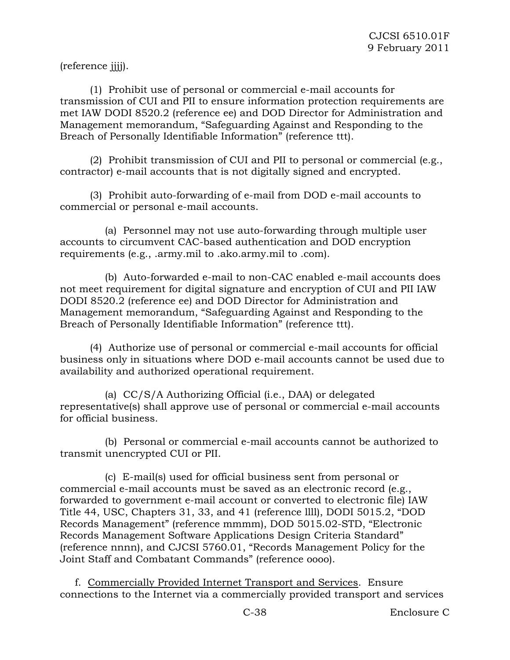(reference jjjj).

(1) Prohibit use of personal or commercial e-mail accounts for transmission of CUI and PII to ensure information protection requirements are met IAW DODI 8520.2 (reference ee) and DOD Director for Administration and Management memorandum, "Safeguarding Against and Responding to the Breach of Personally Identifiable Information" (reference ttt).

(2) Prohibit transmission of CUI and PII to personal or commercial (e.g., contractor) e-mail accounts that is not digitally signed and encrypted.

(3) Prohibit auto-forwarding of e-mail from DOD e-mail accounts to commercial or personal e-mail accounts.

(a) Personnel may not use auto-forwarding through multiple user accounts to circumvent CAC-based authentication and DOD encryption requirements (e.g., .army.mil to .ako.army.mil to .com).

(b) Auto-forwarded e-mail to non-CAC enabled e-mail accounts does not meet requirement for digital signature and encryption of CUI and PII IAW DODI 8520.2 (reference ee) and DOD Director for Administration and Management memorandum, "Safeguarding Against and Responding to the Breach of Personally Identifiable Information" (reference ttt).

(4) Authorize use of personal or commercial e-mail accounts for official business only in situations where DOD e-mail accounts cannot be used due to availability and authorized operational requirement.

(a) CC/S/A Authorizing Official (i.e., DAA) or delegated representative(s) shall approve use of personal or commercial e-mail accounts for official business.

(b) Personal or commercial e-mail accounts cannot be authorized to transmit unencrypted CUI or PII.

(c) E-mail(s) used for official business sent from personal or commercial e-mail accounts must be saved as an electronic record (e.g., forwarded to government e-mail account or converted to electronic file) IAW Title 44, USC, Chapters 31, 33, and 41 (reference llll), DODI 5015.2, "DOD Records Management" (reference mmmm), DOD 5015.02-STD, "Electronic Records Management Software Applications Design Criteria Standard" (reference nnnn), and CJCSI 5760.01, "Records Management Policy for the Joint Staff and Combatant Commands" (reference oooo).

f. Commercially Provided Internet Transport and Services. Ensure connections to the Internet via a commercially provided transport and services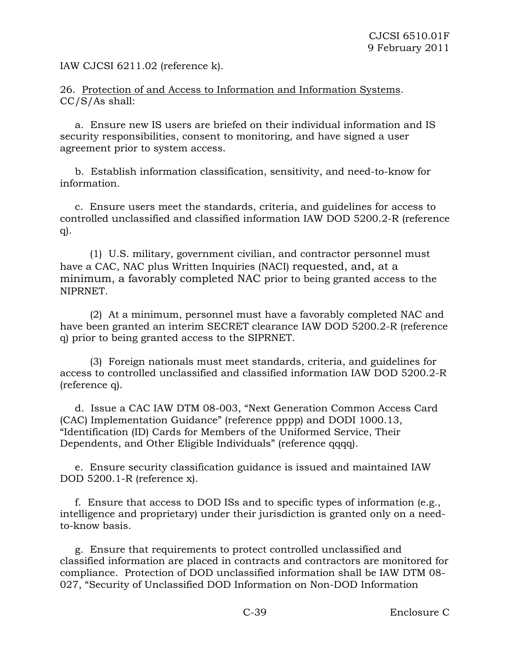IAW CJCSI 6211.02 (reference k).

26. Protection of and Access to Information and Information Systems. CC/S/As shall:

a. Ensure new IS users are briefed on their individual information and IS security responsibilities, consent to monitoring, and have signed a user agreement prior to system access.

b. Establish information classification, sensitivity, and need-to-know for information.

c. Ensure users meet the standards, criteria, and guidelines for access to controlled unclassified and classified information IAW DOD 5200.2-R (reference q).

(1) U.S. military, government civilian, and contractor personnel must have a CAC, NAC plus Written Inquiries (NACI) requested, and, at a minimum, a favorably completed NAC prior to being granted access to the NIPRNET.

(2) At a minimum, personnel must have a favorably completed NAC and have been granted an interim SECRET clearance IAW DOD 5200.2-R (reference q) prior to being granted access to the SIPRNET.

(3) Foreign nationals must meet standards, criteria, and guidelines for access to controlled unclassified and classified information IAW DOD 5200.2-R (reference q).

d. Issue a CAC IAW DTM 08-003, "Next Generation Common Access Card (CAC) Implementation Guidance" (reference pppp) and DODI 1000.13, "Identification (ID) Cards for Members of the Uniformed Service, Their Dependents, and Other Eligible Individuals" (reference qqqq).

e. Ensure security classification guidance is issued and maintained IAW DOD 5200.1-R (reference x).

f. Ensure that access to DOD ISs and to specific types of information (e.g., intelligence and proprietary) under their jurisdiction is granted only on a needto-know basis.

g. Ensure that requirements to protect controlled unclassified and classified information are placed in contracts and contractors are monitored for compliance. Protection of DOD unclassified information shall be IAW DTM 08- 027, "Security of Unclassified DOD Information on Non-DOD Information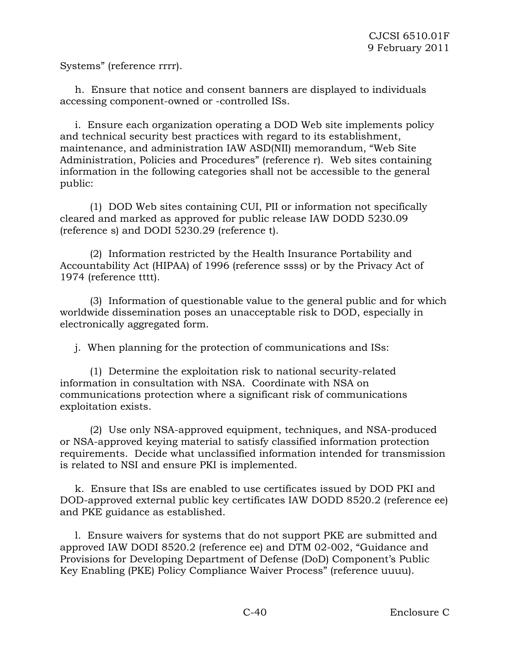Systems" (reference rrrr).

h. Ensure that notice and consent banners are displayed to individuals accessing component-owned or -controlled ISs.

i. Ensure each organization operating a DOD Web site implements policy and technical security best practices with regard to its establishment, maintenance, and administration IAW ASD(NII) memorandum, "Web Site Administration, Policies and Procedures" (reference r). Web sites containing information in the following categories shall not be accessible to the general public:

(1) DOD Web sites containing CUI, PII or information not specifically cleared and marked as approved for public release IAW DODD 5230.09 (reference s) and DODI 5230.29 (reference t).

(2) Information restricted by the Health Insurance Portability and Accountability Act (HIPAA) of 1996 (reference ssss) or by the Privacy Act of 1974 (reference tttt).

(3) Information of questionable value to the general public and for which worldwide dissemination poses an unacceptable risk to DOD, especially in electronically aggregated form.

j. When planning for the protection of communications and ISs:

(1) Determine the exploitation risk to national security-related information in consultation with NSA. Coordinate with NSA on communications protection where a significant risk of communications exploitation exists.

(2) Use only NSA-approved equipment, techniques, and NSA-produced or NSA-approved keying material to satisfy classified information protection requirements. Decide what unclassified information intended for transmission is related to NSI and ensure PKI is implemented.

k. Ensure that ISs are enabled to use certificates issued by DOD PKI and DOD-approved external public key certificates IAW DODD 8520.2 (reference ee) and PKE guidance as established.

l. Ensure waivers for systems that do not support PKE are submitted and approved IAW DODI 8520.2 (reference ee) and DTM 02-002, "Guidance and Provisions for Developing Department of Defense (DoD) Component's Public Key Enabling (PKE) Policy Compliance Waiver Process" (reference uuuu).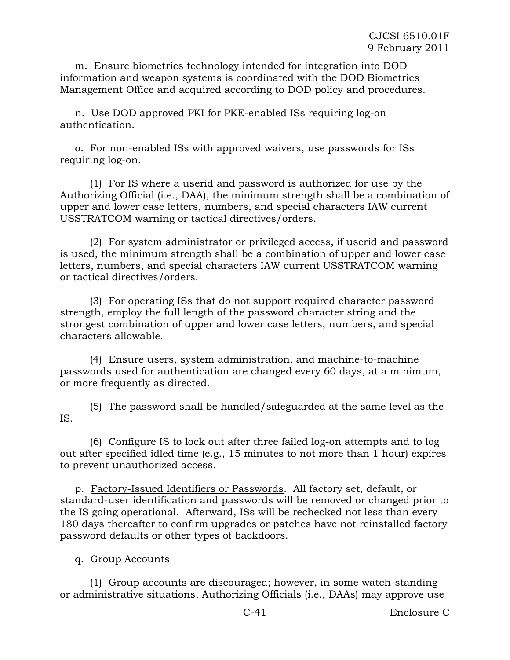m. Ensure biometrics technology intended for integration into DOD information and weapon systems is coordinated with the DOD Biometrics Management Office and acquired according to DOD policy and procedures.

n. Use DOD approved PKI for PKE-enabled ISs requiring log-on authentication.

o. For non-enabled ISs with approved waivers, use passwords for ISs requiring log-on.

(1) For IS where a userid and password is authorized for use by the Authorizing Official (i.e., DAA), the minimum strength shall be a combination of upper and lower case letters, numbers, and special characters IAW current USSTRATCOM warning or tactical directives/orders.

(2) For system administrator or privileged access, if userid and password is used, the minimum strength shall be a combination of upper and lower case letters, numbers, and special characters IAW current USSTRATCOM warning or tactical directives/orders.

(3) For operating ISs that do not support required character password strength, employ the full length of the password character string and the strongest combination of upper and lower case letters, numbers, and special characters allowable.

(4) Ensure users, system administration, and machine-to-machine passwords used for authentication are changed every 60 days, at a minimum, or more frequently as directed.

(5) The password shall be handled/safeguarded at the same level as the IS.

(6) Configure IS to lock out after three failed log-on attempts and to log out after specified idled time (e.g., 15 minutes to not more than 1 hour) expires to prevent unauthorized access.

p. Factory-Issued Identifiers or Passwords. All factory set, default, or standard-user identification and passwords will be removed or changed prior to the IS going operational. Afterward, ISs will be rechecked not less than every 180 days thereafter to confirm upgrades or patches have not reinstalled factory password defaults or other types of backdoors.

## q. Group Accounts

(1) Group accounts are discouraged; however, in some watch-standing or administrative situations, Authorizing Officials (i.e., DAAs) may approve use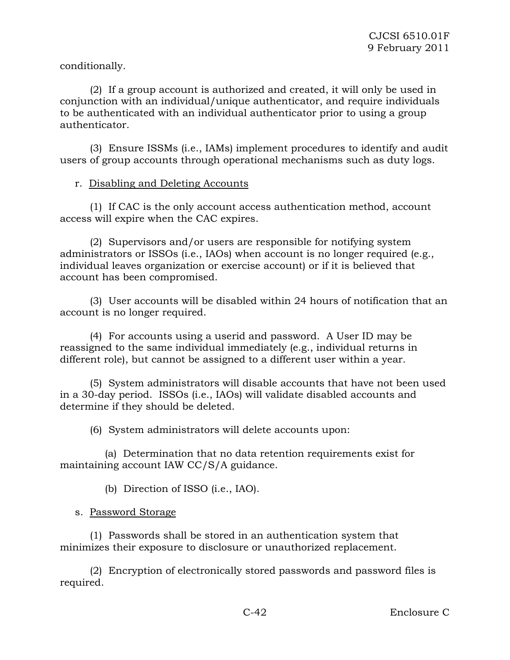conditionally.

(2) If a group account is authorized and created, it will only be used in conjunction with an individual/unique authenticator, and require individuals to be authenticated with an individual authenticator prior to using a group authenticator.

(3) Ensure ISSMs (i.e., IAMs) implement procedures to identify and audit users of group accounts through operational mechanisms such as duty logs.

### r. Disabling and Deleting Accounts

(1) If CAC is the only account access authentication method, account access will expire when the CAC expires.

(2) Supervisors and/or users are responsible for notifying system administrators or ISSOs (i.e., IAOs) when account is no longer required (e.g., individual leaves organization or exercise account) or if it is believed that account has been compromised.

(3) User accounts will be disabled within 24 hours of notification that an account is no longer required.

(4) For accounts using a userid and password. A User ID may be reassigned to the same individual immediately (e.g., individual returns in different role), but cannot be assigned to a different user within a year.

(5) System administrators will disable accounts that have not been used in a 30-day period. ISSOs (i.e., IAOs) will validate disabled accounts and determine if they should be deleted.

(6) System administrators will delete accounts upon:

(a) Determination that no data retention requirements exist for maintaining account IAW CC/S/A guidance.

(b) Direction of ISSO (i.e., IAO).

s. Password Storage

(1) Passwords shall be stored in an authentication system that minimizes their exposure to disclosure or unauthorized replacement.

(2) Encryption of electronically stored passwords and password files is required.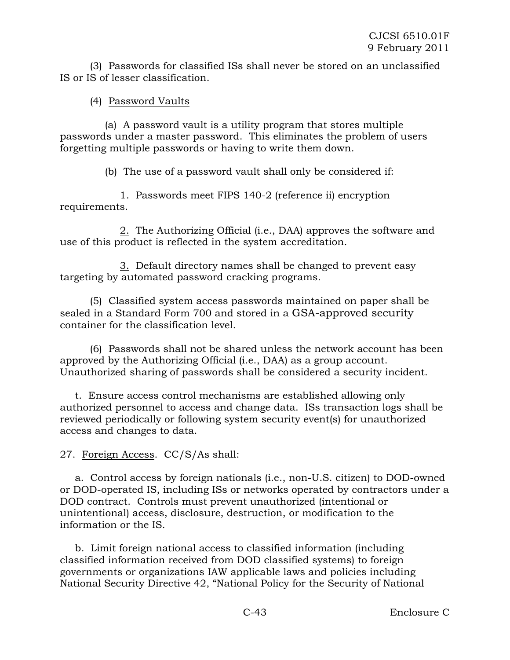(3) Passwords for classified ISs shall never be stored on an unclassified IS or IS of lesser classification.

## (4) Password Vaults

(a) A password vault is a utility program that stores multiple passwords under a master password. This eliminates the problem of users forgetting multiple passwords or having to write them down.

(b) The use of a password vault shall only be considered if:

1. Passwords meet FIPS 140-2 (reference ii) encryption requirements.

2. The Authorizing Official (i.e., DAA) approves the software and use of this product is reflected in the system accreditation.

3. Default directory names shall be changed to prevent easy targeting by automated password cracking programs.

(5) Classified system access passwords maintained on paper shall be sealed in a Standard Form 700 and stored in a GSA-approved security container for the classification level.

(6) Passwords shall not be shared unless the network account has been approved by the Authorizing Official (i.e., DAA) as a group account. Unauthorized sharing of passwords shall be considered a security incident.

t. Ensure access control mechanisms are established allowing only authorized personnel to access and change data. ISs transaction logs shall be reviewed periodically or following system security event(s) for unauthorized access and changes to data.

27. Foreign Access. CC/S/As shall:

a. Control access by foreign nationals (i.e., non-U.S. citizen) to DOD-owned or DOD-operated IS, including ISs or networks operated by contractors under a DOD contract. Controls must prevent unauthorized (intentional or unintentional) access, disclosure, destruction, or modification to the information or the IS.

b. Limit foreign national access to classified information (including classified information received from DOD classified systems) to foreign governments or organizations IAW applicable laws and policies including National Security Directive 42, "National Policy for the Security of National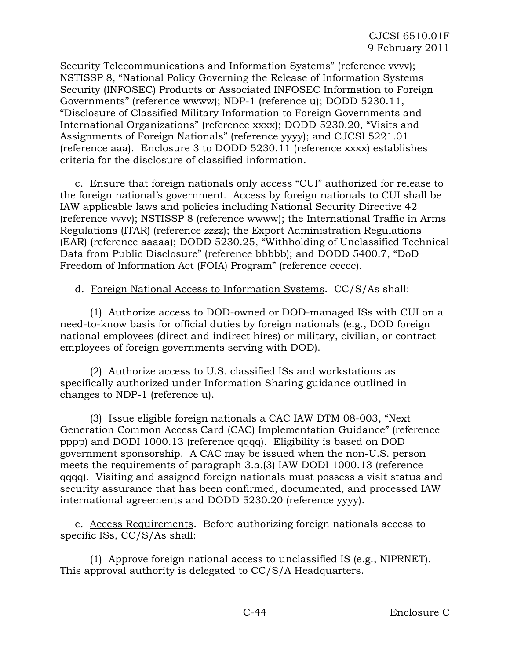Security Telecommunications and Information Systems" (reference vvvv); NSTISSP 8, "National Policy Governing the Release of Information Systems Security (INFOSEC) Products or Associated INFOSEC Information to Foreign Governments" (reference wwww); NDP-1 (reference u); DODD 5230.11, "Disclosure of Classified Military Information to Foreign Governments and International Organizations" (reference xxxx); DODD 5230.20, "Visits and Assignments of Foreign Nationals" (reference yyyy); and CJCSI 5221.01 (reference aaa). Enclosure 3 to DODD 5230.11 (reference xxxx) establishes criteria for the disclosure of classified information.

c. Ensure that foreign nationals only access "CUI" authorized for release to the foreign national's government. Access by foreign nationals to CUI shall be IAW applicable laws and policies including National Security Directive 42 (reference vvvv); NSTISSP 8 (reference wwww); the International Traffic in Arms Regulations (ITAR) (reference zzzz); the Export Administration Regulations (EAR) (reference aaaaa); DODD 5230.25, "Withholding of Unclassified Technical Data from Public Disclosure" (reference bbbbb); and DODD 5400.7, "DoD Freedom of Information Act (FOIA) Program" (reference ccccc).

### d. Foreign National Access to Information Systems. CC/S/As shall:

(1) Authorize access to DOD-owned or DOD-managed ISs with CUI on a need-to-know basis for official duties by foreign nationals (e.g., DOD foreign national employees (direct and indirect hires) or military, civilian, or contract employees of foreign governments serving with DOD).

(2) Authorize access to U.S. classified ISs and workstations as specifically authorized under Information Sharing guidance outlined in changes to NDP-1 (reference u).

(3) Issue eligible foreign nationals a CAC IAW DTM 08-003, "Next Generation Common Access Card (CAC) Implementation Guidance" (reference pppp) and DODI 1000.13 (reference qqqq). Eligibility is based on DOD government sponsorship. A CAC may be issued when the non-U.S. person meets the requirements of paragraph 3.a.(3) IAW DODI 1000.13 (reference qqqq). Visiting and assigned foreign nationals must possess a visit status and security assurance that has been confirmed, documented, and processed IAW international agreements and DODD 5230.20 (reference yyyy).

e. Access Requirements. Before authorizing foreign nationals access to specific ISs, CC/S/As shall:

(1) Approve foreign national access to unclassified IS (e.g., NIPRNET). This approval authority is delegated to CC/S/A Headquarters.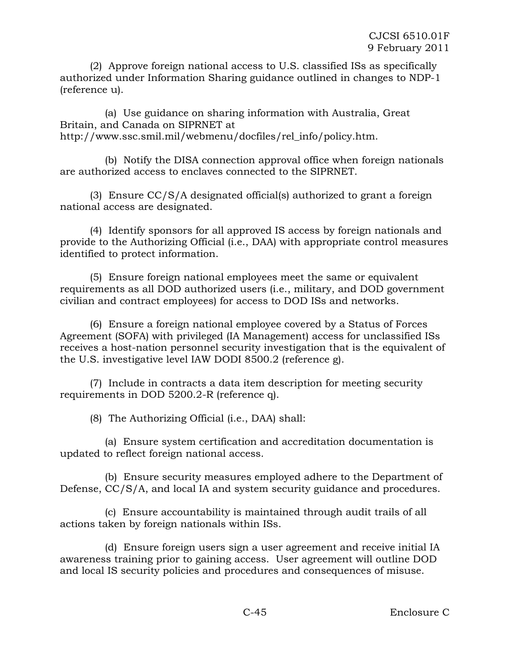(2) Approve foreign national access to U.S. classified ISs as specifically authorized under Information Sharing guidance outlined in changes to NDP-1 (reference u).

(a) Use guidance on sharing information with Australia, Great Britain, and Canada on SIPRNET at http://www.ssc.smil.mil/webmenu/docfiles/rel\_info/policy.htm.

(b) Notify the DISA connection approval office when foreign nationals are authorized access to enclaves connected to the SIPRNET.

(3) Ensure CC/S/A designated official(s) authorized to grant a foreign national access are designated.

(4) Identify sponsors for all approved IS access by foreign nationals and provide to the Authorizing Official (i.e., DAA) with appropriate control measures identified to protect information.

(5) Ensure foreign national employees meet the same or equivalent requirements as all DOD authorized users (i.e., military, and DOD government civilian and contract employees) for access to DOD ISs and networks.

(6) Ensure a foreign national employee covered by a Status of Forces Agreement (SOFA) with privileged (IA Management) access for unclassified ISs receives a host-nation personnel security investigation that is the equivalent of the U.S. investigative level IAW DODI 8500.2 (reference g).

(7) Include in contracts a data item description for meeting security requirements in DOD 5200.2-R (reference q).

(8) The Authorizing Official (i.e., DAA) shall:

(a) Ensure system certification and accreditation documentation is updated to reflect foreign national access.

(b) Ensure security measures employed adhere to the Department of Defense, CC/S/A, and local IA and system security guidance and procedures.

(c) Ensure accountability is maintained through audit trails of all actions taken by foreign nationals within ISs.

(d) Ensure foreign users sign a user agreement and receive initial IA awareness training prior to gaining access. User agreement will outline DOD and local IS security policies and procedures and consequences of misuse.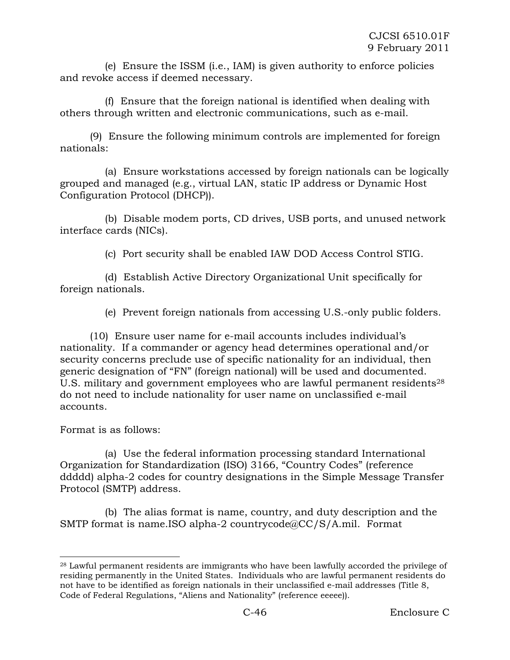(e) Ensure the ISSM (i.e., IAM) is given authority to enforce policies and revoke access if deemed necessary.

(f) Ensure that the foreign national is identified when dealing with others through written and electronic communications, such as e-mail.

(9) Ensure the following minimum controls are implemented for foreign nationals:

(a) Ensure workstations accessed by foreign nationals can be logically grouped and managed (e.g., virtual LAN, static IP address or Dynamic Host Configuration Protocol (DHCP)).

(b) Disable modem ports, CD drives, USB ports, and unused network interface cards (NICs).

(c) Port security shall be enabled IAW DOD Access Control STIG.

(d) Establish Active Directory Organizational Unit specifically for foreign nationals.

(e) Prevent foreign nationals from accessing U.S.-only public folders.

(10) Ensure user name for e-mail accounts includes individual's nationality. If a commander or agency head determines operational and/or security concerns preclude use of specific nationality for an individual, then generic designation of "FN" (foreign national) will be used and documented. U.S. military and government employees who are lawful permanent residents<sup>28</sup> do not need to include nationality for user name on unclassified e-mail accounts.

Format is as follows:

 $\overline{a}$ 

(a) Use the federal information processing standard International Organization for Standardization (ISO) 3166, "Country Codes" (reference ddddd) alpha-2 codes for country designations in the Simple Message Transfer Protocol (SMTP) address.

(b) The alias format is name, country, and duty description and the SMTP format is name.ISO alpha-2 countrycode@CC/S/A.mil. Format

<sup>&</sup>lt;sup>28</sup> Lawful permanent residents are immigrants who have been lawfully accorded the privilege of residing permanently in the United States. Individuals who are lawful permanent residents do not have to be identified as foreign nationals in their unclassified e-mail addresses (Title 8, Code of Federal Regulations, "Aliens and Nationality" (reference eeeee)).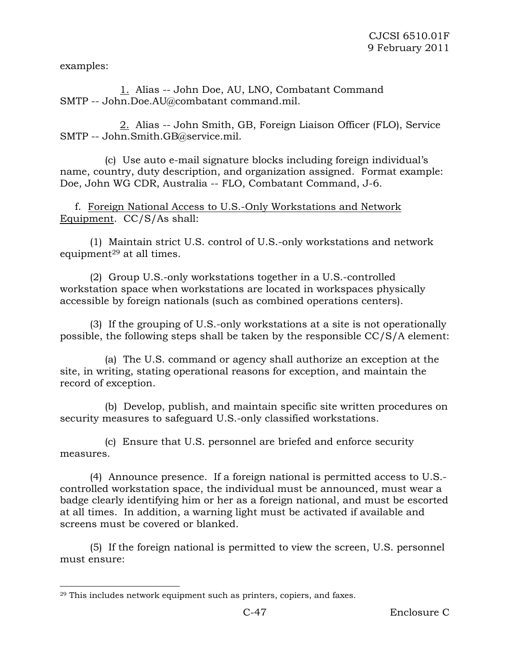examples:

 $\overline{a}$ 

1. Alias -- John Doe, AU, LNO, Combatant Command SMTP -- John.Doe.AU@combatant command.mil.

2. Alias -- John Smith, GB, Foreign Liaison Officer (FLO), Service SMTP -- John.Smith.GB@service.mil.

(c) Use auto e-mail signature blocks including foreign individual's name, country, duty description, and organization assigned. Format example: Doe, John WG CDR, Australia -- FLO, Combatant Command, J-6.

f. Foreign National Access to U.S.-Only Workstations and Network Equipment. CC/S/As shall:

(1) Maintain strict U.S. control of U.S.-only workstations and network equipment<sup>29</sup> at all times.

(2) Group U.S.-only workstations together in a U.S.-controlled workstation space when workstations are located in workspaces physically accessible by foreign nationals (such as combined operations centers).

(3) If the grouping of U.S.-only workstations at a site is not operationally possible, the following steps shall be taken by the responsible CC/S/A element:

(a) The U.S. command or agency shall authorize an exception at the site, in writing, stating operational reasons for exception, and maintain the record of exception.

(b) Develop, publish, and maintain specific site written procedures on security measures to safeguard U.S.-only classified workstations.

(c) Ensure that U.S. personnel are briefed and enforce security measures.

(4) Announce presence. If a foreign national is permitted access to U.S. controlled workstation space, the individual must be announced, must wear a badge clearly identifying him or her as a foreign national, and must be escorted at all times. In addition, a warning light must be activated if available and screens must be covered or blanked.

(5) If the foreign national is permitted to view the screen, U.S. personnel must ensure:

<sup>29</sup> This includes network equipment such as printers, copiers, and faxes.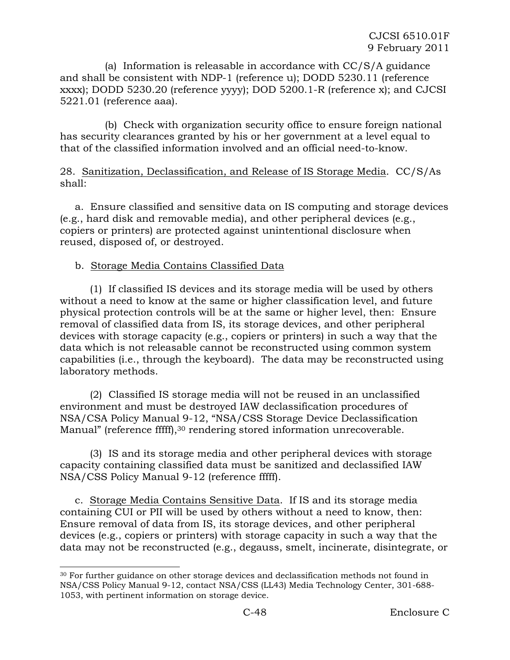(a) Information is releasable in accordance with CC/S/A guidance and shall be consistent with NDP-1 (reference u); DODD 5230.11 (reference xxxx); DODD 5230.20 (reference yyyy); DOD 5200.1-R (reference x); and CJCSI 5221.01 (reference aaa).

(b) Check with organization security office to ensure foreign national has security clearances granted by his or her government at a level equal to that of the classified information involved and an official need-to-know.

### 28. Sanitization, Declassification, and Release of IS Storage Media. CC/S/As shall:

a. Ensure classified and sensitive data on IS computing and storage devices (e.g., hard disk and removable media), and other peripheral devices (e.g., copiers or printers) are protected against unintentional disclosure when reused, disposed of, or destroyed.

## b. Storage Media Contains Classified Data

 $\overline{a}$ 

(1) If classified IS devices and its storage media will be used by others without a need to know at the same or higher classification level, and future physical protection controls will be at the same or higher level, then: Ensure removal of classified data from IS, its storage devices, and other peripheral devices with storage capacity (e.g., copiers or printers) in such a way that the data which is not releasable cannot be reconstructed using common system capabilities (i.e., through the keyboard). The data may be reconstructed using laboratory methods.

(2) Classified IS storage media will not be reused in an unclassified environment and must be destroyed IAW declassification procedures of NSA/CSA Policy Manual 9-12, "NSA/CSS Storage Device Declassification Manual" (reference fffff),<sup>30</sup> rendering stored information unrecoverable.

(3) IS and its storage media and other peripheral devices with storage capacity containing classified data must be sanitized and declassified IAW NSA/CSS Policy Manual 9-12 (reference fffff).

c. Storage Media Contains Sensitive Data. If IS and its storage media containing CUI or PII will be used by others without a need to know, then: Ensure removal of data from IS, its storage devices, and other peripheral devices (e.g., copiers or printers) with storage capacity in such a way that the data may not be reconstructed (e.g., degauss, smelt, incinerate, disintegrate, or

<sup>30</sup> For further guidance on other storage devices and declassification methods not found in NSA/CSS Policy Manual 9-12, contact NSA/CSS (LL43) Media Technology Center, 301-688- 1053, with pertinent information on storage device.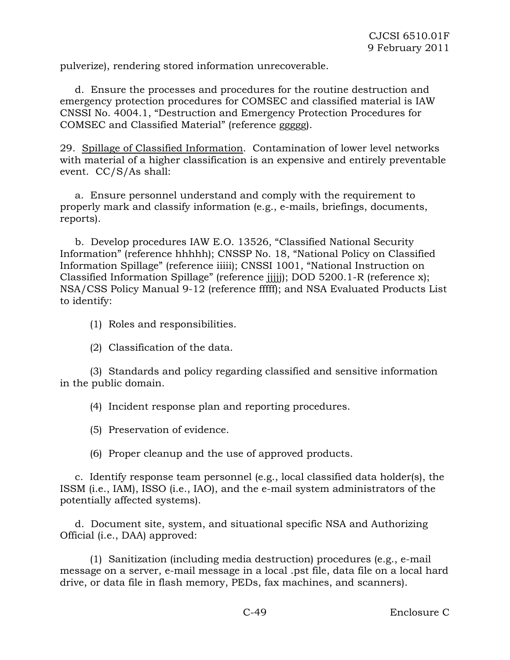pulverize), rendering stored information unrecoverable.

d. Ensure the processes and procedures for the routine destruction and emergency protection procedures for COMSEC and classified material is IAW CNSSI No. 4004.1, "Destruction and Emergency Protection Procedures for COMSEC and Classified Material" (reference ggggg).

29. Spillage of Classified Information. Contamination of lower level networks with material of a higher classification is an expensive and entirely preventable event. CC/S/As shall:

a. Ensure personnel understand and comply with the requirement to properly mark and classify information (e.g., e-mails, briefings, documents, reports).

b. Develop procedures IAW E.O. 13526, "Classified National Security Information" (reference hhhhh); CNSSP No. 18, "National Policy on Classified Information Spillage" (reference iiiii); CNSSI 1001, "National Instruction on Classified Information Spillage" (reference jjjjj); DOD 5200.1-R (reference x); NSA/CSS Policy Manual 9-12 (reference fffff); and NSA Evaluated Products List to identify:

- (1) Roles and responsibilities.
- (2) Classification of the data.

(3) Standards and policy regarding classified and sensitive information in the public domain.

(4) Incident response plan and reporting procedures.

- (5) Preservation of evidence.
- (6) Proper cleanup and the use of approved products.

c. Identify response team personnel (e.g., local classified data holder(s), the ISSM (i.e., IAM), ISSO (i.e., IAO), and the e-mail system administrators of the potentially affected systems).

d. Document site, system, and situational specific NSA and Authorizing Official (i.e., DAA) approved:

(1) Sanitization (including media destruction) procedures (e.g., e-mail message on a server, e-mail message in a local .pst file, data file on a local hard drive, or data file in flash memory, PEDs, fax machines, and scanners).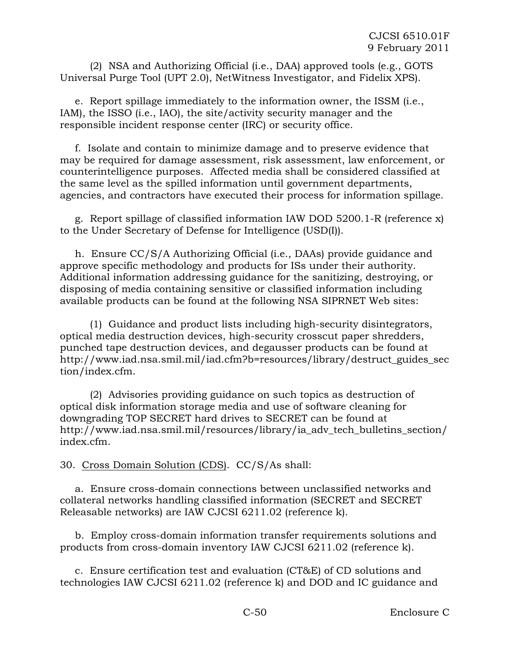(2) NSA and Authorizing Official (i.e., DAA) approved tools (e.g., GOTS Universal Purge Tool (UPT 2.0), NetWitness Investigator, and Fidelix XPS).

e. Report spillage immediately to the information owner, the ISSM (i.e., IAM), the ISSO (i.e., IAO), the site/activity security manager and the responsible incident response center (IRC) or security office.

f. Isolate and contain to minimize damage and to preserve evidence that may be required for damage assessment, risk assessment, law enforcement, or counterintelligence purposes. Affected media shall be considered classified at the same level as the spilled information until government departments, agencies, and contractors have executed their process for information spillage.

g. Report spillage of classified information IAW DOD 5200.1-R (reference x) to the Under Secretary of Defense for Intelligence (USD(I)).

h. Ensure CC/S/A Authorizing Official (i.e., DAAs) provide guidance and approve specific methodology and products for ISs under their authority. Additional information addressing guidance for the sanitizing, destroying, or disposing of media containing sensitive or classified information including available products can be found at the following NSA SIPRNET Web sites:

(1) Guidance and product lists including high-security disintegrators, optical media destruction devices, high-security crosscut paper shredders, punched tape destruction devices, and degausser products can be found at http://www.iad.nsa.smil.mil/iad.cfm?b=resources/library/destruct\_guides\_sec tion/index.cfm.

(2) Advisories providing guidance on such topics as destruction of optical disk information storage media and use of software cleaning for downgrading TOP SECRET hard drives to SECRET can be found at http://www.iad.nsa.smil.mil/resources/library/ia\_adv\_tech\_bulletins\_section/ index.cfm.

30. Cross Domain Solution (CDS). CC/S/As shall:

a. Ensure cross-domain connections between unclassified networks and collateral networks handling classified information (SECRET and SECRET Releasable networks) are IAW CJCSI 6211.02 (reference k).

b. Employ cross-domain information transfer requirements solutions and products from cross-domain inventory IAW CJCSI 6211.02 (reference k).

c. Ensure certification test and evaluation (CT&E) of CD solutions and technologies IAW CJCSI 6211.02 (reference k) and DOD and IC guidance and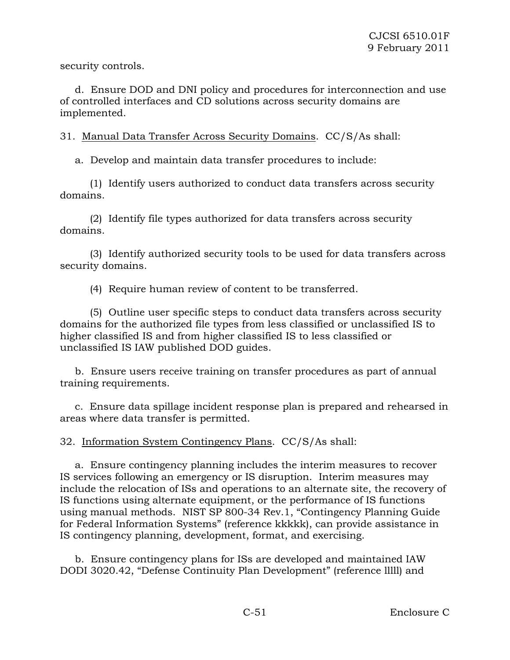security controls.

d. Ensure DOD and DNI policy and procedures for interconnection and use of controlled interfaces and CD solutions across security domains are implemented.

31. Manual Data Transfer Across Security Domains. CC/S/As shall:

a. Develop and maintain data transfer procedures to include:

(1) Identify users authorized to conduct data transfers across security domains.

(2) Identify file types authorized for data transfers across security domains.

(3) Identify authorized security tools to be used for data transfers across security domains.

(4) Require human review of content to be transferred.

(5) Outline user specific steps to conduct data transfers across security domains for the authorized file types from less classified or unclassified IS to higher classified IS and from higher classified IS to less classified or unclassified IS IAW published DOD guides.

b. Ensure users receive training on transfer procedures as part of annual training requirements.

c. Ensure data spillage incident response plan is prepared and rehearsed in areas where data transfer is permitted.

32. Information System Contingency Plans. CC/S/As shall:

a. Ensure contingency planning includes the interim measures to recover IS services following an emergency or IS disruption. Interim measures may include the relocation of ISs and operations to an alternate site, the recovery of IS functions using alternate equipment, or the performance of IS functions using manual methods. NIST SP 800-34 Rev.1, "Contingency Planning Guide for Federal Information Systems" (reference kkkkk), can provide assistance in IS contingency planning, development, format, and exercising.

b. Ensure contingency plans for ISs are developed and maintained IAW DODI 3020.42, "Defense Continuity Plan Development" (reference lllll) and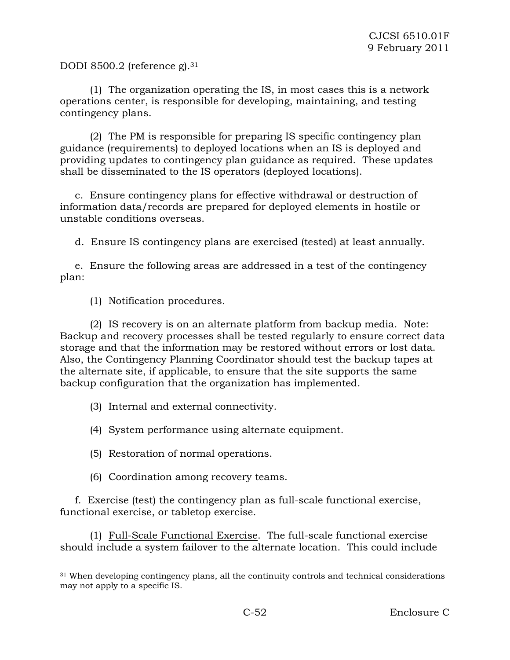DODI 8500.2 (reference g).31

(1) The organization operating the IS, in most cases this is a network operations center, is responsible for developing, maintaining, and testing contingency plans.

(2) The PM is responsible for preparing IS specific contingency plan guidance (requirements) to deployed locations when an IS is deployed and providing updates to contingency plan guidance as required. These updates shall be disseminated to the IS operators (deployed locations).

c. Ensure contingency plans for effective withdrawal or destruction of information data/records are prepared for deployed elements in hostile or unstable conditions overseas.

d. Ensure IS contingency plans are exercised (tested) at least annually.

e. Ensure the following areas are addressed in a test of the contingency plan:

(1) Notification procedures.

(2) IS recovery is on an alternate platform from backup media. Note: Backup and recovery processes shall be tested regularly to ensure correct data storage and that the information may be restored without errors or lost data. Also, the Contingency Planning Coordinator should test the backup tapes at the alternate site, if applicable, to ensure that the site supports the same backup configuration that the organization has implemented.

(3) Internal and external connectivity.

(4) System performance using alternate equipment.

- (5) Restoration of normal operations.
- (6) Coordination among recovery teams.

f. Exercise (test) the contingency plan as full-scale functional exercise, functional exercise, or tabletop exercise.

(1) Full-Scale Functional Exercise. The full-scale functional exercise should include a system failover to the alternate location. This could include

 $\overline{a}$ <sup>31</sup> When developing contingency plans, all the continuity controls and technical considerations may not apply to a specific IS.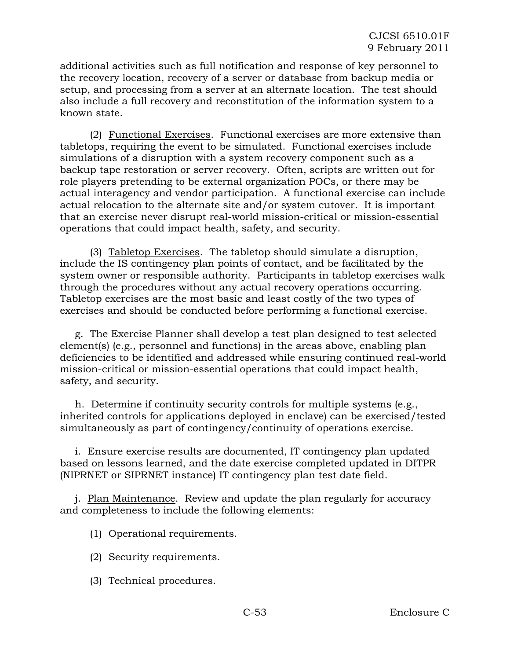additional activities such as full notification and response of key personnel to the recovery location, recovery of a server or database from backup media or setup, and processing from a server at an alternate location. The test should also include a full recovery and reconstitution of the information system to a known state.

(2) Functional Exercises. Functional exercises are more extensive than tabletops, requiring the event to be simulated. Functional exercises include simulations of a disruption with a system recovery component such as a backup tape restoration or server recovery. Often, scripts are written out for role players pretending to be external organization POCs, or there may be actual interagency and vendor participation. A functional exercise can include actual relocation to the alternate site and/or system cutover. It is important that an exercise never disrupt real-world mission-critical or mission-essential operations that could impact health, safety, and security.

(3) Tabletop Exercises. The tabletop should simulate a disruption, include the IS contingency plan points of contact, and be facilitated by the system owner or responsible authority. Participants in tabletop exercises walk through the procedures without any actual recovery operations occurring. Tabletop exercises are the most basic and least costly of the two types of exercises and should be conducted before performing a functional exercise.

g. The Exercise Planner shall develop a test plan designed to test selected element(s) (e.g., personnel and functions) in the areas above, enabling plan deficiencies to be identified and addressed while ensuring continued real-world mission-critical or mission-essential operations that could impact health, safety, and security.

h. Determine if continuity security controls for multiple systems (e.g., inherited controls for applications deployed in enclave) can be exercised/tested simultaneously as part of contingency/continuity of operations exercise.

i. Ensure exercise results are documented, IT contingency plan updated based on lessons learned, and the date exercise completed updated in DITPR (NIPRNET or SIPRNET instance) IT contingency plan test date field.

j. Plan Maintenance. Review and update the plan regularly for accuracy and completeness to include the following elements:

- (1) Operational requirements.
- (2) Security requirements.
- (3) Technical procedures.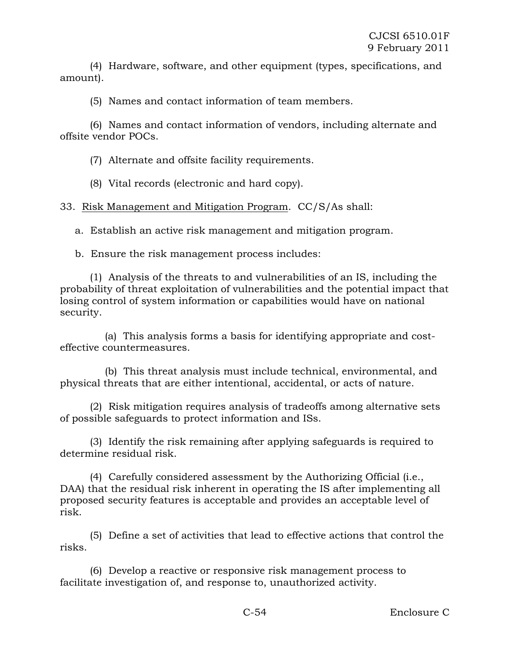(4) Hardware, software, and other equipment (types, specifications, and amount).

(5) Names and contact information of team members.

(6) Names and contact information of vendors, including alternate and offsite vendor POCs.

(7) Alternate and offsite facility requirements.

(8) Vital records (electronic and hard copy).

33. Risk Management and Mitigation Program. CC/S/As shall:

a. Establish an active risk management and mitigation program.

b. Ensure the risk management process includes:

(1) Analysis of the threats to and vulnerabilities of an IS, including the probability of threat exploitation of vulnerabilities and the potential impact that losing control of system information or capabilities would have on national security.

(a) This analysis forms a basis for identifying appropriate and costeffective countermeasures.

(b) This threat analysis must include technical, environmental, and physical threats that are either intentional, accidental, or acts of nature.

(2) Risk mitigation requires analysis of tradeoffs among alternative sets of possible safeguards to protect information and ISs.

(3) Identify the risk remaining after applying safeguards is required to determine residual risk.

(4) Carefully considered assessment by the Authorizing Official (i.e., DAA) that the residual risk inherent in operating the IS after implementing all proposed security features is acceptable and provides an acceptable level of risk.

(5) Define a set of activities that lead to effective actions that control the risks.

(6) Develop a reactive or responsive risk management process to facilitate investigation of, and response to, unauthorized activity.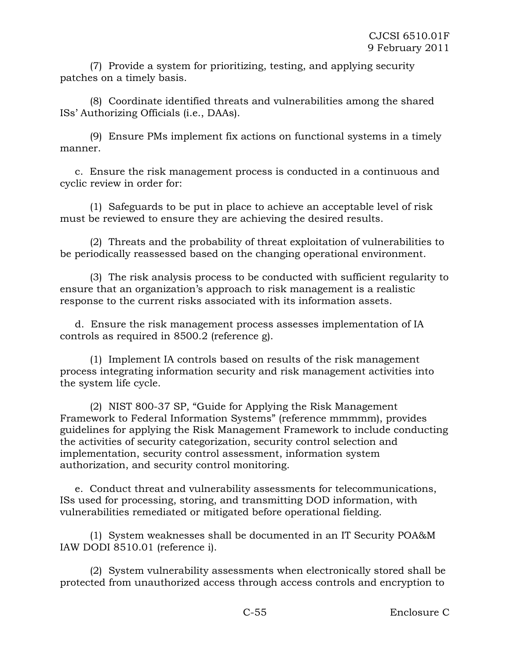(7) Provide a system for prioritizing, testing, and applying security patches on a timely basis.

(8) Coordinate identified threats and vulnerabilities among the shared ISs' Authorizing Officials (i.e., DAAs).

(9) Ensure PMs implement fix actions on functional systems in a timely manner.

c. Ensure the risk management process is conducted in a continuous and cyclic review in order for:

(1) Safeguards to be put in place to achieve an acceptable level of risk must be reviewed to ensure they are achieving the desired results.

(2) Threats and the probability of threat exploitation of vulnerabilities to be periodically reassessed based on the changing operational environment.

(3) The risk analysis process to be conducted with sufficient regularity to ensure that an organization's approach to risk management is a realistic response to the current risks associated with its information assets.

d. Ensure the risk management process assesses implementation of IA controls as required in 8500.2 (reference g).

(1) Implement IA controls based on results of the risk management process integrating information security and risk management activities into the system life cycle.

(2) NIST 800-37 SP, "Guide for Applying the Risk Management Framework to Federal Information Systems" (reference mmmmm), provides guidelines for applying the Risk Management Framework to include conducting the activities of security categorization, security control selection and implementation, security control assessment, information system authorization, and security control monitoring.

e. Conduct threat and vulnerability assessments for telecommunications, ISs used for processing, storing, and transmitting DOD information, with vulnerabilities remediated or mitigated before operational fielding.

(1) System weaknesses shall be documented in an IT Security POA&M IAW DODI 8510.01 (reference i).

(2) System vulnerability assessments when electronically stored shall be protected from unauthorized access through access controls and encryption to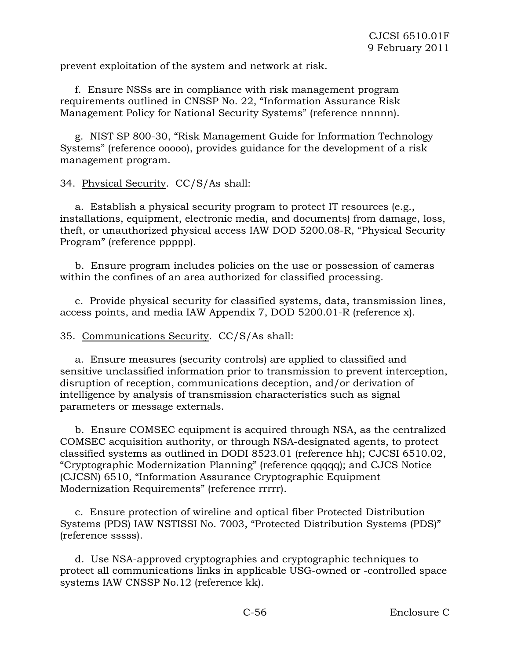prevent exploitation of the system and network at risk.

f. Ensure NSSs are in compliance with risk management program requirements outlined in CNSSP No. 22, "Information Assurance Risk Management Policy for National Security Systems" (reference nnnnn).

g. NIST SP 800-30, "Risk Management Guide for Information Technology Systems" (reference ooooo), provides guidance for the development of a risk management program.

### 34. Physical Security. CC/S/As shall:

a. Establish a physical security program to protect IT resources (e.g., installations, equipment, electronic media, and documents) from damage, loss, theft, or unauthorized physical access IAW DOD 5200.08-R, "Physical Security Program" (reference ppppp).

b. Ensure program includes policies on the use or possession of cameras within the confines of an area authorized for classified processing.

c. Provide physical security for classified systems, data, transmission lines, access points, and media IAW Appendix 7, DOD 5200.01-R (reference x).

#### 35. Communications Security. CC/S/As shall:

a. Ensure measures (security controls) are applied to classified and sensitive unclassified information prior to transmission to prevent interception, disruption of reception, communications deception, and/or derivation of intelligence by analysis of transmission characteristics such as signal parameters or message externals.

b. Ensure COMSEC equipment is acquired through NSA, as the centralized COMSEC acquisition authority, or through NSA-designated agents, to protect classified systems as outlined in DODI 8523.01 (reference hh); CJCSI 6510.02, "Cryptographic Modernization Planning" (reference qqqqq); and CJCS Notice (CJCSN) 6510, "Information Assurance Cryptographic Equipment Modernization Requirements" (reference rrrrr).

c. Ensure protection of wireline and optical fiber Protected Distribution Systems (PDS) IAW NSTISSI No. 7003, "Protected Distribution Systems (PDS)" (reference sssss).

d. Use NSA-approved cryptographies and cryptographic techniques to protect all communications links in applicable USG-owned or -controlled space systems IAW CNSSP No.12 (reference kk).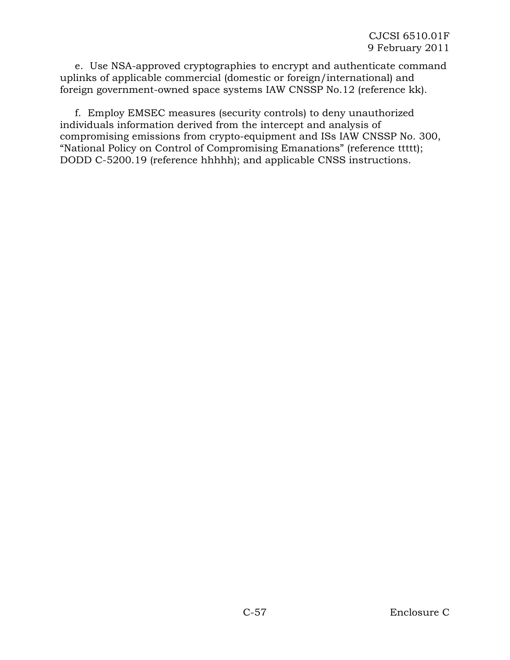e. Use NSA-approved cryptographies to encrypt and authenticate command uplinks of applicable commercial (domestic or foreign/international) and foreign government-owned space systems IAW CNSSP No.12 (reference kk).

f. Employ EMSEC measures (security controls) to deny unauthorized individuals information derived from the intercept and analysis of compromising emissions from crypto-equipment and ISs IAW CNSSP No. 300, "National Policy on Control of Compromising Emanations" (reference ttttt); DODD C-5200.19 (reference hhhhh); and applicable CNSS instructions.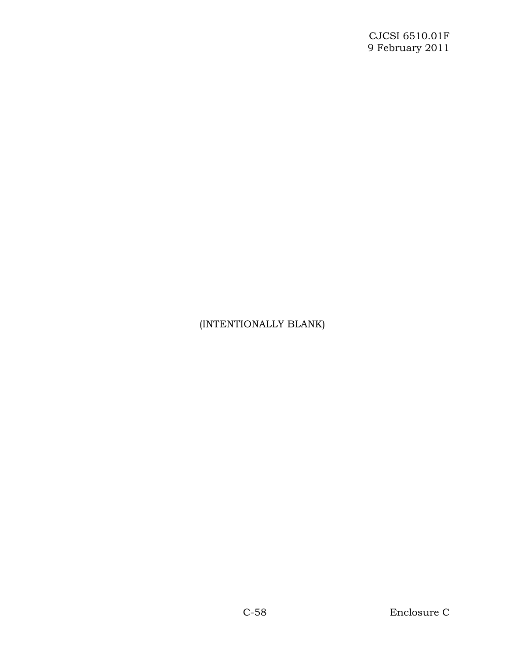## (INTENTIONALLY BLANK)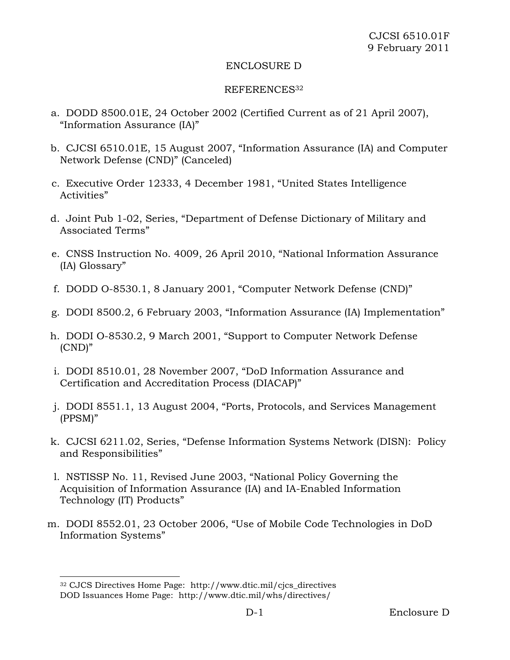#### ENCLOSURE D

### REFERENCES32

- a. DODD 8500.01E, 24 October 2002 (Certified Current as of 21 April 2007), "Information Assurance (IA)"
- b. CJCSI 6510.01E, 15 August 2007, "Information Assurance (IA) and Computer Network Defense (CND)" (Canceled)
- c. Executive Order 12333, 4 December 1981, "United States Intelligence Activities"
- d. Joint Pub 1-02, Series, "Department of Defense Dictionary of Military and Associated Terms"
- e. CNSS Instruction No. 4009, 26 April 2010, "National Information Assurance (IA) Glossary"
- f. DODD O-8530.1, 8 January 2001, "Computer Network Defense (CND)"
- g. DODI 8500.2, 6 February 2003, "Information Assurance (IA) Implementation"
- h. DODI O-8530.2, 9 March 2001, "Support to Computer Network Defense (CND)"
- i. DODI 8510.01, 28 November 2007, "DoD Information Assurance and Certification and Accreditation Process (DIACAP)"
- j. DODI 8551.1, 13 August 2004, "Ports, Protocols, and Services Management (PPSM)"
- k. CJCSI 6211.02, Series, "Defense Information Systems Network (DISN): Policy and Responsibilities"
- l. NSTISSP No. 11, Revised June 2003, "National Policy Governing the Acquisition of Information Assurance (IA) and IA-Enabled Information Technology (IT) Products"
- m. DODI 8552.01, 23 October 2006, "Use of Mobile Code Technologies in DoD Information Systems"

 $\overline{a}$ 

<sup>32</sup> CJCS Directives Home Page: http://www.dtic.mil/cjcs\_directives DOD Issuances Home Page: http://www.dtic.mil/whs/directives/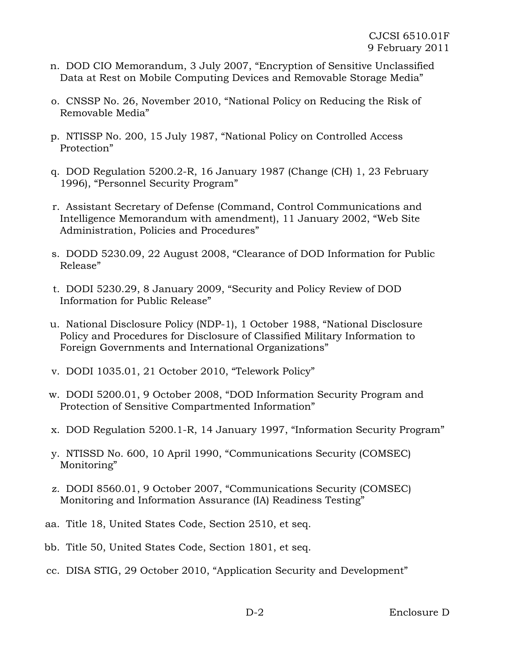- n. DOD CIO Memorandum, 3 July 2007, "Encryption of Sensitive Unclassified Data at Rest on Mobile Computing Devices and Removable Storage Media"
- o. CNSSP No. 26, November 2010, "National Policy on Reducing the Risk of Removable Media"
- p. NTISSP No. 200, 15 July 1987, "National Policy on Controlled Access Protection"
- q. DOD Regulation 5200.2-R, 16 January 1987 (Change (CH) 1, 23 February 1996), "Personnel Security Program"
- r. Assistant Secretary of Defense (Command, Control Communications and Intelligence Memorandum with amendment), 11 January 2002, "Web Site Administration, Policies and Procedures"
- s. DODD 5230.09, 22 August 2008, "Clearance of DOD Information for Public Release"
- t. DODI 5230.29, 8 January 2009, "Security and Policy Review of DOD Information for Public Release"
- u. National Disclosure Policy (NDP-1), 1 October 1988, "National Disclosure Policy and Procedures for Disclosure of Classified Military Information to Foreign Governments and International Organizations"
- v. DODI 1035.01, 21 October 2010, "Telework Policy"
- w. DODI 5200.01, 9 October 2008, "DOD Information Security Program and Protection of Sensitive Compartmented Information"
- x. DOD Regulation 5200.1-R, 14 January 1997, "Information Security Program"
- y. NTISSD No. 600, 10 April 1990, "Communications Security (COMSEC) Monitoring"
- z. DODI 8560.01, 9 October 2007, "Communications Security (COMSEC) Monitoring and Information Assurance (IA) Readiness Testing"
- aa. Title 18, United States Code, Section 2510, et seq.
- bb. Title 50, United States Code, Section 1801, et seq.
- cc. DISA STIG, 29 October 2010, "Application Security and Development"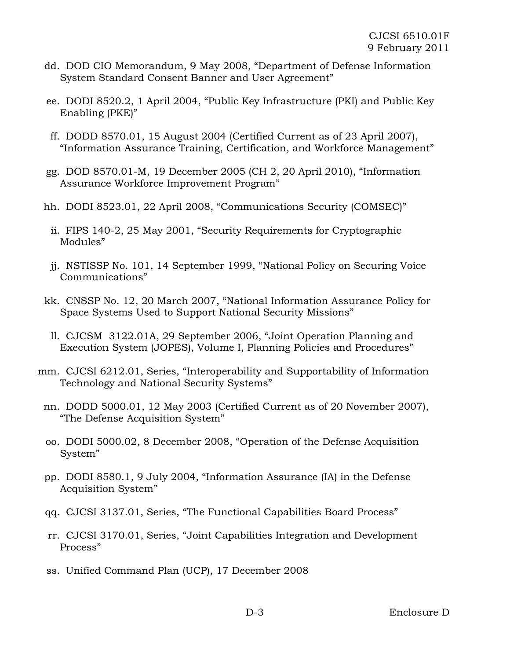- dd. DOD CIO Memorandum, 9 May 2008, "Department of Defense Information System Standard Consent Banner and User Agreement"
- ee. DODI 8520.2, 1 April 2004, "Public Key Infrastructure (PKI) and Public Key Enabling (PKE)"
- ff. DODD 8570.01, 15 August 2004 (Certified Current as of 23 April 2007), "Information Assurance Training, Certification, and Workforce Management"
- gg. DOD 8570.01-M, 19 December 2005 (CH 2, 20 April 2010), "Information Assurance Workforce Improvement Program"
- hh. DODI 8523.01, 22 April 2008, "Communications Security (COMSEC)"
	- ii. FIPS 140-2, 25 May 2001, "Security Requirements for Cryptographic Modules"
	- jj. NSTISSP No. 101, 14 September 1999, "National Policy on Securing Voice Communications"
- kk. CNSSP No. 12, 20 March 2007, "National Information Assurance Policy for Space Systems Used to Support National Security Missions"
- ll. CJCSM 3122.01A, 29 September 2006, "Joint Operation Planning and Execution System (JOPES), Volume I, Planning Policies and Procedures"
- mm. CJCSI 6212.01, Series, "Interoperability and Supportability of Information Technology and National Security Systems"
- nn. DODD 5000.01, 12 May 2003 (Certified Current as of 20 November 2007), "The Defense Acquisition System"
- oo. DODI 5000.02, 8 December 2008, "Operation of the Defense Acquisition System"
- pp. DODI 8580.1, 9 July 2004, "Information Assurance (IA) in the Defense Acquisition System"
- qq. CJCSI 3137.01, Series, "The Functional Capabilities Board Process"
- rr. CJCSI 3170.01, Series, "Joint Capabilities Integration and Development Process"
- ss. Unified Command Plan (UCP), 17 December 2008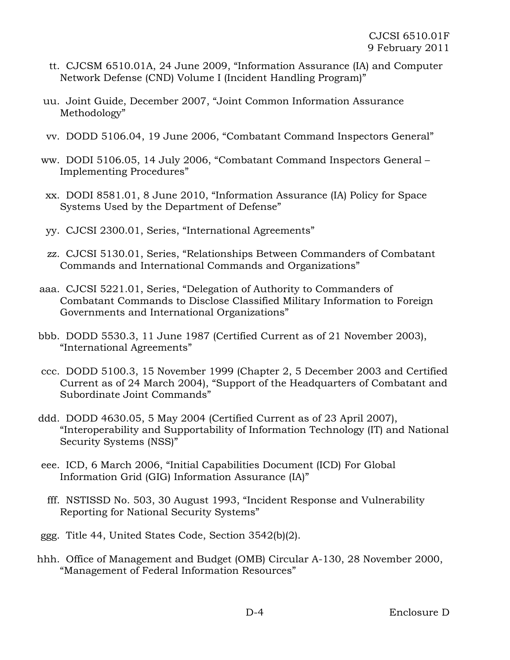- tt. CJCSM 6510.01A, 24 June 2009, "Information Assurance (IA) and Computer Network Defense (CND) Volume I (Incident Handling Program)"
- uu. Joint Guide, December 2007, "Joint Common Information Assurance Methodology"
- vv. DODD 5106.04, 19 June 2006, "Combatant Command Inspectors General"
- ww. DODI 5106.05, 14 July 2006, "Combatant Command Inspectors General Implementing Procedures"
- xx. DODI 8581.01, 8 June 2010, "Information Assurance (IA) Policy for Space Systems Used by the Department of Defense"
- yy. CJCSI 2300.01, Series, "International Agreements"
- zz. CJCSI 5130.01, Series, "Relationships Between Commanders of Combatant Commands and International Commands and Organizations"
- aaa. CJCSI 5221.01, Series, "Delegation of Authority to Commanders of Combatant Commands to Disclose Classified Military Information to Foreign Governments and International Organizations"
- bbb. DODD 5530.3, 11 June 1987 (Certified Current as of 21 November 2003), "International Agreements"
- ccc. DODD 5100.3, 15 November 1999 (Chapter 2, 5 December 2003 and Certified Current as of 24 March 2004), "Support of the Headquarters of Combatant and Subordinate Joint Commands"
- ddd. DODD 4630.05, 5 May 2004 (Certified Current as of 23 April 2007), "Interoperability and Supportability of Information Technology (IT) and National Security Systems (NSS)"
- eee. ICD, 6 March 2006, "Initial Capabilities Document (ICD) For Global Information Grid (GIG) Information Assurance (IA)"
	- fff. NSTISSD No. 503, 30 August 1993, "Incident Response and Vulnerability Reporting for National Security Systems"
- ggg. Title 44, United States Code, Section 3542(b)(2).
- hhh. Office of Management and Budget (OMB) Circular A-130, 28 November 2000, "Management of Federal Information Resources"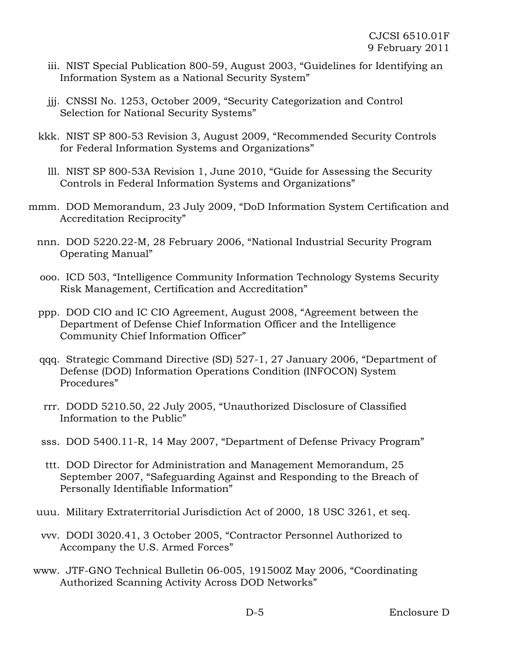- iii. NIST Special Publication 800-59, August 2003, "Guidelines for Identifying an Information System as a National Security System"
- jjj. CNSSI No. 1253, October 2009, "Security Categorization and Control Selection for National Security Systems"
- kkk. NIST SP 800-53 Revision 3, August 2009, "Recommended Security Controls for Federal Information Systems and Organizations"
	- lll. NIST SP 800-53A Revision 1, June 2010, "Guide for Assessing the Security Controls in Federal Information Systems and Organizations"
- mmm. DOD Memorandum, 23 July 2009, "DoD Information System Certification and Accreditation Reciprocity"
	- nnn. DOD 5220.22-M, 28 February 2006, "National Industrial Security Program Operating Manual"
	- ooo. ICD 503, "Intelligence Community Information Technology Systems Security Risk Management, Certification and Accreditation"
	- ppp. DOD CIO and IC CIO Agreement, August 2008, "Agreement between the Department of Defense Chief Information Officer and the Intelligence Community Chief Information Officer"
	- qqq. Strategic Command Directive (SD) 527-1, 27 January 2006, "Department of Defense (DOD) Information Operations Condition (INFOCON) System Procedures"
	- rrr. DODD 5210.50, 22 July 2005, "Unauthorized Disclosure of Classified Information to the Public"
	- sss. DOD 5400.11-R, 14 May 2007, "Department of Defense Privacy Program"
	- ttt. DOD Director for Administration and Management Memorandum, 25 September 2007, "Safeguarding Against and Responding to the Breach of Personally Identifiable Information"
	- uuu. Military Extraterritorial Jurisdiction Act of 2000, 18 USC 3261, et seq.
	- vvv. DODI 3020.41, 3 October 2005, "Contractor Personnel Authorized to Accompany the U.S. Armed Forces"
- www. JTF-GNO Technical Bulletin 06-005, 191500Z May 2006, "Coordinating Authorized Scanning Activity Across DOD Networks"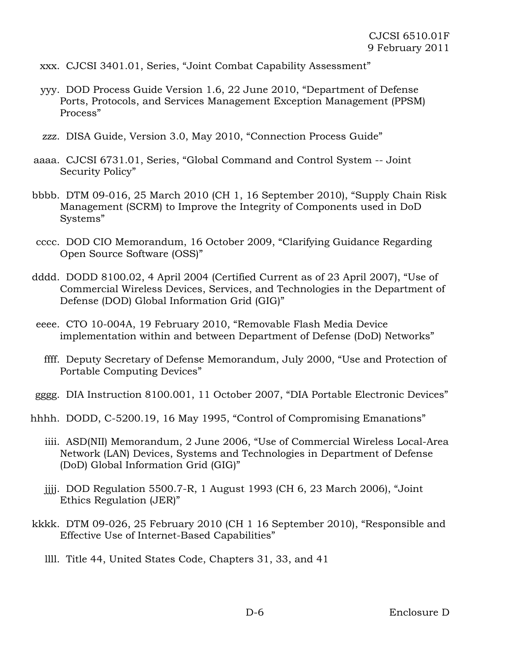- xxx. CJCSI 3401.01, Series, "Joint Combat Capability Assessment"
- yyy. DOD Process Guide Version 1.6, 22 June 2010, "Department of Defense Ports, Protocols, and Services Management Exception Management (PPSM) Process"
- zzz. DISA Guide, Version 3.0, May 2010, "Connection Process Guide"
- aaaa. CJCSI 6731.01, Series, "Global Command and Control System -- Joint Security Policy"
- bbbb. DTM 09-016, 25 March 2010 (CH 1, 16 September 2010), "Supply Chain Risk Management (SCRM) to Improve the Integrity of Components used in DoD Systems"
- cccc. DOD CIO Memorandum, 16 October 2009, "Clarifying Guidance Regarding Open Source Software (OSS)"
- dddd. DODD 8100.02, 4 April 2004 (Certified Current as of 23 April 2007), "Use of Commercial Wireless Devices, Services, and Technologies in the Department of Defense (DOD) Global Information Grid (GIG)"
- eeee. CTO 10-004A, 19 February 2010, "Removable Flash Media Device implementation within and between Department of Defense (DoD) Networks"
	- ffff. Deputy Secretary of Defense Memorandum, July 2000, "Use and Protection of Portable Computing Devices"
- gggg. DIA Instruction 8100.001, 11 October 2007, "DIA Portable Electronic Devices"
- hhhh. DODD, C-5200.19, 16 May 1995, "Control of Compromising Emanations"
	- iiii. ASD(NII) Memorandum, 2 June 2006, "Use of Commercial Wireless Local-Area Network (LAN) Devices, Systems and Technologies in Department of Defense (DoD) Global Information Grid (GIG)"
	- jjjj. DOD Regulation 5500.7-R, 1 August 1993 (CH 6, 23 March 2006), "Joint Ethics Regulation (JER)"
- kkkk. DTM 09-026, 25 February 2010 (CH 1 16 September 2010), "Responsible and Effective Use of Internet-Based Capabilities"
	- llll. Title 44, United States Code, Chapters 31, 33, and 41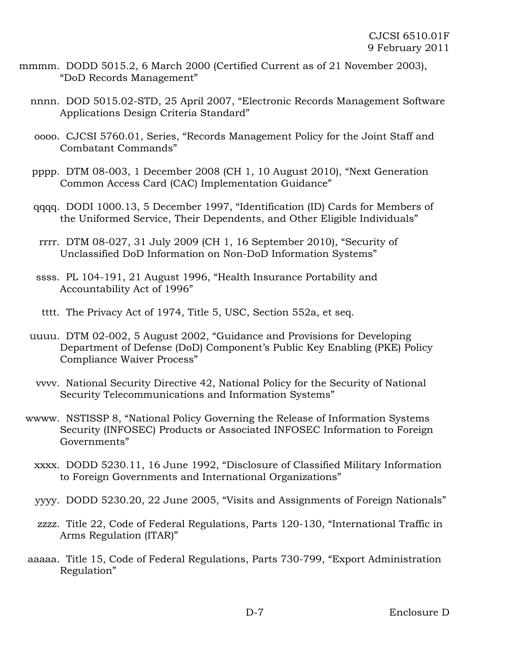- mmmm. DODD 5015.2, 6 March 2000 (Certified Current as of 21 November 2003), "DoD Records Management"
	- nnnn. DOD 5015.02-STD, 25 April 2007, "Electronic Records Management Software Applications Design Criteria Standard"
	- oooo. CJCSI 5760.01, Series, "Records Management Policy for the Joint Staff and Combatant Commands"
	- pppp. DTM 08-003, 1 December 2008 (CH 1, 10 August 2010), "Next Generation Common Access Card (CAC) Implementation Guidance"
	- qqqq. DODI 1000.13, 5 December 1997, "Identification (ID) Cards for Members of the Uniformed Service, Their Dependents, and Other Eligible Individuals"
	- rrrr. DTM 08-027, 31 July 2009 (CH 1, 16 September 2010), "Security of Unclassified DoD Information on Non-DoD Information Systems"
	- ssss. PL 104-191, 21 August 1996, "Health Insurance Portability and Accountability Act of 1996"
	- tttt. The Privacy Act of 1974, Title 5, USC, Section 552a, et seq.
	- uuuu. DTM 02-002, 5 August 2002, "Guidance and Provisions for Developing Department of Defense (DoD) Component's Public Key Enabling (PKE) Policy Compliance Waiver Process"
		- vvvv. National Security Directive 42, National Policy for the Security of National Security Telecommunications and Information Systems"
	- wwww. NSTISSP 8, "National Policy Governing the Release of Information Systems Security (INFOSEC) Products or Associated INFOSEC Information to Foreign Governments"
		- xxxx. DODD 5230.11, 16 June 1992, "Disclosure of Classified Military Information to Foreign Governments and International Organizations"
		- yyyy. DODD 5230.20, 22 June 2005, "Visits and Assignments of Foreign Nationals"
		- zzzz. Title 22, Code of Federal Regulations, Parts 120-130, "International Traffic in Arms Regulation (ITAR)"
	- aaaaa. Title 15, Code of Federal Regulations, Parts 730-799, "Export Administration Regulation"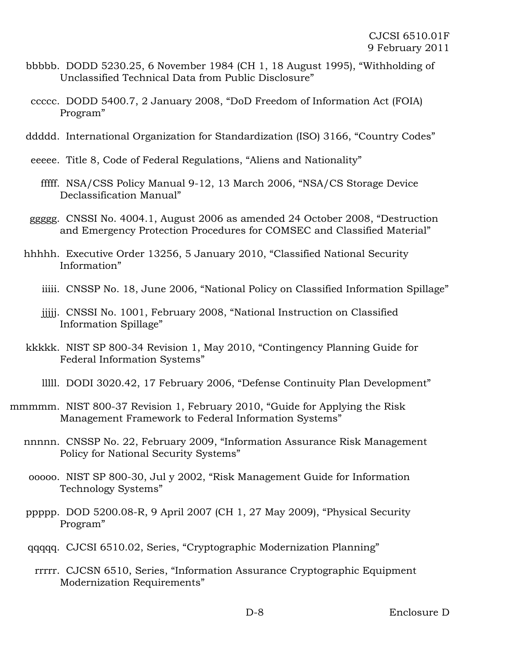- bbbbb. DODD 5230.25, 6 November 1984 (CH 1, 18 August 1995), "Withholding of Unclassified Technical Data from Public Disclosure"
- ccccc. DODD 5400.7, 2 January 2008, "DoD Freedom of Information Act (FOIA) Program"
- ddddd. International Organization for Standardization (ISO) 3166, "Country Codes"
- eeeee. Title 8, Code of Federal Regulations, "Aliens and Nationality"
	- fffff. NSA/CSS Policy Manual 9-12, 13 March 2006, "NSA/CS Storage Device Declassification Manual"
- ggggg. CNSSI No. 4004.1, August 2006 as amended 24 October 2008, "Destruction and Emergency Protection Procedures for COMSEC and Classified Material"
- hhhhh. Executive Order 13256, 5 January 2010, "Classified National Security Information"
	- iiiii. CNSSP No. 18, June 2006, "National Policy on Classified Information Spillage"
	- jijji. CNSSI No. 1001, February 2008, "National Instruction on Classified Information Spillage"
- kkkkk. NIST SP 800-34 Revision 1, May 2010, "Contingency Planning Guide for Federal Information Systems"
	- lllll. DODI 3020.42, 17 February 2006, "Defense Continuity Plan Development"
- mmmmm. NIST 800-37 Revision 1, February 2010, "Guide for Applying the Risk Management Framework to Federal Information Systems"
	- nnnnn. CNSSP No. 22, February 2009, "Information Assurance Risk Management Policy for National Security Systems"
	- ooooo. NIST SP 800-30, Jul y 2002, "Risk Management Guide for Information Technology Systems"
	- ppppp. DOD 5200.08-R, 9 April 2007 (CH 1, 27 May 2009), "Physical Security Program"
	- qqqqq. CJCSI 6510.02, Series, "Cryptographic Modernization Planning"
		- rrrrr. CJCSN 6510, Series, "Information Assurance Cryptographic Equipment Modernization Requirements"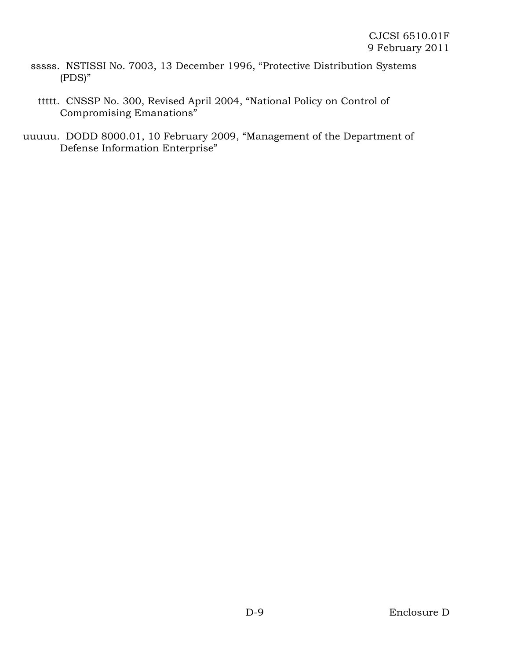- sssss. NSTISSI No. 7003, 13 December 1996, "Protective Distribution Systems (PDS)"
	- ttttt. CNSSP No. 300, Revised April 2004, "National Policy on Control of Compromising Emanations"
- uuuuu. DODD 8000.01, 10 February 2009, "Management of the Department of Defense Information Enterprise"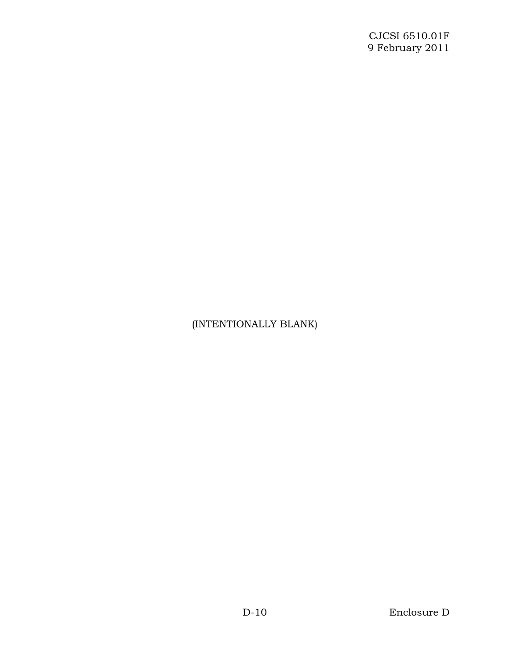# (INTENTIONALLY BLANK)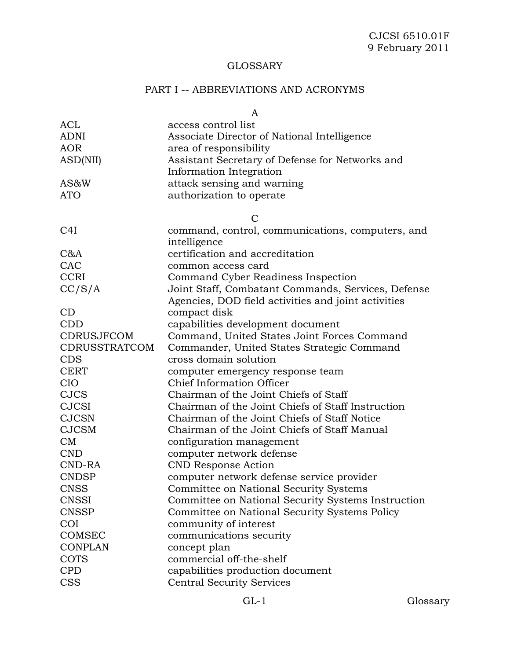## GLOSSARY

## PART I -- ABBREVIATIONS AND ACRONYMS

| A             |                                                     |
|---------------|-----------------------------------------------------|
| <b>ACL</b>    | access control list                                 |
| <b>ADNI</b>   | Associate Director of National Intelligence         |
| <b>AOR</b>    | area of responsibility                              |
| ASD(NII)      | Assistant Secretary of Defense for Networks and     |
|               | Information Integration                             |
| AS&W          | attack sensing and warning                          |
| <b>ATO</b>    | authorization to operate                            |
|               |                                                     |
|               | $\mathsf{C}$                                        |
| C4I           | command, control, communications, computers, and    |
|               | intelligence                                        |
| C&A           | certification and accreditation                     |
| CAC           | common access card                                  |
| <b>CCRI</b>   | Command Cyber Readiness Inspection                  |
| CC/S/A        | Joint Staff, Combatant Commands, Services, Defense  |
|               | Agencies, DOD field activities and joint activities |
| CD            | compact disk                                        |
| <b>CDD</b>    | capabilities development document                   |
| CDRUSJFCOM    | Command, United States Joint Forces Command         |
| CDRUSSTRATCOM | Commander, United States Strategic Command          |
| <b>CDS</b>    | cross domain solution                               |
| <b>CERT</b>   | computer emergency response team                    |
| <b>CIO</b>    | <b>Chief Information Officer</b>                    |
| <b>CJCS</b>   | Chairman of the Joint Chiefs of Staff               |
| <b>CJCSI</b>  | Chairman of the Joint Chiefs of Staff Instruction   |
| <b>CJCSN</b>  | Chairman of the Joint Chiefs of Staff Notice        |
| <b>CJCSM</b>  | Chairman of the Joint Chiefs of Staff Manual        |
| CM            | configuration management                            |
| <b>CND</b>    | computer network defense                            |
| CND-RA        | CND Response Action                                 |
| <b>CNDSP</b>  | computer network defense service provider           |
| <b>CNSS</b>   | Committee on National Security Systems              |
| CNSSI         | Committee on National Security Systems Instruction  |
| <b>CNSSP</b>  | Committee on National Security Systems Policy       |
| <b>COI</b>    | community of interest                               |
| COMSEC        | communications security                             |
| CONPLAN       | concept plan                                        |
| <b>COTS</b>   | commercial off-the-shelf                            |
| <b>CPD</b>    | capabilities production document                    |
| <b>CSS</b>    | <b>Central Security Services</b>                    |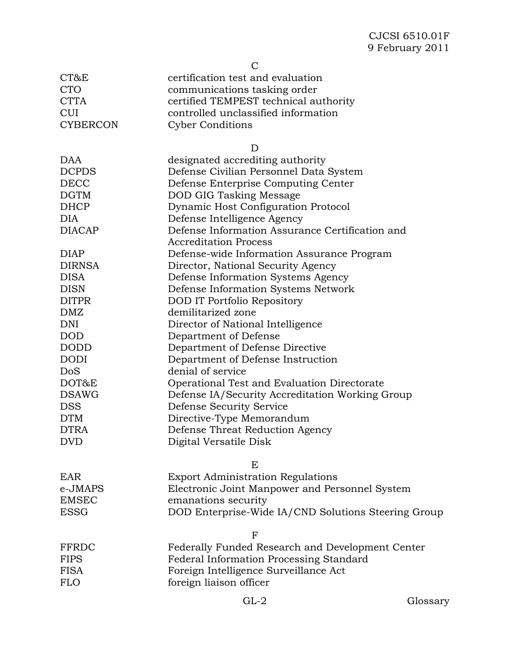### CJCSI 6510.01F 9 February 2011

|                 | $\mathsf{C}$                                        |  |
|-----------------|-----------------------------------------------------|--|
| CT&E            | certification test and evaluation                   |  |
| <b>CTO</b>      | communications tasking order                        |  |
| <b>CTTA</b>     | certified TEMPEST technical authority               |  |
| <b>CUI</b>      | controlled unclassified information                 |  |
| <b>CYBERCON</b> | <b>Cyber Conditions</b>                             |  |
|                 |                                                     |  |
|                 | D                                                   |  |
| <b>DAA</b>      | designated accrediting authority                    |  |
| <b>DCPDS</b>    | Defense Civilian Personnel Data System              |  |
| DECC            | Defense Enterprise Computing Center                 |  |
| <b>DGTM</b>     | <b>DOD GIG Tasking Message</b>                      |  |
| <b>DHCP</b>     | Dynamic Host Configuration Protocol                 |  |
| DIA             | Defense Intelligence Agency                         |  |
| <b>DIACAP</b>   | Defense Information Assurance Certification and     |  |
|                 | <b>Accreditation Process</b>                        |  |
| <b>DIAP</b>     | Defense-wide Information Assurance Program          |  |
| <b>DIRNSA</b>   | Director, National Security Agency                  |  |
| <b>DISA</b>     | Defense Information Systems Agency                  |  |
| <b>DISN</b>     | Defense Information Systems Network                 |  |
| <b>DITPR</b>    | DOD IT Portfolio Repository                         |  |
| DMZ             | demilitarized zone                                  |  |
| DNI             | Director of National Intelligence                   |  |
| <b>DOD</b>      | Department of Defense                               |  |
| <b>DODD</b>     | Department of Defense Directive                     |  |
| <b>DODI</b>     | Department of Defense Instruction                   |  |
| <b>DoS</b>      | denial of service                                   |  |
| DOT&E           | Operational Test and Evaluation Directorate         |  |
| <b>DSAWG</b>    | Defense IA/Security Accreditation Working Group     |  |
| <b>DSS</b>      | Defense Security Service                            |  |
| <b>DTM</b>      | Directive-Type Memorandum                           |  |
| <b>DTRA</b>     | Defense Threat Reduction Agency                     |  |
| <b>DVD</b>      | Digital Versatile Disk                              |  |
| E               |                                                     |  |
| <b>EAR</b>      |                                                     |  |
|                 | <b>Export Administration Regulations</b>            |  |
| e-JMAPS         | Electronic Joint Manpower and Personnel System      |  |
| <b>EMSEC</b>    | emanations security                                 |  |
| <b>ESSG</b>     | DOD Enterprise-Wide IA/CND Solutions Steering Group |  |
| $\mathbf{F}$    |                                                     |  |
| <b>FFRDC</b>    | Federally Funded Research and Development Center    |  |
| <b>FIPS</b>     | Federal Information Processing Standard             |  |
| <b>FISA</b>     | Foreign Intelligence Surveillance Act               |  |
| <b>FLO</b>      | foreign liaison officer                             |  |
|                 |                                                     |  |

GL-2 Glossary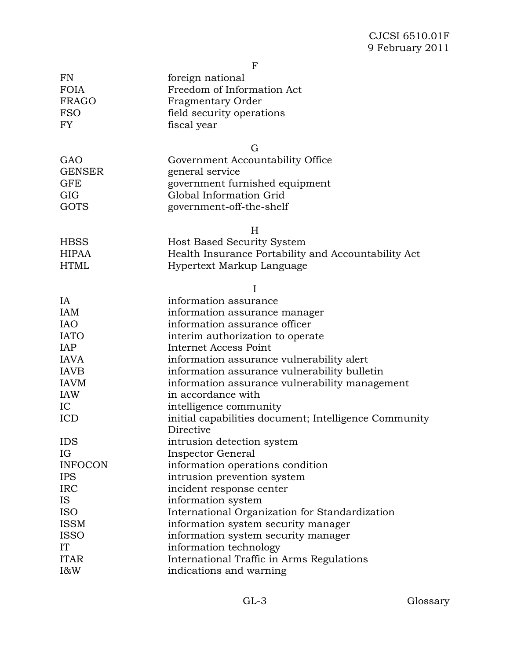|                | F                                                     |  |
|----------------|-------------------------------------------------------|--|
| <b>FN</b>      | foreign national                                      |  |
| <b>FOIA</b>    | Freedom of Information Act                            |  |
| <b>FRAGO</b>   | <b>Fragmentary Order</b>                              |  |
| <b>FSO</b>     | field security operations                             |  |
| <b>FY</b>      | fiscal year                                           |  |
|                |                                                       |  |
|                | G                                                     |  |
| GAO            | Government Accountability Office                      |  |
| <b>GENSER</b>  | general service                                       |  |
| <b>GFE</b>     | government furnished equipment                        |  |
| GIG            | Global Information Grid                               |  |
| GOTS           | government-off-the-shelf                              |  |
|                |                                                       |  |
| H              |                                                       |  |
| <b>HBSS</b>    | Host Based Security System                            |  |
| <b>HIPAA</b>   | Health Insurance Portability and Accountability Act   |  |
| <b>HTML</b>    | Hypertext Markup Language                             |  |
|                |                                                       |  |
|                |                                                       |  |
| IA             | information assurance                                 |  |
| IAM            | information assurance manager                         |  |
| <b>IAO</b>     | information assurance officer                         |  |
| <b>IATO</b>    | interim authorization to operate                      |  |
| IAP            | Internet Access Point                                 |  |
| <b>IAVA</b>    | information assurance vulnerability alert             |  |
| <b>IAVB</b>    | information assurance vulnerability bulletin          |  |
| <b>IAVM</b>    | information assurance vulnerability management        |  |
| IAW            | in accordance with                                    |  |
| IC             | intelligence community                                |  |
| ICD            | initial capabilities document; Intelligence Community |  |
|                | Directive                                             |  |
| IDS            | intrusion detection system                            |  |
| IG             | <b>Inspector General</b>                              |  |
| <b>INFOCON</b> | information operations condition                      |  |
| <b>IPS</b>     | intrusion prevention system                           |  |
| <b>IRC</b>     | incident response center                              |  |
| IS.            | information system                                    |  |
| <b>ISO</b>     | International Organization for Standardization        |  |
| <b>ISSM</b>    | information system security manager                   |  |
| <b>ISSO</b>    | information system security manager                   |  |
| IT             | information technology                                |  |
| <b>ITAR</b>    | International Traffic in Arms Regulations             |  |
| I&W            | indications and warning                               |  |

GL-3 Glossary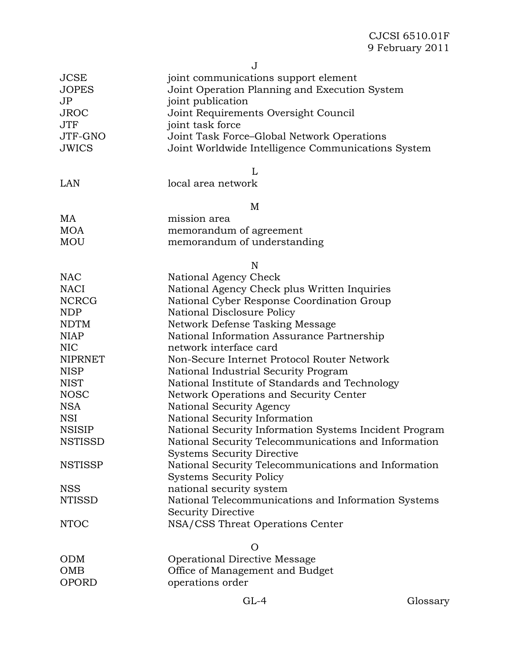|                | J                                                      |
|----------------|--------------------------------------------------------|
| <b>JCSE</b>    | joint communications support element                   |
| <b>JOPES</b>   | Joint Operation Planning and Execution System          |
| J <sub>P</sub> | joint publication                                      |
| <b>JROC</b>    | Joint Requirements Oversight Council                   |
| <b>JTF</b>     | joint task force                                       |
| JTF-GNO        | Joint Task Force-Global Network Operations             |
| <b>JWICS</b>   | Joint Worldwide Intelligence Communications System     |
|                |                                                        |
|                | L                                                      |
| LAN            | local area network                                     |
|                |                                                        |
|                | M                                                      |
| MA             | mission area                                           |
| <b>MOA</b>     | memorandum of agreement                                |
| MOU            | memorandum of understanding                            |
|                |                                                        |
|                | N                                                      |
| <b>NAC</b>     | National Agency Check                                  |
| <b>NACI</b>    | National Agency Check plus Written Inquiries           |
| <b>NCRCG</b>   | National Cyber Response Coordination Group             |
| <b>NDP</b>     | National Disclosure Policy                             |
| <b>NDTM</b>    | Network Defense Tasking Message                        |
| <b>NIAP</b>    | National Information Assurance Partnership             |
| <b>NIC</b>     | network interface card                                 |
| <b>NIPRNET</b> | Non-Secure Internet Protocol Router Network            |
| <b>NISP</b>    | National Industrial Security Program                   |
| <b>NIST</b>    | National Institute of Standards and Technology         |
| <b>NOSC</b>    | Network Operations and Security Center                 |
| <b>NSA</b>     | <b>National Security Agency</b>                        |
| <b>NSI</b>     | National Security Information                          |
| <b>NSISIP</b>  | National Security Information Systems Incident Program |
| <b>NSTISSD</b> | National Security Telecommunications and Information   |
|                | <b>Systems Security Directive</b>                      |
| <b>NSTISSP</b> | National Security Telecommunications and Information   |
|                | <b>Systems Security Policy</b>                         |
| <b>NSS</b>     | national security system                               |
| <b>NTISSD</b>  | National Telecommunications and Information Systems    |
|                | <b>Security Directive</b>                              |
| <b>NTOC</b>    | NSA/CSS Threat Operations Center                       |
|                |                                                        |
|                | О                                                      |
| <b>ODM</b>     | <b>Operational Directive Message</b>                   |
| OMB            | Office of Management and Budget                        |
| <b>OPORD</b>   | operations order                                       |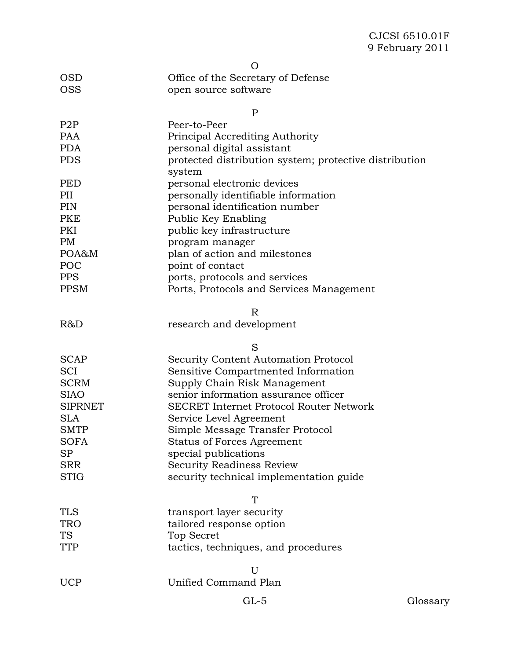|                  | $\overline{O}$                                                   |
|------------------|------------------------------------------------------------------|
| <b>OSD</b>       | Office of the Secretary of Defense                               |
| <b>OSS</b>       | open source software                                             |
|                  |                                                                  |
|                  | $\mathbf P$                                                      |
| P <sub>2</sub> P | Peer-to-Peer                                                     |
|                  |                                                                  |
| <b>PAA</b>       | Principal Accrediting Authority                                  |
| <b>PDA</b>       | personal digital assistant                                       |
| <b>PDS</b>       | protected distribution system; protective distribution<br>system |
| <b>PED</b>       | personal electronic devices                                      |
| PII              | personally identifiable information                              |
| <b>PIN</b>       | personal identification number                                   |
| <b>PKE</b>       | Public Key Enabling                                              |
| PKI              | public key infrastructure                                        |
| PM               |                                                                  |
|                  | program manager                                                  |
| POA&M            | plan of action and milestones                                    |
| POC              | point of contact                                                 |
| <b>PPS</b>       | ports, protocols and services                                    |
| <b>PPSM</b>      | Ports, Protocols and Services Management                         |
|                  |                                                                  |
|                  | R                                                                |
| R&D              | research and development                                         |
|                  |                                                                  |
|                  | S                                                                |
| <b>SCAP</b>      | Security Content Automation Protocol                             |
| <b>SCI</b>       | Sensitive Compartmented Information                              |
| <b>SCRM</b>      | Supply Chain Risk Management                                     |
| <b>SIAO</b>      | senior information assurance officer                             |
| <b>SIPRNET</b>   | <b>SECRET Internet Protocol Router Network</b>                   |
| <b>SLA</b>       | Service Level Agreement                                          |
| <b>SMTP</b>      | Simple Message Transfer Protocol                                 |
| <b>SOFA</b>      | <b>Status of Forces Agreement</b>                                |
| <b>SP</b>        | special publications                                             |
| <b>SRR</b>       | <b>Security Readiness Review</b>                                 |
| <b>STIG</b>      | security technical implementation guide                          |
|                  |                                                                  |
|                  | T                                                                |
| <b>TLS</b>       | transport layer security                                         |
| TRO              | tailored response option                                         |
| <b>TS</b>        | <b>Top Secret</b>                                                |
| <b>TTP</b>       | tactics, techniques, and procedures                              |
|                  |                                                                  |
|                  | U                                                                |
| <b>UCP</b>       | Unified Command Plan                                             |
|                  |                                                                  |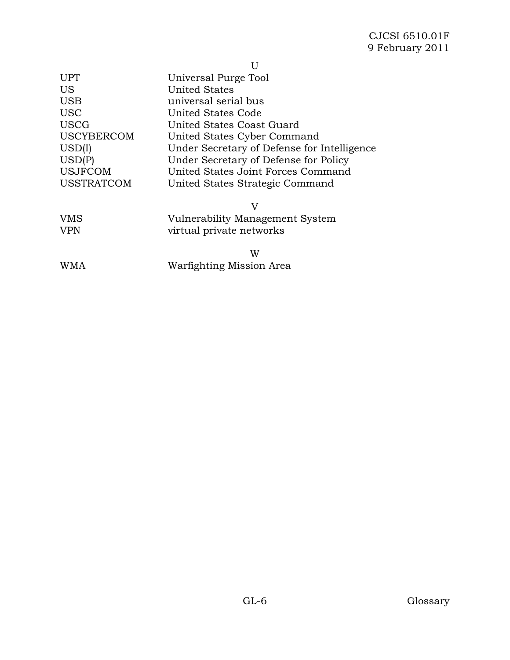| <b>UPT</b>        | Universal Purge Tool                        |
|-------------------|---------------------------------------------|
| US                | <b>United States</b>                        |
| <b>USB</b>        | universal serial bus                        |
| <b>USC</b>        | United States Code                          |
| <b>USCG</b>       | United States Coast Guard                   |
| <b>USCYBERCOM</b> | United States Cyber Command                 |
| USD(I)            | Under Secretary of Defense for Intelligence |
| USD(P)            | Under Secretary of Defense for Policy       |
| <b>USJFCOM</b>    | United States Joint Forces Command          |
| <b>USSTRATCOM</b> | United States Strategic Command             |
|                   | V                                           |
| <b>VMS</b>        | Vulnerability Management System             |
| VPN               | virtual private networks                    |
|                   | W                                           |
| W M A             | Warfighting Mission Area                    |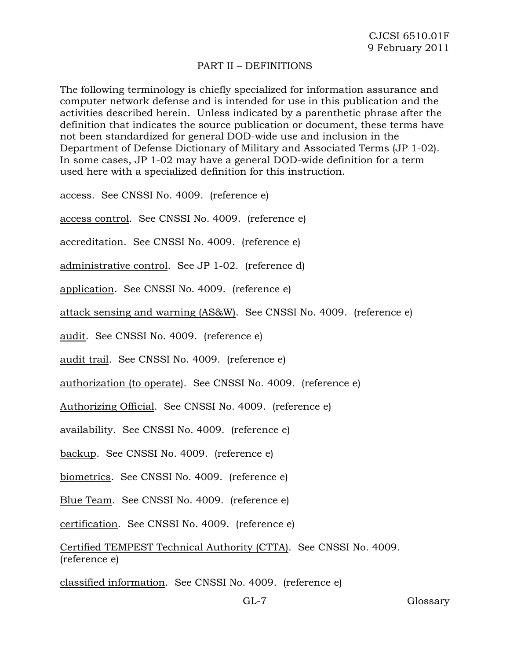#### PART II – DEFINITIONS

The following terminology is chiefly specialized for information assurance and computer network defense and is intended for use in this publication and the activities described herein. Unless indicated by a parenthetic phrase after the definition that indicates the source publication or document, these terms have not been standardized for general DOD-wide use and inclusion in the Department of Defense Dictionary of Military and Associated Terms (JP 1-02). In some cases, JP 1-02 may have a general DOD-wide definition for a term used here with a specialized definition for this instruction.

access. See CNSSI No. 4009. (reference e)

access control. See CNSSI No. 4009. (reference e)

accreditation. See CNSSI No. 4009. (reference e)

administrative control. See JP 1-02. (reference d)

application. See CNSSI No. 4009. (reference e)

attack sensing and warning (AS&W). See CNSSI No. 4009. (reference e)

audit. See CNSSI No. 4009. (reference e)

audit trail. See CNSSI No. 4009. (reference e)

authorization (to operate). See CNSSI No. 4009. (reference e)

Authorizing Official. See CNSSI No. 4009. (reference e)

availability. See CNSSI No. 4009. (reference e)

backup. See CNSSI No. 4009. (reference e)

biometrics. See CNSSI No. 4009. (reference e)

Blue Team. See CNSSI No. 4009. (reference e)

certification. See CNSSI No. 4009. (reference e)

Certified TEMPEST Technical Authority (CTTA). See CNSSI No. 4009. (reference e)

classified information. See CNSSI No. 4009. (reference e)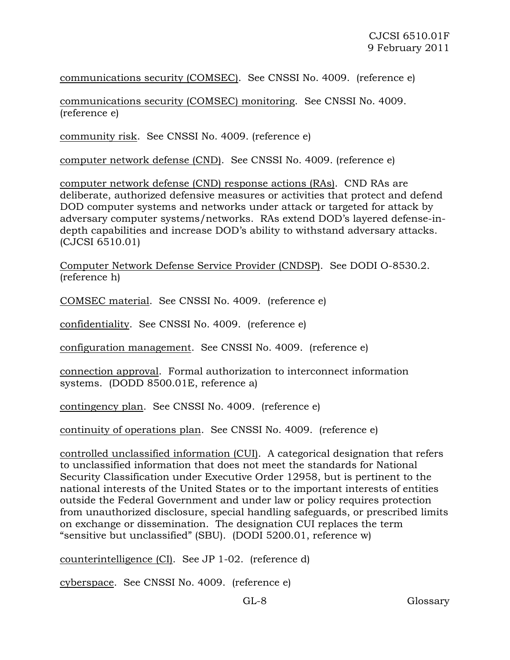communications security (COMSEC). See CNSSI No. 4009. (reference e)

communications security (COMSEC) monitoring. See CNSSI No. 4009. (reference e)

community risk. See CNSSI No. 4009. (reference e)

computer network defense (CND). See CNSSI No. 4009. (reference e)

computer network defense (CND) response actions (RAs). CND RAs are deliberate, authorized defensive measures or activities that protect and defend DOD computer systems and networks under attack or targeted for attack by adversary computer systems/networks. RAs extend DOD's layered defense-indepth capabilities and increase DOD's ability to withstand adversary attacks. (CJCSI 6510.01)

Computer Network Defense Service Provider (CNDSP). See DODI O-8530.2. (reference h)

COMSEC material. See CNSSI No. 4009. (reference e)

confidentiality. See CNSSI No. 4009. (reference e)

configuration management. See CNSSI No. 4009. (reference e)

connection approval. Formal authorization to interconnect information systems. (DODD 8500.01E, reference a)

contingency plan. See CNSSI No. 4009. (reference e)

continuity of operations plan. See CNSSI No. 4009. (reference e)

controlled unclassified information (CUI). A categorical designation that refers to unclassified information that does not meet the standards for National Security Classification under Executive Order 12958, but is pertinent to the national interests of the United States or to the important interests of entities outside the Federal Government and under law or policy requires protection from unauthorized disclosure, special handling safeguards, or prescribed limits on exchange or dissemination. The designation CUI replaces the term "sensitive but unclassified" (SBU). (DODI 5200.01, reference w)

counterintelligence (CI). See JP 1-02. (reference d)

cyberspace. See CNSSI No. 4009. (reference e)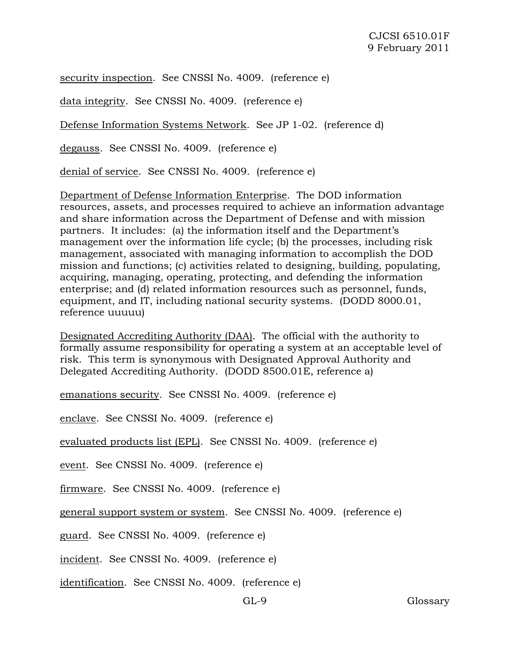security inspection. See CNSSI No. 4009. (reference e)

data integrity. See CNSSI No. 4009. (reference e)

Defense Information Systems Network. See JP 1-02. (reference d)

degauss. See CNSSI No. 4009. (reference e)

denial of service. See CNSSI No. 4009. (reference e)

Department of Defense Information Enterprise. The DOD information resources, assets, and processes required to achieve an information advantage and share information across the Department of Defense and with mission partners. It includes: (a) the information itself and the Department's management over the information life cycle; (b) the processes, including risk management, associated with managing information to accomplish the DOD mission and functions; (c) activities related to designing, building, populating, acquiring, managing, operating, protecting, and defending the information enterprise; and (d) related information resources such as personnel, funds, equipment, and IT, including national security systems. (DODD 8000.01, reference uuuuu)

Designated Accrediting Authority (DAA). The official with the authority to formally assume responsibility for operating a system at an acceptable level of risk. This term is synonymous with Designated Approval Authority and Delegated Accrediting Authority. (DODD 8500.01E, reference a)

emanations security. See CNSSI No. 4009. (reference e)

enclave. See CNSSI No. 4009. (reference e)

evaluated products list (EPL). See CNSSI No. 4009. (reference e)

event. See CNSSI No. 4009. (reference e)

firmware. See CNSSI No. 4009. (reference e)

general support system or system. See CNSSI No. 4009. (reference e)

guard. See CNSSI No. 4009. (reference e)

incident. See CNSSI No. 4009. (reference e)

identification. See CNSSI No. 4009. (reference e)

GL-9 Glossary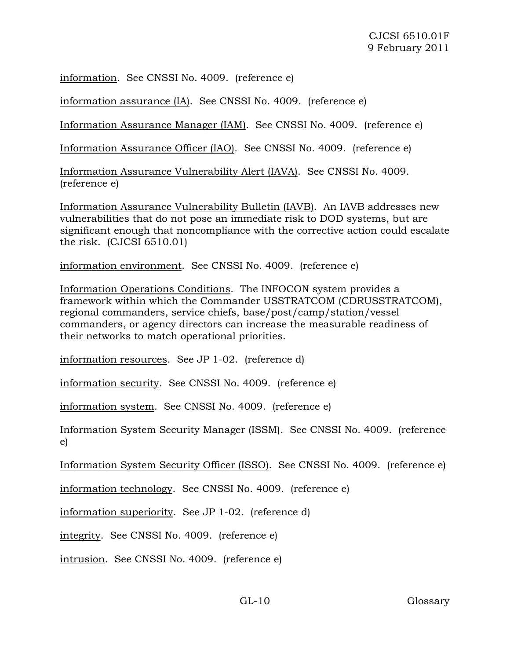information. See CNSSI No. 4009. (reference e)

information assurance (IA). See CNSSI No. 4009. (reference e)

Information Assurance Manager (IAM). See CNSSI No. 4009. (reference e)

Information Assurance Officer (IAO). See CNSSI No. 4009. (reference e)

Information Assurance Vulnerability Alert (IAVA). See CNSSI No. 4009. (reference e)

Information Assurance Vulnerability Bulletin (IAVB). An IAVB addresses new vulnerabilities that do not pose an immediate risk to DOD systems, but are significant enough that noncompliance with the corrective action could escalate the risk. (CJCSI 6510.01)

information environment. See CNSSI No. 4009. (reference e)

Information Operations Conditions. The INFOCON system provides a framework within which the Commander USSTRATCOM (CDRUSSTRATCOM), regional commanders, service chiefs, base/post/camp/station/vessel commanders, or agency directors can increase the measurable readiness of their networks to match operational priorities.

information resources. See JP 1-02. (reference d)

information security. See CNSSI No. 4009. (reference e)

information system. See CNSSI No. 4009. (reference e)

Information System Security Manager (ISSM). See CNSSI No. 4009. (reference e)

Information System Security Officer (ISSO). See CNSSI No. 4009. (reference e)

information technology. See CNSSI No. 4009. (reference e)

information superiority. See JP 1-02. (reference d)

integrity. See CNSSI No. 4009. (reference e)

intrusion. See CNSSI No. 4009. (reference e)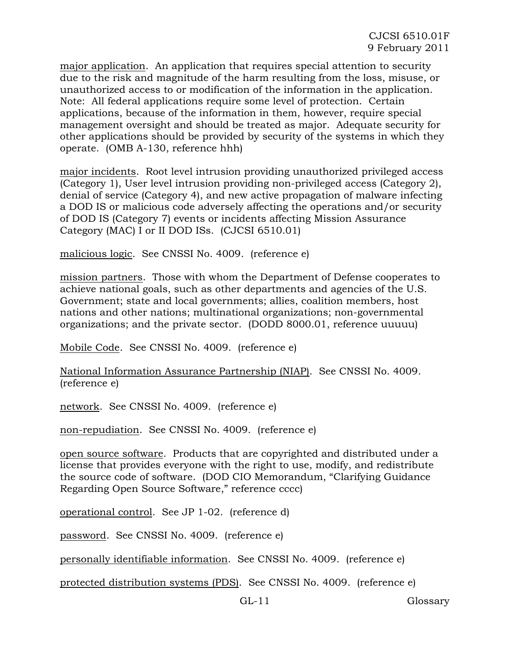major application. An application that requires special attention to security due to the risk and magnitude of the harm resulting from the loss, misuse, or unauthorized access to or modification of the information in the application. Note: All federal applications require some level of protection. Certain applications, because of the information in them, however, require special management oversight and should be treated as major. Adequate security for other applications should be provided by security of the systems in which they operate. (OMB A-130, reference hhh)

major incidents. Root level intrusion providing unauthorized privileged access (Category 1), User level intrusion providing non-privileged access (Category 2), denial of service (Category 4), and new active propagation of malware infecting a DOD IS or malicious code adversely affecting the operations and/or security of DOD IS (Category 7) events or incidents affecting Mission Assurance Category (MAC) I or II DOD ISs. (CJCSI 6510.01)

malicious logic. See CNSSI No. 4009. (reference e)

mission partners. Those with whom the Department of Defense cooperates to achieve national goals, such as other departments and agencies of the U.S. Government; state and local governments; allies, coalition members, host nations and other nations; multinational organizations; non-governmental organizations; and the private sector. (DODD 8000.01, reference uuuuu)

Mobile Code. See CNSSI No. 4009. (reference e)

National Information Assurance Partnership (NIAP). See CNSSI No. 4009. (reference e)

network. See CNSSI No. 4009. (reference e)

non-repudiation. See CNSSI No. 4009. (reference e)

open source software. Products that are copyrighted and distributed under a license that provides everyone with the right to use, modify, and redistribute the source code of software. (DOD CIO Memorandum, "Clarifying Guidance Regarding Open Source Software," reference cccc)

operational control. See JP 1-02. (reference d)

password. See CNSSI No. 4009. (reference e)

personally identifiable information. See CNSSI No. 4009. (reference e)

protected distribution systems (PDS). See CNSSI No. 4009. (reference e)

GL-11 Glossary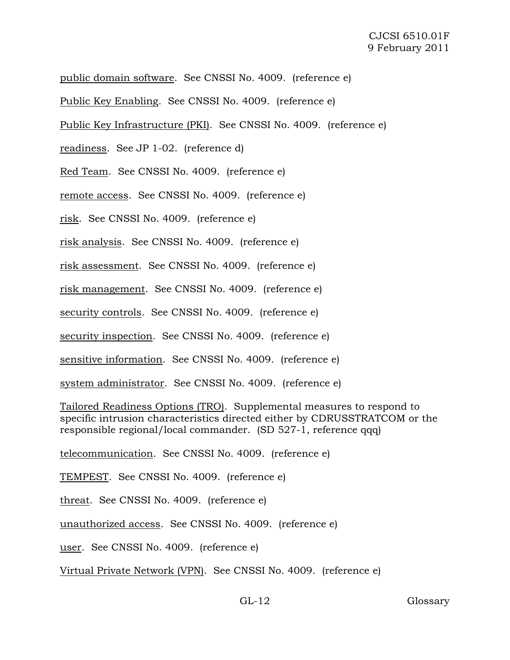public domain software. See CNSSI No. 4009. (reference e)

- Public Key Enabling. See CNSSI No. 4009. (reference e)
- Public Key Infrastructure (PKI). See CNSSI No. 4009. (reference e)

readiness. See JP 1-02. (reference d)

Red Team. See CNSSI No. 4009. (reference e)

remote access. See CNSSI No. 4009. (reference e)

risk. See CNSSI No. 4009. (reference e)

risk analysis. See CNSSI No. 4009. (reference e)

risk assessment. See CNSSI No. 4009. (reference e)

risk management. See CNSSI No. 4009. (reference e)

security controls. See CNSSI No. 4009. (reference e)

security inspection. See CNSSI No. 4009. (reference e)

sensitive information. See CNSSI No. 4009. (reference e)

system administrator. See CNSSI No. 4009. (reference e)

Tailored Readiness Options (TRO). Supplemental measures to respond to specific intrusion characteristics directed either by CDRUSSTRATCOM or the responsible regional/local commander. (SD 527-1, reference qqq)

telecommunication. See CNSSI No. 4009. (reference e)

TEMPEST. See CNSSI No. 4009. (reference e)

threat. See CNSSI No. 4009. (reference e)

unauthorized access. See CNSSI No. 4009. (reference e)

user. See CNSSI No. 4009. (reference e)

Virtual Private Network (VPN). See CNSSI No. 4009. (reference e)

GL-12 Glossary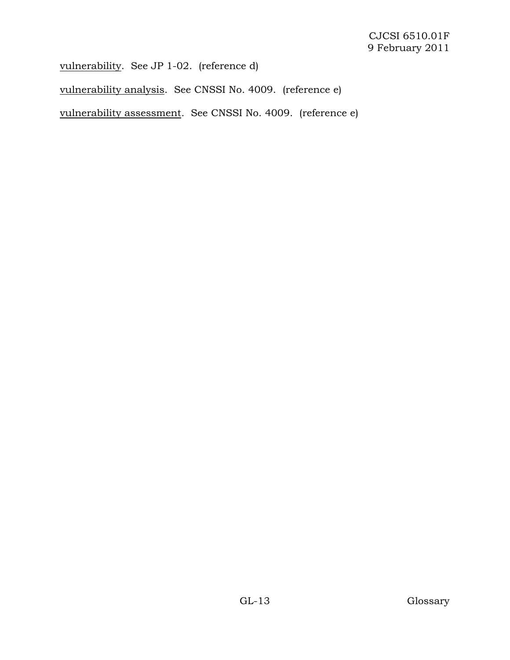vulnerability. See JP 1-02. (reference d)

vulnerability analysis. See CNSSI No. 4009. (reference e)

vulnerability assessment. See CNSSI No. 4009. (reference e)